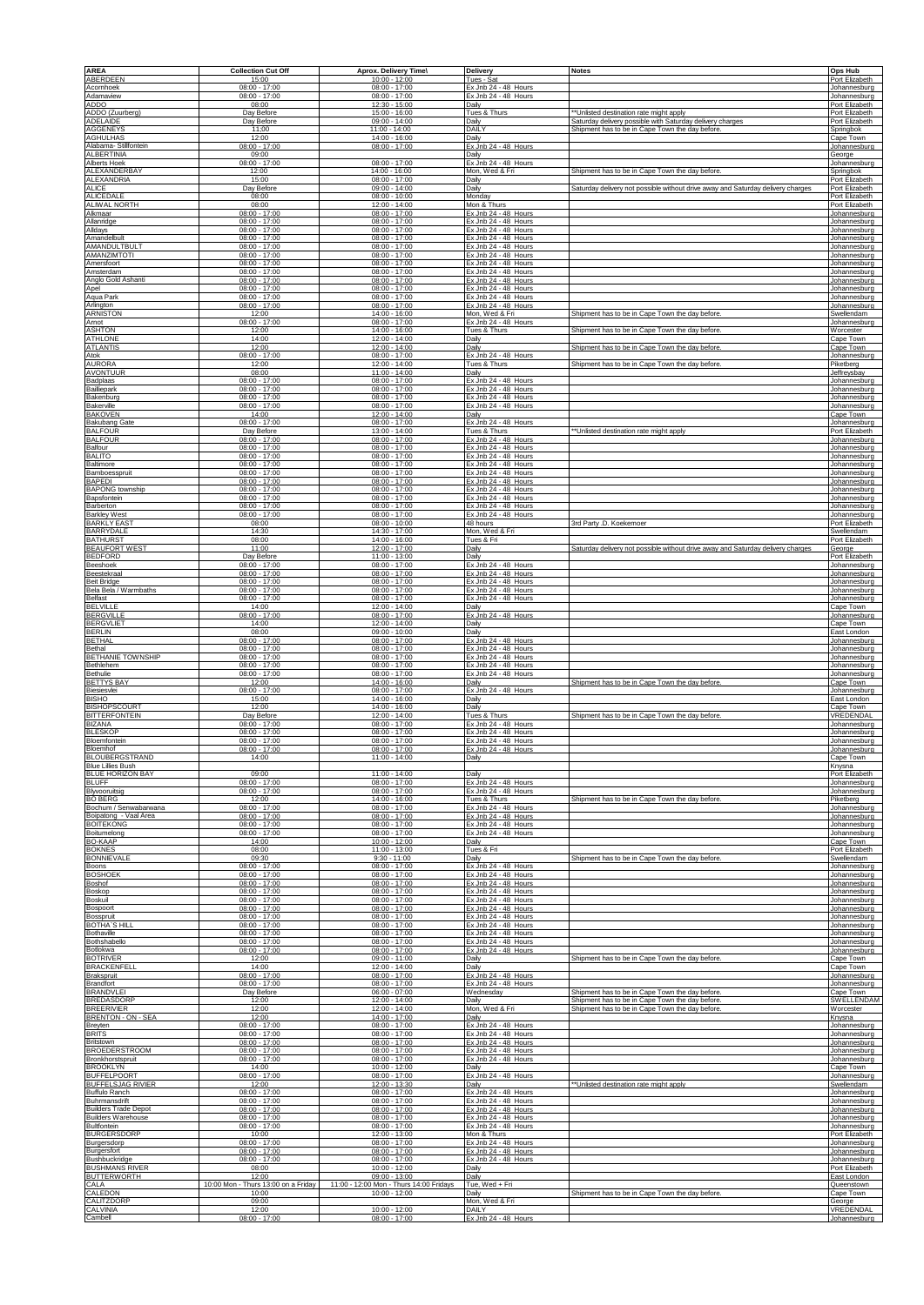| <b>AREA</b>                                                            | <b>Collection Cut Off</b>                             | Aprox. Delivery Time\                                 | Delivery                                                             | <b>Notes</b>                                                                                       | Ops Hub                                        |
|------------------------------------------------------------------------|-------------------------------------------------------|-------------------------------------------------------|----------------------------------------------------------------------|----------------------------------------------------------------------------------------------------|------------------------------------------------|
| ABERDEEN                                                               | 15:00                                                 | 10:00 - 12:00                                         | Tues - Sat                                                           |                                                                                                    | Port Elizabeth                                 |
| Acomhoek                                                               | $08:00 - 17:00$                                       | $08:00 - 17:00$                                       | Ex Jnb 24 - 48 Hours                                                 |                                                                                                    | Johannesburg                                   |
| Adamaview                                                              | $08:00 - 17:00$                                       | $08:00 - 17:00$                                       | Ex Jnb 24 - 48 Hours                                                 |                                                                                                    | Johannesburg                                   |
| ADDO<br>ADDO (Zuurberg)                                                | 08:00<br>Day Before                                   | 12:30 - 15:00<br>15:00 - 16:00                        | Daily<br>Tues & Thurs                                                | *Unlisted destination rate might apply                                                             | Port Elizabeth<br>Port Elizabeth               |
| <b>ADELAIDE</b>                                                        | Day Before                                            | 09:00 - 14:00                                         | Daily                                                                | Saturday delivery possible with Saturday delivery charges                                          | Port Elizabeth                                 |
| <b>AGGENEYS</b>                                                        | 11:00                                                 | 11:00 - 14:00                                         | DAILY                                                                | Shipment has to be in Cape Town the day before.                                                    | Springbok                                      |
| <b>AGHULHAS</b><br>Alabama-Stillfontein<br><b>ALBERTINIA</b>           | 12:00<br>$08:00 - 17:00$<br>09:00                     | 14:00 - 16:00<br>$08:00 - 17:00$                      | Daily<br>Ex Jnb 24 - 48 Hours<br>Daily                               |                                                                                                    | Cape Town<br>Johannesburg<br>George            |
| Alberts Hoek                                                           | $08:00 - 17:00$                                       | $08:00 - 17:00$                                       | Ex Jnb 24 - 48 Hours                                                 | Shipment has to be in Cape Town the day before.                                                    | Johannesburg                                   |
| ALEXANDERBAY                                                           | 12:00                                                 | 14:00 - 16:00                                         | Mon, Wed & Fri                                                       |                                                                                                    | Springbok                                      |
| <b>ALEXANDRIA</b>                                                      | 15:00                                                 | $08:00 - 17:00$                                       | Daily                                                                | Saturday delivery not possible without drive away and Saturday delivery charges                    | Port Elizabeth                                 |
| ALICE                                                                  | Day Before                                            | $09:00 - 14:00$                                       | Dailv                                                                |                                                                                                    | Port Elizabeth                                 |
| <b>ALICEDALE</b>                                                       | 08:00                                                 | $08:00 - 10:00$                                       | Monday                                                               |                                                                                                    | Port Elizabeth                                 |
| <b>ALIWAL NORTH</b>                                                    | 08:00                                                 | 12:00 - 14:00                                         | Mon & Thurs                                                          |                                                                                                    | Port Elizabeth                                 |
| Alkmaar                                                                | $08:00 - 17:00$                                       | $08:00 - 17:00$                                       | Ex Jnb 24 - 48 Hours                                                 |                                                                                                    | Johannesburg                                   |
| Allanridge                                                             | $08:00 - 17:00$                                       | $08:00 - 17:00$                                       | Ex Jnb 24 - 48 Hours                                                 |                                                                                                    | Johannesburg                                   |
| Alldays                                                                | $08:00 - 17:00$                                       | $08:00 - 17:00$                                       | Ex Jnb 24 - 48 Hours                                                 |                                                                                                    | Johannesburg                                   |
| Amandelbult                                                            | $08:00 - 17:00$                                       | $08:00 - 17:00$                                       | Ex Jnb 24 - 48 Hours                                                 |                                                                                                    | Johannesburg                                   |
| AMANDULTBULT                                                           | $08:00 - 17:00$                                       | $08:00 - 17:00$                                       | Ex Jnb 24 - 48 Hours                                                 |                                                                                                    | Johannesburg                                   |
| AMANZIMTOTI                                                            | $08:00 - 17:00$                                       | $08:00 - 17:00$                                       | Ex Jnb 24 - 48 Hours                                                 |                                                                                                    | Johannesburg                                   |
| Amersfoort                                                             | $08:00 - 17:00$                                       | $08:00 - 17:00$                                       | Ex Jnb 24 - 48 Hours                                                 |                                                                                                    | Johannesburg                                   |
| Amsterdam<br>Anglo Gold Ashanti                                        | $08:00 - 17:00$<br>$08:00 - 17:00$<br>$08:00 - 17:00$ | $08:00 - 17:00$<br>$08:00 - 17:00$<br>$08:00 - 17:00$ | Ex Jnb 24 - 48 Hours<br>Ex Jnb 24 - 48 Hours                         |                                                                                                    | Johannesburg<br>Johannesburg                   |
| Apel<br>Aqua Park<br>Arlington                                         | $08:00 - 17:00$<br>$08:00 - 17:00$                    | $08:00 - 17:00$<br>$08:00 - 17:00$                    | Ex Jnb 24 - 48 Hours<br>Ex Jnb 24 - 48 Hours<br>Ex Jnb 24 - 48 Hours |                                                                                                    | Johannesburg<br>Johannesburg<br>Johannesburg   |
| <b>ARNISTON</b>                                                        | 12:00                                                 | 14:00 - 16:00                                         | Mon, Wed & Fri                                                       | Shipment has to be in Cape Town the day before.                                                    | Swellendam                                     |
| Arnot                                                                  | $08:00 - 17:00$                                       | $08:00 - 17:00$                                       | Ex Jnb 24 - 48 Hours                                                 |                                                                                                    | lohannesburg                                   |
| <b>ASHTON</b>                                                          | 12:00                                                 | 14:00 - 16:00                                         | Tues & Thurs                                                         | Shipment has to be in Cape Town the day before.                                                    | <b>Worcester</b>                               |
| <b>ATHLONE</b>                                                         | 14:00                                                 | 12:00 - 14:00                                         | Daily                                                                |                                                                                                    | Cape Town                                      |
| <b>ATLANTIS</b><br>Atok<br><b>AURORA</b>                               | 12:00<br>$08:00 - 17:00$<br>12:00                     | 12:00 - 14:00<br>$08:00 - 17:00$<br>12:00 - 14:00     | Daily<br>Ex Jnb 24 - 48 Hours<br>Tues & Thurs                        | Shipment has to be in Cape Town the day before.<br>Shipment has to be in Cape Town the day before. | Cape Town<br>Johannesburg<br>Piketberg         |
| AVONTUUR                                                               | 08:00                                                 | 11:00 - 14:00                                         | Daily                                                                |                                                                                                    | Jeffreysbay                                    |
| Badplaas                                                               | $08:00 - 17:00$                                       | $08:00 - 17:00$                                       | Ex Jnb 24 - 48 Hours                                                 |                                                                                                    | Johannesburg                                   |
| Bailliepark                                                            | $08:00 - 17:00$                                       | $08:00 - 17:00$                                       | Ex Jnb 24 - 48 Hours                                                 |                                                                                                    | Johannesburg                                   |
| Bakenburg                                                              | $08:00 - 17:00$                                       | $08:00 - 17:00$                                       | Ex Jnb 24 - 48 Hours                                                 |                                                                                                    | Johannesburg                                   |
| Bakerville<br><b>BAKOVEN</b><br><b>Bakubang Gate</b>                   | $08:00 - 17:00$<br>14:00<br>$08:00 - 17:00$           | $08:00 - 17:00$<br>12:00 - 14:00<br>$08:00 - 17:00$   | Ex Jnb 24 - 48 Hours<br>Daily<br>Ex Jnb 24 - 48 Hours                |                                                                                                    | Johannesburg<br>Cape Town                      |
| <b>BALFOUR</b><br><b>BALFOUR</b>                                       | Day Before<br>$08:00 - 17:00$                         | 13:00 - 14:00<br>$08:00 - 17:00$                      | Tues & Thurs<br>Ex Jnb 24 - 48 Hours                                 | ** Unlisted destination rate might apply                                                           | Johannesburg<br>Port Elizabeth<br>Johannesburg |
| Balfour                                                                | $08:00 - 17:00$                                       | $08:00 - 17:00$                                       | Ex Jnb 24 - 48 Hours                                                 |                                                                                                    | Johannesburg                                   |
| <b>BALITO</b>                                                          | $08:00 - 17:00$                                       | $08:00 - 17:00$                                       | Ex Jnb 24 - 48 Hours                                                 |                                                                                                    | Johannesburg                                   |
| Baltimore                                                              | $08:00 - 17:00$                                       | $08:00 - 17:00$                                       | Ex Jnb 24 - 48 Hours                                                 |                                                                                                    | Johannesburg                                   |
| Bamboesspruit                                                          | $08:00 - 17:00$                                       | $08:00 - 17:00$                                       | Ex Jnb 24 - 48 Hours                                                 |                                                                                                    | Johannesburg                                   |
| <b>BAPEDI</b>                                                          | $08:00 - 17:00$                                       | $08:00 - 17:00$                                       | Ex Jnb 24 - 48 Hours                                                 |                                                                                                    | Johannesburg                                   |
| <b>BAPONG</b> township                                                 | $08:00 - 17:00$                                       | $08:00 - 17:00$                                       | Ex Jnb 24 - 48 Hours                                                 |                                                                                                    | Johannesburg                                   |
| Bapsfontein                                                            | $08:00 - 17:00$                                       | $08:00 - 17:00$                                       | Ex Jnb 24 - 48 Hours                                                 |                                                                                                    | Johannesburg                                   |
| Barberton                                                              | $08:00 - 17:00$                                       | $08:00 - 17:00$                                       | Ex Jnb 24 - 48 Hours                                                 |                                                                                                    | Johannesburg                                   |
| <b>Barkley West</b>                                                    | $08:00 - 17:00$                                       | 08:00 - 17:00                                         | Ex Jnb 24 - 48 Hours                                                 |                                                                                                    | Johannesburg                                   |
| <b>BARKLY EAST</b>                                                     | 08:00                                                 | $08:00 - 10:00$                                       | 48 hours                                                             | 3rd Party .D. Koekemoer                                                                            | Port Elizabeth                                 |
| <b>BARRYDALE</b>                                                       | 14:30                                                 | 14:30 - 17:00                                         | Mon, Wed & Fri                                                       |                                                                                                    | Swellendam                                     |
| <b>BATHURST</b>                                                        | 08:00                                                 | 14:00 - 16:00                                         | Tues & Fri                                                           | Saturday delivery not possible without drive away and Saturday delivery charges                    | Port Elizabeth                                 |
| <b>BEAUFORT WEST</b>                                                   | 11:00                                                 | 12:00 - 17:00                                         | Daily                                                                |                                                                                                    | George                                         |
| BEDFORD                                                                | Day Before                                            | 11:00 - 13:00                                         | Daily                                                                |                                                                                                    | Port Elizabeth                                 |
| Beeshoek                                                               | $08:00 - 17:00$                                       | $08:00 - 17:00$                                       | Ex Jnb 24 - 48 Hours                                                 |                                                                                                    | Johannesburg                                   |
| Beestekraa                                                             | $08:00 - 17:00$                                       | $08:00 - 17:00$                                       | Ex Jnb 24 - 48 Hours                                                 |                                                                                                    | Johannesburg                                   |
| <b>Beit Bridge</b>                                                     | $08:00 - 17:00$                                       | $08:00 - 17:00$                                       | Ex Jnb 24 - 48 Hours                                                 |                                                                                                    | Johannesburg                                   |
| Bela Bela / Warmbaths                                                  | $08:00 - 17:00$                                       | $08:00 - 17:00$                                       | Ex Jnb 24 - 48 Hours                                                 |                                                                                                    | Johannesburg                                   |
| Belfast                                                                | $08:00 - 17:00$                                       | 08:00 - 17:00                                         | Ex Jnb 24 - 48 Hours                                                 |                                                                                                    | Johannesburg                                   |
| <b>BELVILLE</b>                                                        | 14:00                                                 | 12:00 - 14:00                                         | Daily                                                                |                                                                                                    | Cape Town                                      |
| <b>BERGVILLE</b><br><b>BERGVLIET</b><br><b>BERLIN</b>                  | $08:00 - 17:00$<br>14:00<br>08:00                     | $08:00 - 17:00$<br>12:00 - 14:00<br>09:00 - 10:00     | Ex Jnb 24 - 48 Hours<br>Daily<br>Daily                               |                                                                                                    | Johannesburg<br>Cape Town                      |
| <b>BETHAL</b><br>Bethal                                                | $08:00 - 17:00$<br>$08:00 - 17:00$                    | 08:00 - 17:00<br>$08:00 - 17:00$                      | Ex Jnb 24 - 48 Hours<br>Ex Jnb 24 - 48 Hours                         |                                                                                                    | East London<br>Johannesburg<br>Johannesburg    |
| <b>BETHANIE TOWNSHIP</b>                                               | $08:00 - 17:00$                                       | $08:00 - 17:00$                                       | Ex Jnb 24 - 48 Hours                                                 |                                                                                                    | Johannesburg                                   |
| Bethlehem                                                              | $08:00 - 17:00$                                       | $08:00 - 17:00$                                       | Ex Jnb 24 - 48 Hours                                                 |                                                                                                    | Johannesburg                                   |
| <b>Bethulie</b><br><b>BETTYS BAY</b><br>Biesiesvlei                    | $08:00 - 17:00$<br>12:00<br>$08:00 - 17:00$           | $08:00 - 17:00$<br>14:00 - 16:00                      | Ex Jnb 24 - 48 Hours<br>Daily<br>Ex Jnb 24 - 48 Hours                | Shipment has to be in Cape Town the day before.                                                    | Johannesburg<br>Cape Town                      |
| <b>BISHO</b><br><b>BISHOPSCOURT</b>                                    | 15:00<br>12:00                                        | $08:00 - 17:00$<br>14:00 - 16:00<br>14:00 - 16:00     | Daily<br>Daily                                                       |                                                                                                    | Johannesburg<br>East London<br>Cape Town       |
| <b>BITTERFONTEIN</b>                                                   | Day Before                                            | 12:00 - 14:00                                         | Tues & Thurs                                                         | Shipment has to be in Cape Town the day before.                                                    | VREDENDAL                                      |
| <b>BIZANA</b>                                                          | $08:00 - 17:00$                                       | 08:00 - 17:00                                         | Ex Jnb 24 - 48 Hours                                                 |                                                                                                    | Johannesburg                                   |
| <b>BLESKOF</b>                                                         | $08:00 - 17:00$                                       | $08:00 - 17:00$                                       | Ex Jnb 24 - 48 Hours                                                 |                                                                                                    | Johannesburg                                   |
| Bloemfontein                                                           | $08:00 - 17:00$                                       | $08:00 - 17:00$                                       | Ex Jnb 24 - 48 Hours                                                 |                                                                                                    | lohannesburg                                   |
| Bloemhof<br><b>BLOUBERGSTRAND</b><br><b>Blue Lillies Bush</b>          | $08:00 - 17:00$<br>14:00                              | $08:00 - 17:00$<br>$11:00 - 14:00$                    | Ex Jnb 24 - 48 Hours                                                 |                                                                                                    | Johannesburg<br>Cape Town                      |
| <b>BLUE HORIZON BAY</b><br><b>BLUFF</b>                                | 09:00<br>$08:00 - 17:00$                              | 11:00 - 14:00<br>$08:00 - 17:00$                      | Dailv<br>Ex Jnb 24 - 48 Hours                                        |                                                                                                    | Knysna<br>Port Elizabeth<br>Johannesburg       |
| Blyvooruitsig                                                          | $08:00 - 17:00$                                       | $08:00 - 17:00$                                       | Ex Jnb 24 - 48 Hours                                                 | Shipment has to be in Cape Town the day before                                                     | Johannesburg                                   |
| <b>BO BERG</b>                                                         | 12:00                                                 | 14:00 - 16:00                                         | Tues & Thurs                                                         |                                                                                                    | Piketberg                                      |
| Bochum / Senwabarwana<br>Boipatong - Vaal Area                         | $08:00 - 17:00$<br>$08:00 - 17:00$<br>$08:00 - 17:00$ | $08:00 - 17:00$<br>$08:00 - 17:00$                    | Ex Jnb 24 - 48 Hours<br>Ex Jnb 24 - 48 Hours                         |                                                                                                    | Johannesburg<br>Johannesburg                   |
| <b>BOITEKONG</b><br>Boitumelong<br><b>BO-KAAP</b>                      | $08:00 - 17:00$<br>14:00                              | $08:00 - 17:00$<br>$08:00 - 17:00$<br>10:00 - 12:00   | Ex Jnb 24 - 48 Hours<br>Ex Jnb 24 - 48 Hours<br>Daily                |                                                                                                    | Johannesburg<br>Johannesburg<br>Cape Town      |
| <b>BOKNES</b>                                                          | 08:00                                                 | 11:00 - 13:00                                         | Tues & Fri                                                           | Shipment has to be in Cape Town the day before.                                                    | Port Elizabeth                                 |
| <b>BONNIEVALE</b>                                                      | 09:30                                                 | $9:30 - 11:00$                                        | Daily                                                                |                                                                                                    | Swellendam                                     |
| Boons                                                                  | $08:00 - 17:00$                                       | $08:00 - 17:00$                                       | Ex Jnb 24 - 48 Hours                                                 |                                                                                                    | Johannesburg                                   |
| <b>BOSHOEK</b>                                                         | $08:00 - 17:00$                                       | 08:00 - 17:00                                         | Ex Jnb 24 - 48 Hours                                                 |                                                                                                    | Johannesburg                                   |
| Boshof                                                                 | $08:00 - 17:00$                                       | $08:00 - 17:00$                                       | Ex Jnb 24 - 48 Hours                                                 |                                                                                                    | Johannesburg                                   |
| Boskop                                                                 | $08:00 - 17:00$                                       | $08:00 - 17:00$                                       | Ex Jnb 24 - 48 Hours                                                 |                                                                                                    | Johannesburg                                   |
| Boskuil                                                                | $08:00 - 17:00$                                       | $08:00 - 17:00$                                       | Ex Jnb 24 - 48 Hours                                                 |                                                                                                    | Johannesburg                                   |
| Bospoort                                                               | $08:00 - 17:00$                                       | $08:00 - 17:00$                                       | Ex Jnb 24 - 48 Hours                                                 |                                                                                                    | Johannesburg                                   |
| Bosspruit                                                              | $08:00 - 17:00$                                       | $08:00 - 17:00$                                       | Ex Jnb 24 - 48 Hours                                                 |                                                                                                    | Johannesburg                                   |
| <b>BOTHA'S HILL</b>                                                    | $08:00 - 17:00$                                       | $08:00 - 17:00$                                       | Ex Jnb 24 - 48 Hours                                                 |                                                                                                    | Johannesburg                                   |
| Bothaville                                                             | $08:00 - 17:00$                                       | 08:00 - 17:00                                         | Ex Jnb 24 - 48 Hours                                                 |                                                                                                    | Johannesburg                                   |
| Bothshabello                                                           | $08:00 - 17:00$                                       | $08:00 - 17:00$                                       | Ex Jnb 24 - 48 Hours                                                 | Shipment has to be in Cape Town the day before                                                     | Johannesburg                                   |
| Botlokwa                                                               | $08:00 - 17:00$                                       | $08:00 - 17:00$                                       | Ex Jnb 24 - 48 Hours                                                 |                                                                                                    | Johannesburg                                   |
| <b>BOTRIVER</b>                                                        | 12:00                                                 | 09:00 - 11:00                                         | Daily                                                                |                                                                                                    | Cape Town                                      |
| <b>BRACKENFELL</b>                                                     | 14:00                                                 | 12:00 - 14:00                                         | Daily                                                                |                                                                                                    | Cape Town                                      |
| Brakspruit                                                             | $08:00 - 17:00$                                       | $08:00 - 17:00$                                       | Ex Jnb 24 - 48 Hours                                                 |                                                                                                    | Johannesburg                                   |
| Brandfort                                                              | $08:00 - 17:00$                                       | $08:00 - 17:00$                                       | Ex Jnb 24 - 48 Hours                                                 | hipment has to be in Cape Town the day before.                                                     | Johannesburg                                   |
| <b>BRANDVLE</b>                                                        | Day Before                                            | $06:00 - 07:00$                                       | Wednesday                                                            |                                                                                                    | Cape Town                                      |
| <b>BREDASDORP</b><br><b>BREERIVIER</b><br>BRENTON - ON - SEA           | 12:00<br>12:00                                        | 12:00 - 14:00<br>12:00 - 14:00                        | Daily<br>Mon, Wed & Fri                                              | Shipment has to be in Cape Town the day before<br>Shipment has to be in Cape Town the day before.  | SWELLENDAM<br>Worcester                        |
| Breyten<br><b>BRITS</b>                                                | 12:00<br>$08:00 - 17:00$<br>$08:00 - 17:00$           | 14:00 - 17:00<br>$08:00 - 17:00$<br>$08:00 - 17:00$   | Daily<br>Ex Jnb 24 - 48 Hours<br>Ex Jnb 24 - 48 Hours                |                                                                                                    | Knysna<br>Johannesburg<br>Johannesburg         |
| Britstown                                                              | $08:00 - 17:00$                                       | $08:00 - 17:00$                                       | Ex Jnb 24 - 48 Hours                                                 |                                                                                                    | Johannesburg                                   |
| <b>BROEDERSTROOM</b>                                                   | $08:00 - 17:00$                                       | $08:00 - 17:00$                                       | Ex Jnb 24 - 48 Hours                                                 |                                                                                                    | Johannesburg                                   |
| Bronkhorstspruit<br><b>BROOKLYN</b>                                    | $08:00 - 17:00$<br>14:00<br>$08:00 - 17:00$           | $08:00 - 17:00$<br>10:00 - 12:00<br>$08:00 - 17:00$   | Ex Jnb 24 - 48 Hours<br>Daily                                        |                                                                                                    | Johannesburg<br>Cape Town                      |
| <b>BUFFELPOORT</b><br><b>BUFFELSJAG RIVIER</b><br><b>Buffulo Ranch</b> | 12:00<br>$08:00 - 17:00$                              | 12:00 - 13:30<br>$08:00 - 17:00$                      | Ex Jnb 24 - 48 Hours<br>Daily<br>Ex Jnb 24 - 48 Hours                | "Unlisted destination rate might apply                                                             | Johannesburg<br>Swellendam<br>Johannesburg     |
| Buhrmansdrift                                                          | $08:00 - 17:00$                                       | $08:00 - 17:00$                                       | Ex Jnb 24 - 48 Hours                                                 |                                                                                                    | Johannesburg                                   |
| <b>Builders Trade Depot</b>                                            | $08:00 - 17:00$                                       | $08:00 - 17:00$                                       | Ex Jnb 24 - 48 Hours                                                 |                                                                                                    | Johannesburg                                   |
| <b>Builders Warehouse</b>                                              | $08:00 - 17:00$                                       | $08:00 - 17:00$                                       | Ex Jnb 24 - 48 Hours                                                 |                                                                                                    | Johannesburg                                   |
| <b>Bultfontein</b>                                                     | $08:00 - 17:00$                                       | $08:00 - 17:00$                                       | Ex Jnb 24 - 48 Hours                                                 |                                                                                                    | Johannesburg                                   |
| <b>BURGERSDORP</b>                                                     | 10:00                                                 | 12:00 - 13:00                                         | Mon & Thurs                                                          |                                                                                                    | Port Elizabeth                                 |
| Burgersdorp                                                            | $08:00 - 17:00$                                       | $08:00 - 17:00$                                       | Ex Jnb 24 - 48 Hours                                                 |                                                                                                    | Johannesburg                                   |
| Burgersfort                                                            | $08:00 - 17:00$                                       | $08:00 - 17:00$                                       | Ex Jnb 24 - 48 Hours                                                 |                                                                                                    | Johannesburg                                   |
| Bushbuckridge                                                          | $08:00 - 17:00$                                       | $08:00 - 17:00$                                       | Ex Jnb 24 - 48 Hours                                                 |                                                                                                    | Johannesburg                                   |
| <b>BUSHMANS RIVER</b>                                                  | 08:00                                                 | 10:00 - 12:00                                         | Daily                                                                |                                                                                                    | Port Elizabeth                                 |
| <b>BUTTERWORTH</b>                                                     | 12:00                                                 | 09:00 - 13:00                                         | Daily                                                                |                                                                                                    | East London                                    |
| CALA                                                                   | 10:00 Mon - Thurs 13:00 on a Friday                   | 11:00 - 12:00 Mon - Thurs 14:00 Fridays               | Tue, Wed + Fri                                                       |                                                                                                    | Queenstown                                     |
| CALEDON<br>CALITZDORP                                                  | 10:00<br>09:00<br>12:00                               | $10:00 - 12:00$<br>10:00 - 12:00                      | Daily<br>Mon, Wed & Fri<br><b>DAILY</b>                              | Shipment has to be in Cape Town the day before.                                                    | Cape Town<br>George<br>VREDENDAL               |
| CALVINIA<br>Cambell                                                    | $08:00 - 17:00$                                       | $08:00 - 17:00$                                       | Ex Jnb 24 - 48 Hours                                                 |                                                                                                    | Johannesburg                                   |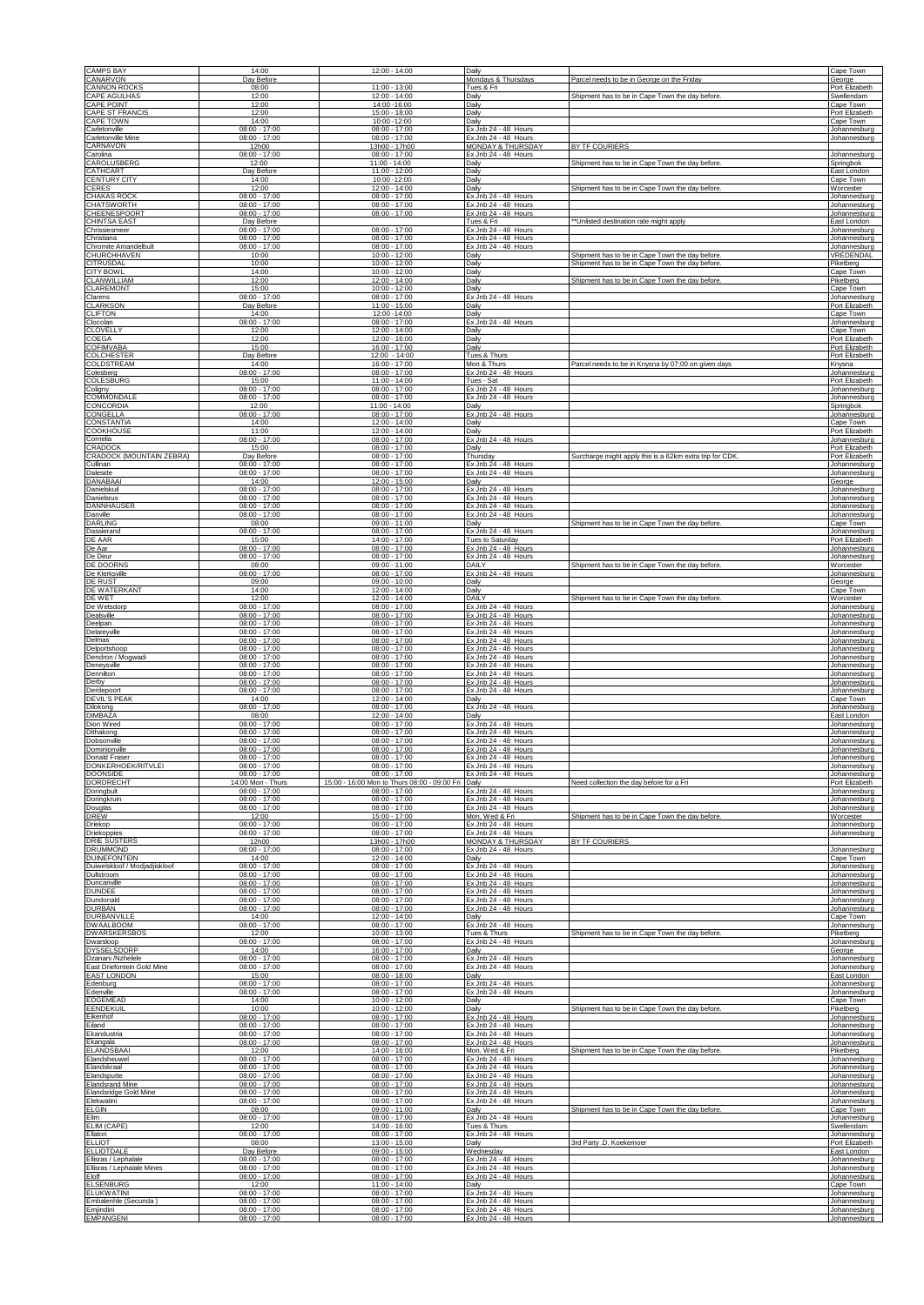| <b>CAMPS BAY</b>                                     | 14:00                                       | 12:00 - 14:00                                       | Daily                                                |                                                         | Cape Town                                 |
|------------------------------------------------------|---------------------------------------------|-----------------------------------------------------|------------------------------------------------------|---------------------------------------------------------|-------------------------------------------|
| CANARVON<br><b>CANNON ROCKS</b>                      | Day Before<br>08:00                         | $11:00 - 13:00$                                     | Mondays & Thursdays<br>Tues & Fri                    | Parcel needs to be in George on the Friday              | George<br>Port Elizabeth                  |
| CAPE AGULHAS                                         | 12:00                                       | 12:00 - 14:00                                       | Daily                                                | Shipment has to be in Cape Town the day before          | Swellendam                                |
| CAPE POINT                                           | 12:00                                       | 14:00 -16:00                                        | Daily                                                |                                                         | Cape Town                                 |
| <b>CAPE ST FRANCIS</b>                               | 12:00                                       | 15:00 - 18:00                                       | Daily                                                |                                                         | Port Elizabeth                            |
| <b>CAPE TOWN</b>                                     | 14:00                                       | 10:00 -12:00                                        | Daily                                                |                                                         | Cape Town                                 |
| Carletonville                                        | $08:00 - 17:00$                             | $08:00 - 17:00$                                     | Ex Jnb 24 - 48 Hours                                 |                                                         | Johannesburg                              |
| Carletonville Mine<br>CARNAVON                       | $08:00 - 17:00$<br>12h00                    | $08:00 - 17:00$<br>13h00 - 17h00                    | Ex Jnb 24 - 48 Hours<br>MONDAY & THURSDA'            | BY TF COURIERS                                          | Johannesburg                              |
| Carolina                                             | $08:00 - 17:00$                             | $08:00 - 17:00$                                     | Ex Jnb 24 - 48 Hours                                 | Shipment has to be in Cape Town the day before.         | Johannesburg                              |
| CAROLUSBERG                                          | 12:00                                       | $11:00 - 14:00$                                     | Daily                                                |                                                         | <b>Springbok</b>                          |
| CATHCART                                             | Day Before                                  | 11:00 - 12:00                                       | Daily                                                |                                                         | East London                               |
| <b>CENTURY CITY</b>                                  | 14:00                                       | 10:00 -12:00                                        | Daily                                                |                                                         | Cape Town                                 |
| CERES                                                | 12:00                                       | 12:00 - 14:00                                       | Daily                                                | Shipment has to be in Cape Town the day before          | Worcester                                 |
| <b>CHAKAS ROCK</b>                                   | $08:00 - 17:00$                             | $08:00 - 17:00$                                     | Ex Jnb 24 - 48 Hours                                 |                                                         | Johannesburg                              |
| <b>CHATSWORTH</b>                                    | $08:00 - 17:00$                             | $08:00 - 17:00$                                     | Ex Jnb 24 - 48 Hours                                 |                                                         | Johannesburg                              |
| CHEENESPOORT                                         | $08:00 - 17:00$                             | $08:00 - 17:00$                                     | Ex Jnb 24 - 48 Hours                                 |                                                         | Johannesburg                              |
| <b>CHINTSA EAST</b><br>Chrissiesmeer                 | Day Before<br>$08:00 - 17:00$               |                                                     | Tues & Fri                                           | *Unlisted destination rate might apply                  | East London<br>Johannesburg               |
| Christiana                                           | $08:00 - 17:00$                             | 08:00 - 17:00<br>$08:00 - 17:00$<br>$08:00 - 17:00$ | Ex Jnb 24 - 48 Hours<br>Ex Jnb 24 - 48 Hours         |                                                         | Johannesburg                              |
| Chromite Amandelbult<br><b>CHURCHHAVEN</b>           | $08:00 - 17:00$<br>10:00                    | 10:00 - 12:00                                       | Ex Jnb 24 - 48 Hours<br>Daily                        | Shipment has to be in Cape Town the day before.         | Johannesburg<br>VREDENDAL                 |
| <b>CITRUSDAL</b>                                     | 10:00                                       | 10:00 - 12:00                                       | Daily                                                | Shipment has to be in Cape Town the day before          | Piketberg                                 |
| <b>CITY BOWL</b>                                     | 14:00                                       | 10:00 - 12:00                                       | Daily                                                |                                                         | Cape Town                                 |
| <b>CLANWILLIAM</b>                                   | 12:00                                       | $12:00 - 14:00$                                     | Daily                                                | Shipment has to be in Cape Town the day before          | Piketberg                                 |
| CLAREMONT                                            | 15:00                                       | 10:00 - 12:00                                       | Daily                                                |                                                         | Cape Town                                 |
| Clarens                                              | $08:00 - 17:00$                             | $08:00 - 17:00$                                     | Ex Jnb 24 - 48 Hours                                 |                                                         | Johannesburg                              |
| <b>CLARKSON</b>                                      | Day Before                                  | 11:00 - 15:00                                       | Daily                                                |                                                         | Port Elizabeth                            |
| CLIFTON                                              | 14:00                                       | 12:00 -14:00                                        | Daily                                                |                                                         | Cape Town                                 |
| Clocolan                                             | $08:00 - 17:00$                             | $08:00 - 17:00$                                     | Ex Jnb 24 - 48 Hours                                 |                                                         | Johannesburg                              |
| CLOVELLY                                             | 12:00                                       | 12:00 - 14:00                                       | Daily                                                |                                                         | Cape Town                                 |
| COEGA                                                | 12:00                                       | 12:00 - 16:00                                       | Daily                                                |                                                         | Port Elizabeth                            |
| <b>COFIMVABA</b>                                     | 15:00                                       | 16:00 - 17:00                                       | Daily                                                |                                                         | Port Elizabeth                            |
| COLCHESTER                                           | Day Before                                  | 12:00 - 14:00                                       | Tues & Thurs                                         |                                                         | Port Elizabeth                            |
| COLDSTREAM                                           | 14:00                                       | $16:00 - 17:00$                                     | Mon & Thurs                                          | Parcel needs to be in Knysna by 07:00 on given days     | Knysna                                    |
| Colesberg                                            | $08:00 - 17:00$                             | $08:00 - 17:00$                                     | Ex Jnb 24 - 48 Hours                                 |                                                         | Johannesburg                              |
| <b>COLESBURG</b>                                     | 15:00                                       | $11:00 - 14:00$                                     | Tues - Sat                                           |                                                         | Port Elizabeth                            |
| Coligny                                              | $08:00 - 17:00$                             | $08:00 - 17:00$                                     | Ex Jnb 24 - 48 Hours                                 |                                                         | Johannesburg                              |
| COMMONDALE                                           | $08:00 - 17:00$                             | 08:00 - 17:00                                       | Ex Jnb 24 - 48 Hours                                 |                                                         | Johannesburg                              |
| CONCORDIA                                            | 12:00                                       | 11:00 - 14:00                                       | Daily                                                |                                                         | Springbok                                 |
| CONGELLA                                             | $08:00 - 17:00$                             | $08:00 - 17:00$                                     | Ex Jnb 24 - 48 Hours                                 |                                                         | Johannesburg                              |
| CONSTANTIA                                           | 14:00                                       | 12:00 - 14:00                                       | Daily                                                |                                                         | Cape Town                                 |
| COOKHOUSE                                            | 11:00                                       | 12:00 - 14:00                                       | Daily                                                |                                                         | Port Elizabeth                            |
| Cornelia                                             | $08:00 - 17:00$                             | 08:00 - 17:00                                       | Ex Jnb 24 - 48 Hours                                 |                                                         | Johannesburg                              |
| CRADOCK                                              | 15:00                                       | $08:00 - 17:00$                                     | Daily                                                |                                                         | Port Elizabeth                            |
| <b>CRADOCK (MOUNTAIN ZEBRA)</b>                      | Day Before                                  | $08:00 - 17:00$                                     | Thursday                                             | Surcharge might apply this is a 62km extra trip for CDK | Port Elizabeth                            |
| Cullinan                                             | $08:00 - 17:00$                             | $08:00 - 17:00$                                     | Ex Jnb 24 - 48 Hours                                 |                                                         | Johannesburg                              |
| Daleside                                             | $08:00 - 17:00$                             | $08:00 - 17:00$                                     | Ex Jnb 24 - 48 Hours                                 |                                                         | Johannesburg                              |
| DANABAAI                                             | 14:00                                       | 12:00 - 15:00                                       | Daily                                                |                                                         | George                                    |
| Danielskuil                                          | $08:00 - 17:00$                             | $08:00 - 17:00$                                     | Ex Jnb 24 - 48 Hours                                 |                                                         | Johannesburg                              |
| Danielsrus                                           | $08:00 - 17:00$                             | $08:00 - 17:00$                                     | Ex Jnb 24 - 48 Hours                                 |                                                         | Johannesburg                              |
| <b>DANNHAUSER</b>                                    | $08:00 - 17:00$                             | $08:00 - 17:00$                                     | Ex Jnb 24 - 48 Hours                                 |                                                         | Johannesburg                              |
| Danville                                             | $08:00 - 17:00$                             | $08:00 - 17:00$                                     | Ex Jnb 24 - 48 Hours                                 |                                                         | Johannesburg                              |
| DARLING<br>Dassierand                                | 08:00<br>$08:00 - 17:00$                    | 09:00 - 11:00<br>$08:00 - 17:00$                    | Daily<br>Ex Jnb 24 - 48 Hours                        | Shipment has to be in Cape Town the day before          | Cape Town                                 |
| DE AAR                                               | 15:00                                       | 14:00 - 17:00                                       | Tues to Saturday                                     |                                                         | Johannesburg<br>Port Elizabeth            |
| De Aar                                               | $08:00 - 17:00$                             | $08:00 - 17:00$                                     | Ex Jnb 24 - 48 Hours                                 |                                                         | Johannesburg                              |
| De Deur                                              | $08:00 - 17:00$                             | $08:00 - 17:00$                                     | Ex Jnb 24 - 48 Hours                                 |                                                         | Johannesburg                              |
| DE DOORNS                                            | 08:00                                       | 09:00 - 11:00                                       | DAILY                                                | Shipment has to be in Cape Town the day before.         | W orcester                                |
| De Klerksville                                       | $08:00 - 17:00$                             | $08:00 - 17:00$                                     | Ex Jnb 24 - 48 Hours                                 |                                                         | Johannesburg                              |
| DE RUST                                              | 09:00                                       | $09:00 - 10:00$                                     | Daily                                                |                                                         | George                                    |
| DE WATERKANT                                         | 14:00                                       | 12:00 - 14:00                                       | Daily                                                |                                                         | Cape Town                                 |
| DE WET                                               | 12:00                                       | 12:00 - 14:00                                       | DAILY                                                | Shipment has to be in Cape Town the day before          | Worcester                                 |
| De Wetsdorp                                          | $08:00 - 17:00$                             | 08:00 - 17:00                                       | Ex Jnb 24 - 48 Hours                                 |                                                         | Johannesburg                              |
| Dealsville                                           | $08:00 - 17:00$                             | $08:00 - 17:00$                                     | Ex Jnb 24 - 48 Hours                                 |                                                         | Johannesburg                              |
| Deelpan                                              | $08:00 - 17:00$                             | $08:00 - 17:00$                                     | Ex Jnb 24 - 48 Hours                                 |                                                         | Johannesburg                              |
| Delareyville                                         | $08:00 - 17:00$                             | $08:00 - 17:00$                                     | Ex Jnb 24 - 48 Hours                                 |                                                         | Johannesburg                              |
| Delmas                                               | $08:00 - 17:00$                             | $08:00 - 17:00$                                     | Ex Jnb 24 - 48 Hours                                 |                                                         | Johannesburg                              |
| Delportshoop                                         | $08:00 - 17:00$                             | 08:00 - 17:00                                       | Ex Jnb 24 - 48 Hours                                 |                                                         | Johannesburg                              |
| Dendron / Mogwadi                                    | $08:00 - 17:00$                             | $08:00 - 17:00$                                     | Ex Jnb 24 - 48 Hours                                 |                                                         | Johannesburg                              |
| Deneysville                                          | $08:00 - 17:00$                             | $08:00 - 17:00$                                     | Ex Jnb 24 - 48 Hours                                 |                                                         | Johannesburg                              |
| Dennilton                                            | $08:00 - 17:00$                             | $08:00 - 17:00$                                     | Ex Jnb 24 - 48 Hours                                 |                                                         | Johannesburg                              |
| Derby<br>Derdepoort                                  | $08:00 - 17:00$<br>$08:00 - 17:00$          | $08:00 - 17:00$<br>$08:00 - 17:00$                  | <b>Fx</b> Jnb 24 - 48 Hours<br>Ex Jnb 24 - 48 Hours  |                                                         | Johannesburg                              |
| <b>DEVIL'S PEAK</b><br>Dilokong                      | 14:00<br>$08:00 - 17:00$                    | 12:00 - 14:00<br>$08:00 - 17:00$                    | Daily<br>Ex Jnb 24 - 48 Hours                        |                                                         | Johannesburg<br>Cape Town<br>Johannesburg |
| <b>DIMBAZA</b><br>Dion Wired                         | 08:00<br>$08:00 - 17:00$                    | $12:00 - 14:00$<br>$08:00 - 17:00$                  | Daily<br>Ex Jnb 24 - 48 Hours                        |                                                         | East London                               |
| Dithakong                                            | $08:00 - 17:00$                             | $08:00 - 17:00$                                     | Ex Jnb 24 - 48 Hours                                 |                                                         | Johannesburg<br>Johannesburg              |
| Dobsonville                                          | $08:00 - 17:00$                             | $08:00 - 17:00$                                     | Ex Jnb 24 - 48 Hours                                 |                                                         | Johannesburg                              |
| Dominionville                                        | $08:00 - 17:00$                             | $08:00 - 17:00$                                     | Ex Jnb 24 - 48 Hours                                 |                                                         | Johannesburg                              |
| <b>Donald Fraser</b>                                 | $08:00 - 17:00$                             | $08:00 - 17:00$                                     | Ex Jnb 24 - 48 Hours                                 |                                                         | Johannesburg                              |
| DONKERHOEK/RITVLEI                                   | $08:00 - 17:00$                             | $08:00 - 17:00$                                     | Ex Jnb 24 - 48 Hours                                 |                                                         | Johannesburg                              |
| DOONSIDE                                             | $08:00 - 17:00$                             | $08:00 - 17:00$                                     | Ex Jnb 24 - 48 Hours                                 | Need collection the day before for a Fri                | Johannesburg                              |
| <b>DORDRECHT</b>                                     | 14:00 Mon - Thurs                           | 15:00 - 16:00 Mon to Thurs 08:00 - 09:00 Fri        | Daily                                                |                                                         | Port Elizabeth                            |
| Doringbult                                           | $08:00 - 17:00$                             | $08:00 - 17:00$                                     | Ex Jnb 24 - 48 Hours                                 |                                                         | Johannesburg                              |
| <b>Doringkruin</b>                                   | $08:00 - 17:00$                             | $08:00 - 17:00$                                     | Ex Jnb 24 - 48 Hours                                 |                                                         | Johannesburg                              |
| Douglas                                              | $08:00 - 17:00$                             | $08:00 - 17:00$                                     | Ex Jnb 24 - 48 Hours                                 | Shipment has to be in Cape Town the day before          | Johannesburg                              |
| DREW                                                 | 12:00                                       | 15:00 - 17:00                                       | Mon, Wed & Fri                                       |                                                         | Worcester                                 |
| Driekop                                              | $08:00 - 17:00$                             | $08:00 - 17:00$                                     | Ex Jnb 24 - 48 Hours                                 |                                                         | Johannesburg                              |
| Driekoppies                                          | $08:00 - 17:00$                             | $08:00 - 17:00$                                     | Ex Jnb 24 - 48 Hours                                 |                                                         | Johannesburg                              |
| <b>DRIE SUSTERS</b><br>DRUMMOND                      | 12h00<br>$08:00 - 17:00$                    | 13h00 - 17h00<br>$08:00 - 17:00$                    | <b>MONDAY &amp; THURSDAY</b><br>Ex Jnb 24 - 48 Hours | BY TF COURIERS                                          | Johannesburg                              |
| <b>DUINEFONTEIN</b><br>Duiwelskloof / Modjadjiskloof | 14:00<br>$08:00 - 17:00$                    | 12:00 - 14:00<br>$08:00 - 17:00$                    | Daily                                                |                                                         | Cape Town                                 |
| Dullstroom<br>Duncanville                            | $08:00 - 17:00$<br>$08:00 - 17:00$          | $08:00 - 17:00$                                     | Ex Jnb 24 - 48 Hours<br>Ex Jnb 24 - 48 Hours         |                                                         | Johannesburg<br>Johannesburg              |
| <b>DUNDEE</b>                                        | $08:00 - 17:00$                             | $08:00 - 17:00$<br>$08:00 - 17:00$                  | Ex Jnb 24 - 48 Hours<br>Ex Jnb 24 - 48 Hours         |                                                         | Johannesburg<br>Johannesburg              |
| Dundonald                                            | $08:00 - 17:00$                             | $08:00 - 17:00$                                     | Ex Jnb 24 - 48 Hours                                 |                                                         | Johannesburg                              |
| <b>DURBAN</b>                                        | $08:00 - 17:00$                             | $08:00 - 17:00$                                     | Ex Jnb 24 - 48 Hours                                 |                                                         | Johannesburg                              |
| DURBANVILLE                                          | 14:00                                       | 12:00 - 14:00                                       | Daily                                                |                                                         | Cape Town                                 |
| <b>DWAALBOOM</b>                                     | $08:00 - 17:00$                             | $08:00 - 17:00$                                     | Ex Jnb 24 - 48 Hours                                 |                                                         | Johannesburg                              |
| <b>DWARSKERSBOS</b>                                  | 12:00                                       | $10:00 - 13:00$                                     | Tues & Thurs                                         | Shipment has to be in Cape Town the day before.         | Piketberg                                 |
| Dwarsloop                                            | $08:00 - 17:0$                              | $08:00 - 17:00$                                     | Ex Jnb 24 - 48 Hours                                 |                                                         | Johannesburg                              |
| DYSSELSDORP                                          | 14:00                                       | 16:00 - 17:00                                       | Daily                                                |                                                         | George                                    |
| Dzanani /Nzhelele                                    | $08:00 - 17:00$                             | 08:00 - 17:00                                       | Ex Jnb 24 - 48 Hours                                 |                                                         | Johannesburg                              |
| East Driefontein Gold Mine                           | $08:00 - 17:00$                             | $08:00 - 17:00$                                     | Ex Jnb 24 - 48 Hours                                 |                                                         | Johannesburg                              |
| <b>EAST LONDON</b>                                   | 15:00                                       | $08:00 - 18:00$                                     | Daily                                                |                                                         | East London                               |
| Edenburg                                             | $08:00 - 17:00$                             | $08:00 - 17:00$                                     | Ex Jnb 24 - 48 Hours                                 |                                                         | Johannesburg                              |
| Edenville                                            | $08:00 - 17:00$                             | $08:00 - 17:00$                                     | Ex Jnb 24 - 48 Hours                                 |                                                         | Johannesburg                              |
| <b>EDGEMEAD</b>                                      | 14:00                                       | 10:00 - 12:00                                       | Daily                                                | Shipment has to be in Cape Town the day before.         | Cape Town                                 |
| <b>EENDEKUIL</b>                                     | 10:00                                       | 10:00 - 12:00                                       | Daily                                                |                                                         | Piketberg                                 |
| Eikenhof                                             | $08:00 - 17:00$                             | $08:00 - 17:00$                                     | Ex Jnb 24 - 48 Hours                                 |                                                         | Johannesburg                              |
| Eiland                                               | $08:00 - 17:00$                             | $08:00 - 17:00$                                     | Ex Jnb 24 - 48 Hours                                 |                                                         | Johannesburg                              |
| Ekandustria                                          | $08:00 - 17:00$                             | $08:00 - 17:00$                                     | Ex Jnb 24 - 48 Hours<br>Ex Jnb 24 - 48 Hours         |                                                         | Johannesburg                              |
| Ekangala<br>ELANDSBAAI<br>Elandsheuwel               | $08:00 - 17:00$<br>12:00<br>$08:00 - 17:00$ | $08:00 - 17:00$<br>14:00 - 16:00<br>$08:00 - 17:00$ | Mon, Wed & Fri<br>Ex Jnb 24 - 48 Hours               | Shipment has to be in Cape Town the day before.         | Johannesburg<br>Piketberg                 |
| Elandskraal                                          | $08:00 - 17:00$                             | $08:00 - 17:00$                                     | Ex Jnb 24 - 48 Hours                                 |                                                         | Johannesburg<br>Johannesburg              |
| Elandsputte                                          | $08:00 - 17:00$                             | $08:00 - 17:00$                                     | Ex Jnb 24 - 48 Hours                                 |                                                         | Johannesburg                              |
| <b>Elandsrand Mine</b>                               | $08:00 - 17:00$                             | $08:00 - 17:00$                                     | Ex Jnb 24 - 48 Hours                                 |                                                         | Johannesburg                              |
| Elandsridge Gold Mine                                | $08:00 - 17:00$                             | $08:00 - 17:00$                                     | Ex Jnb 24 - 48 Hours                                 |                                                         | Johannesburg                              |
| Elekwatini                                           | $08:00 - 17:00$                             | $08:00 - 17:00$                                     | Ex Jnb 24 - 48 Hours                                 |                                                         | Johannesburg                              |
| ELGIN                                                | 08:00                                       | $09:00 - 11:00$                                     | Daily                                                | Shipment has to be in Cape Town the day before          | Cape Town                                 |
| Elim                                                 | $08:00 - 17:00$                             | $08:00 - 17:00$                                     | Ex Jnb 24 - 48 Hours                                 |                                                         | Johannesburg                              |
| ELIM (CAPE)                                          | 12:00                                       | 14:00 - 16:00                                       | Tues & Thurs                                         |                                                         | Swellendam                                |
| Ellaton                                              | $08:00 - 17:00$                             | $08:00 - 17:00$                                     | Ex Jnb 24 - 48 Hours                                 |                                                         | Johannesburg                              |
| <b>ELLIOT</b>                                        | 08:00                                       | 13:00 - 15:00                                       | Daily                                                | 3rd Party .D. Koekemoer                                 | Port Elizabeth                            |
| <b>ELLIOTDALE</b>                                    | Day Before                                  | $09:00 - 15:00$                                     | Wednesday                                            |                                                         | ast London                                |
| Ellisras / Lephalale                                 | $08:00 - 17:00$                             | $08:00 - 17:00$                                     | Ex Jnb 24 - 48 Hours                                 |                                                         | Johannesburg                              |
| Ellisras / Lephalale Mines                           | $08:00 - 17:00$                             | $08:00 - 17:00$                                     | Ex Jnb 24 - 48 Hours                                 |                                                         | Johannesburg                              |
| Eloff                                                | $08:00 - 17:00$                             | $08:00 - 17:00$                                     | Ex Jnb 24 - 48 Hours                                 |                                                         | Johannesburg                              |
| <b>ELSENBURG</b>                                     | 12:00                                       | 11:00 - 14:00                                       | Dailv                                                |                                                         | Cape Town                                 |
| <b>ELUKWATINI</b>                                    | $08:00 - 17:00$                             | $08:00 - 17:00$                                     | Ex Jnb 24 - 48 Hours                                 |                                                         | lohannesburg                              |
| Embalenhle (Secunda)                                 | $08:00 - 17:00$                             | $08:00 - 17:00$                                     | Ex Jnb 24 - 48 Hours                                 |                                                         | Johannesburg                              |
| Emiindini                                            | $08:00 - 17:00$                             | $08:00 - 17:00$                                     | Ex Jnb 24 - 48 Hours                                 |                                                         | Johannesburg                              |
| <b>EMPANGENI</b>                                     | $08:00 - 17:00$                             | $08:00 - 17:00$                                     | Ex Jnb 24 - 48 Hours                                 |                                                         | Johannesburg                              |
|                                                      |                                             |                                                     |                                                      |                                                         |                                           |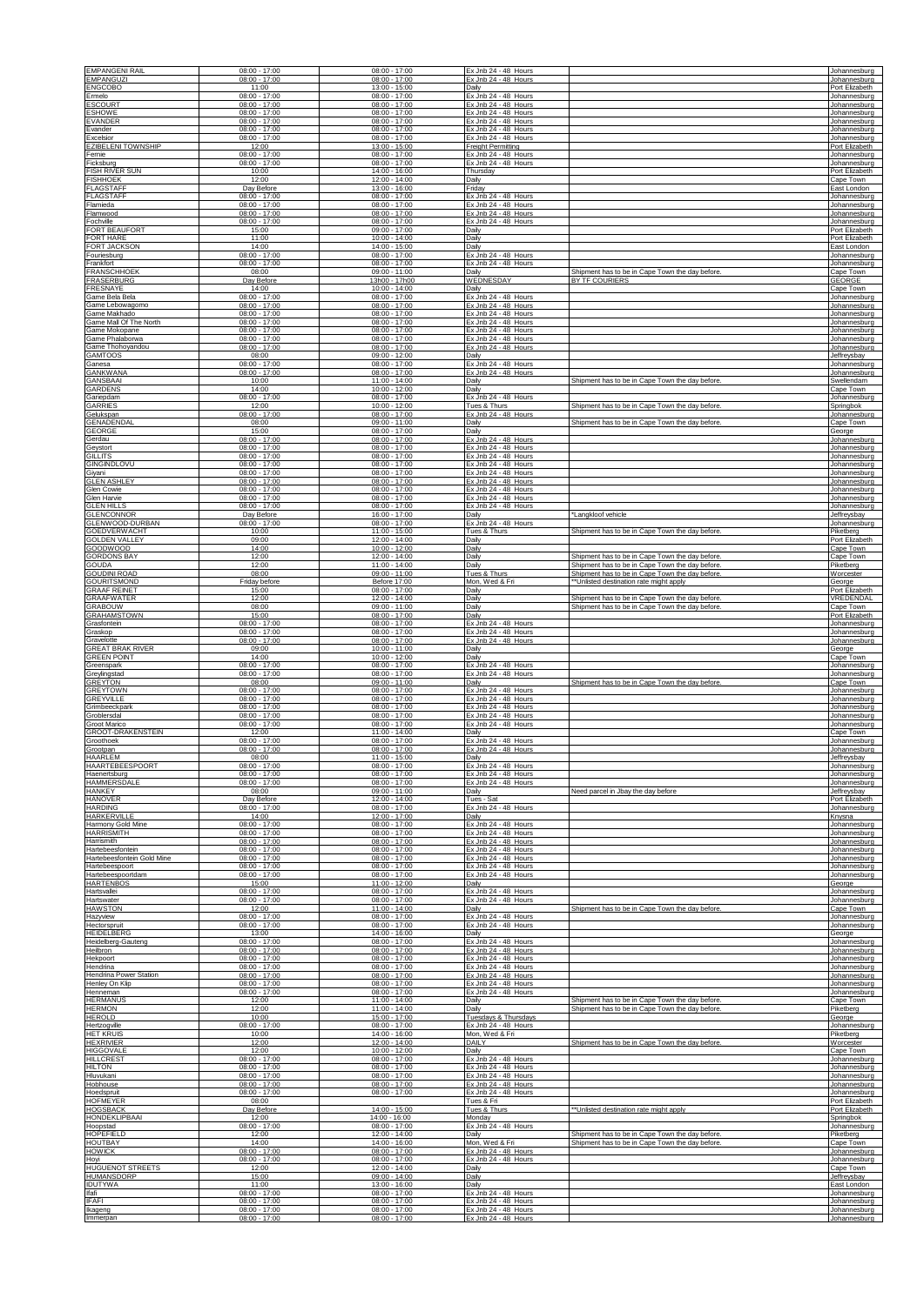| <b>EMPANGENI RAIL</b>                    | $08:00 - 17:00$                    | $08:00 - 17:00$                                     | Ex Jnb 24 - 48 Hours                         |                                                 | Johannesburg                           |
|------------------------------------------|------------------------------------|-----------------------------------------------------|----------------------------------------------|-------------------------------------------------|----------------------------------------|
| <b>EMPANGUZI</b>                         | $08:00 - 17:00$                    | $08:00 - 17:00$                                     | Ex Jnb 24 - 48 Hours                         |                                                 | Johannesburg                           |
| <b>ENGCOBO</b>                           | 11:00                              | 13:00 - 15:00                                       | Daily                                        |                                                 | Port Elizabeth                         |
| Ermelo                                   | $08:00 - 17:00$                    | $08:00 - 17:00$                                     | Ex Jnb 24 - 48 Hours                         |                                                 | Johannesburg                           |
| <b>ESCOURT</b>                           | $08:00 - 17:00$                    | $08:00 - 17:00$                                     | Ex Jnb 24 - 48 Hours                         |                                                 | Johannesburg                           |
| <b>ESHOWE</b>                            | $08:00 - 17:00$                    | 08:00 - 17:00                                       | Ex Jnb 24 - 48 Hours                         |                                                 | Johannesburg                           |
| <b>EVANDER</b>                           | $08:00 - 17:00$                    | $08:00 - 17:00$                                     | Ex Jnb 24 - 48 Hours                         |                                                 | Johannesburg                           |
| Evander                                  | $08:00 - 17:00$                    | $08:00 - 17:00$                                     | Ex Jnb 24 - 48 Hours                         |                                                 | Johannesburg                           |
| Excelsior                                | $08:00 - 17:00$                    | $08:00 - 17:00$                                     | Ex Jnb 24 - 48 Hours                         |                                                 | Johannesburg                           |
| <b>EZIBELENI TOWNSHIP</b>                | 12:00                              | 13:00 - 15:00                                       | <b>Freight Permitting</b>                    |                                                 | Port Elizabeth                         |
| Fernie                                   | $08:00 - 17:00$                    | $08:00 - 17:00$                                     | Ex Jnb 24 - 48 Hours                         |                                                 | Johannesburg                           |
| Ficksburg                                | $08:00 - 17:00$                    | $08:00 - 17:00$                                     | Ex Jnb 24 - 48 Hours                         |                                                 | Johannesburg                           |
| FISH RIVER SUN                           | 10:00                              | 14:00 - 16:00                                       | Thursday                                     |                                                 | Port Elizabeth                         |
| <b>FISHHOEK</b>                          | 12:00                              | 12:00 - 14:00                                       | Daily                                        |                                                 | Cape Town                              |
| <b>FLAGSTAFF</b>                         | Day Before                         | $13:00 - 16:00$                                     | Friday                                       |                                                 | East London                            |
| <b>FLAGSTAFF</b>                         | 08:00 - 17:00                      | $08:00 - 17:00$                                     | Ex Jnb 24 - 48 Hours                         |                                                 | Johannesburg                           |
| Flamieda                                 | $08:00 - 17:00$                    | $08:00 - 17:00$                                     | Ex Jnb 24 - 48 Hours                         |                                                 | Johannesburg                           |
| Flamwood                                 | $08:00 - 17:00$                    | $08:00 - 17:00$                                     | Ex Jnb 24 - 48 Hours                         |                                                 | Johannesburg                           |
| Fochville                                | $08:00 - 17:00$                    | $08:00 - 17:00$                                     | Ex Jnb 24 - 48 Hours                         |                                                 | Johannesburg                           |
| <b>FORT BEAUFORT</b>                     | 15:00                              | 09:00 - 17:00                                       | Daily                                        |                                                 | Port Elizabeth                         |
| <b>FORT HARE</b>                         | 11:00                              | 10:00 - 14:00                                       | Daily                                        |                                                 | Port Elizabeth                         |
| FORT JACKSON                             | 14:00                              | 14:00 - 15:00                                       | Daily                                        |                                                 | East London                            |
| Fouriesburg                              | $08:00 - 17:00$                    | $08:00 - 17:00$                                     | Ex Jnb 24 - 48 Hours                         |                                                 | Johannesburg                           |
| Frankfort                                | $08:00 - 17:00$                    | $08:00 - 17:00$                                     | Ex Jnb 24 - 48 Hours                         |                                                 | Johannesburg                           |
| <b>FRANSCHHOEK</b>                       | 08:00                              | 09:00 - 11:00                                       | Daily                                        | Shipment has to be in Cape Town the day before  | Cape Town                              |
| FRASERBURG                               | Day Before                         | 13h00 - 17h00                                       | WEDNESDAY                                    | BY TF COURIERS                                  | <b>GEORGE</b>                          |
| FRESNAYE                                 | 14:00                              | 10:00 - 14:00                                       | Daily                                        |                                                 | Cape Town                              |
| Game Bela Bela                           | $08:00 - 17:00$                    | $08:00 - 17:00$                                     | Ex Jnb 24 - 48 Hours                         |                                                 | Johannesburg                           |
| Game Lebowagomo                          | $08:00 - 17:00$                    | $08:00 - 17:00$                                     | Ex Jnb 24 - 48 Hours                         |                                                 | Johannesburg                           |
| Game Makhado                             | $08:00 - 17:00$                    | $08:00 - 17:00$                                     | Ex Jnb 24 - 48 Hours                         |                                                 | Johannesburg                           |
| Game Mall Of The North                   | $08:00 - 17:00$                    | $08:00 - 17:00$                                     | Ex Jnb 24 - 48 Hours                         |                                                 | Johannesburg                           |
| Game Mokopane                            | $08:00 - 17:00$                    | $08:00 - 17:00$                                     | Ex Jnb 24 - 48 Hours                         |                                                 | Johannesburg                           |
| Game Phalaborwa                          | $08:00 - 17:00$                    | $08:00 - 17:00$                                     | Ex Jnb 24 - 48 Hours                         |                                                 | Johannesburg                           |
| Game Thohoyandou                         | $08:00 - 17:00$                    | $08:00 - 17:00$                                     | Ex Jnb 24 - 48 Hours                         |                                                 | Johannesburg                           |
| GAMTOOS                                  | 08:00                              | $09:00 - 12:00$                                     | Daily                                        |                                                 | Jeffreysbay                            |
| Ganesa                                   | $08:00 - 17:00$                    | $08:00 - 17:00$                                     | Ex Jnb 24 - 48 Hours                         |                                                 | Johannesburg                           |
| <b>GANKWANA</b>                          | $08:00 - 17:00$                    | $08:00 - 17:00$                                     | Ex Jnb 24 - 48 Hours                         | Shipment has to be in Cape Town the day before. | Johannesburg                           |
| GANSBAAI                                 | 10:00                              | 11:00 - 14:00                                       | Daily                                        |                                                 | Swellendam                             |
| GARDENS                                  | 14:00                              | $10:00 - 12:00$                                     | Daily                                        |                                                 | Cape Town                              |
| Gariepdam                                | $08:00 - 17:00$                    | $08:00 - 17:00$                                     | Ex Jnb 24 - 48 Hours                         |                                                 | Johannesburg                           |
| <b>GARRIES</b>                           | 12:00                              | 10:00 - 12:00                                       | Tues & Thurs                                 | Shipment has to be in Cape Town the day before  | Springbok                              |
| Gelukspan                                | $08:00 - 17:00$                    | $08:00 - 17:00$                                     | Ex Jnb 24 - 48 Hours                         |                                                 | Johannesburg                           |
| <b>GENADENDAL</b>                        | 08:00                              | $09:00 - 11:00$                                     | Daily                                        | Shipment has to be in Cape Town the day before. | Cape Town                              |
| <b>GEORGE</b>                            | 15:00                              | $08:00 - 17:00$                                     | Daily                                        |                                                 | George                                 |
| Gerdau                                   | $08:00 - 17:00$                    | $08:00 - 17:00$                                     | Ex Jnb 24 - 48 Hours                         |                                                 | Johannesburg                           |
| Geystort                                 | $08:00 - 17:00$                    | $08:00 - 17:00$                                     | Ex Jnb 24 - 48 Hours                         |                                                 | Johannesburg                           |
| <b>GILLITS</b><br><b>GINGINDLOVU</b>     | $08:00 - 17:00$<br>$08:00 - 17:00$ | $08:00 - 17:00$<br>$08:00 - 17:00$                  | Ex Jnb 24 - 48 Hours<br>Ex Jnb 24 - 48 Hours |                                                 | Johannesburg                           |
| Giyani<br><b>GLEN ASHLEY</b>             | $08:00 - 17:00$<br>$08:00 - 17:00$ | $08:00 - 17:00$<br>$08:00 - 17:00$                  | Ex Jnb 24 - 48 Hours                         |                                                 | Johannesburg<br>Johannesburg           |
| <b>Glen Cowie</b>                        | $08:00 - 17:00$                    | $08:00 - 17:00$                                     | Ex Jnb 24 - 48 Hours<br>Ex Jnb 24 - 48 Hours |                                                 | Johannesburg<br>Johannesburg           |
| Glen Harvie                              | $08:00 - 17:00$                    | $08:00 - 17:00$                                     | Ex Jnb 24 - 48 Hours                         |                                                 | Johannesburg                           |
| <b>GLEN HILLS</b>                        | $08:00 - 17:00$                    | $08:00 - 17:00$                                     | Ex Jnb 24 - 48 Hours                         |                                                 | Johannesburg                           |
| <u>GLENCONNOR</u><br>GLENWOOD-DURBAN     | Day Before<br>08:00 - 17:00        | 16:00 - 17:00<br>$08:00 - 17:00$                    | Daily<br>Ex Jnb 24 - 48 Hours                | 'Langkloof vehicle                              | Jeffreysbay<br>Johannesburg            |
| <b>GOEDVERWACHT</b>                      | 10:00                              | 11:00 - 15:00                                       | Tues & Thurs                                 | Shipment has to be in Cape Town the day before  | Piketberg                              |
| <b>GOLDEN VALLEY</b>                     | 09:00                              | 12:00 - 14:00                                       | Daily                                        |                                                 | Port Elizabeth                         |
| GOODWOOD                                 | 14:00                              | $10:00 - 12:00$                                     | Daily                                        | Shipment has to be in Cape Town the day before. | Cape Town                              |
| <b>GORDONS BAY</b>                       | 12:00                              | 12:00 - 14:00                                       | Daily                                        |                                                 | Cape Town                              |
| GOUDA                                    | 12:00                              | 11:00 - 14:00                                       | Daily                                        | Shipment has to be in Cape Town the day before  | Piketberg                              |
| <b>GOUDINI ROAD</b>                      | 08:00                              | $09:00 - 11:00$                                     | Tues & Thurs                                 | Shipment has to be in Cape Town the day before  | Worcester                              |
| <b>GOURITSMOND</b>                       | Friday before                      | Before 17:00                                        | Mon, Wed & Fri                               | ** Unlisted destination rate might apply        | George                                 |
| <b>GRAAF REINET</b>                      | 15:00                              | $08:00 - 17:00$                                     | Daily                                        |                                                 | Port Elizabeth                         |
| GRAAFWATER                               | 12:00                              | 12:00 - 14:00                                       | Daily                                        | Shipment has to be in Cape Town the day before. | VREDENDAL                              |
| <b>GRABOUW</b>                           | 08:00                              | $09:00 - 11:00$                                     | Daily                                        | Shipment has to be in Cape Town the day before. | Cape Town                              |
| GRAHAMSTOWN                              | 15:00                              | $08:00 - 17:00$                                     | Daily                                        |                                                 | Port Elizabeth                         |
| Grasfontein                              | $08:00 - 17:00$                    | $08:00 - 17:00$                                     | Ex Jnb 24 - 48 Hours                         |                                                 | Johannesburg                           |
| Graskop                                  | $08:00 - 17:00$                    | $08:00 - 17:00$                                     | Ex Jnb 24 - 48 Hours                         |                                                 | Johannesburg                           |
| Gravelotte                               | $08:00 - 17:00$                    | $08:00 - 17:00$                                     | Ex Jnb 24 - 48 Hours                         |                                                 | Johannesburg                           |
| <b>GREAT BRAK RIVER</b>                  | 09:00                              | $10:00 - 11:00$                                     | Daily                                        |                                                 | George                                 |
| <b>GREEN POINT</b>                       | 14:00                              | 10:00 - 12:00                                       | Daily                                        |                                                 | Cape Town                              |
| Greenspark                               | $08:00 - 17:00$                    | $08:00 - 17:00$                                     | Ex Jnb 24 - 48 Hours                         |                                                 | Johannesburg                           |
| Greylingstad                             | $08:00 - 17:00$                    | $08:00 - 17:00$                                     | Ex Jnb 24 - 48 Hours                         |                                                 | Johannesburg                           |
| GREYTON                                  | 08:00                              | 09:00 - 11:00                                       | Daily                                        | Shipment has to be in Cape Town the day before  | Cape Town                              |
| GREYTOWN                                 | $08:00 - 17:00$                    | $08:00 - 17:00$                                     | Ex Jnb 24 - 48 Hours                         |                                                 | Johannesburg                           |
| <b>GREYVILLE</b>                         | $08:00 - 17:00$                    | $08:00 - 17:00$                                     | Ex Jnb 24 - 48 Hours                         |                                                 | Johannesburg                           |
| Grimbeeckpark                            | $08:00 - 17:00$                    | $08:00 - 17:00$                                     | Ex Jnb 24 - 48 Hours                         |                                                 | Johannesburg                           |
| Groblersdal                              | $08:00 - 17:00$                    | $08:00 - 17:00$                                     | Ex Jnb 24 - 48 Hours                         |                                                 | Johannesburg                           |
| <b>Groot Marico</b>                      | $08:00 - 17:00$                    | $08:00 - 17:00$                                     | Ex Jnb 24 - 48 Hours                         |                                                 | Johannesburg                           |
| <b>GROOT-DRAKENSTEIN</b>                 | 12:00                              | 11:00 - 14:00                                       | Daily                                        |                                                 | Cape Town                              |
| Groothoek                                | $08:00 - 17:00$                    | $08:00 - 17:00$                                     | Ex Jnb 24 - 48 Hours                         |                                                 | Johannesburg                           |
| Grootpan                                 | $08:00 - 17:00$                    | $08:00 - 17:00$                                     | Ex Jnb 24 - 48 Hours                         |                                                 | Johannesburg                           |
| <b>HAARLEM</b>                           | 08:00                              | 11:00 - 15:00                                       | Daily                                        |                                                 | Jeffreysbay                            |
| <b>HAARTEBEESPOORT</b>                   | $08:00 - 17:00$                    | 08:00 - 17:00                                       | Ex Jnb 24 - 48 Hours                         |                                                 | Johannesburg                           |
| Haenertsburg                             | $08:00 - 17:00$                    | 08:00 - 17:00                                       | Ex Jnb 24 - 48 Hours                         |                                                 | Johannesburg                           |
| HAMMERSDALE                              | $08:00 - 17:00$                    | $08:00 - 17:00$                                     | Ex Jnb 24 - 48 Hours                         | Need parcel in Jbay the day before              | Johannesburg                           |
| <b>HANKEY</b>                            | 08:00                              | 09:00 - 11:00                                       | Daily                                        |                                                 | Jeffreysbay                            |
| <b>HANOVER</b>                           | Day Before                         | 12:00 - 14:00                                       | Tues - Sat                                   |                                                 | Port Elizabeth                         |
| <b>HARDING</b>                           | $08:00 - 17:00$                    | $08:00 - 17:00$                                     | Ex Jnb 24 - 48 Hours                         |                                                 | Johannesburg                           |
| <b>HARKERVILLE</b>                       | 14:00                              | 12:00 - 17:00                                       | Daily                                        |                                                 | Knysna                                 |
| Harmony Gold Mine                        | $08:00 - 17:00$                    | $08:00 - 17:00$                                     | Ex Jnb 24 - 48 Hours                         |                                                 | Johannesburg                           |
| HARRISMITH                               | $08:00 - 17:00$                    | $08:00 - 17:00$                                     | Ex Jnb 24 - 48 Hours                         |                                                 | Johannesburg                           |
| Harrismith                               | $08:00 - 17:00$                    | $08:00 - 17:00$                                     | Ex Jnb 24 - 48 Hours                         |                                                 | Johannesburg                           |
| Hartebeesfontein                         | $08:00 - 17:00$                    | $08:00 - 17:00$                                     | Ex Jnb 24 - 48 Hours                         |                                                 | Johannesburg                           |
| Hartebeesfontein Gold Mine               | $08:00 - 17:00$                    | $08:00 - 17:00$                                     | Ex Jnb 24 - 48 Hours                         |                                                 | Johannesburg                           |
| Hartebeespoort                           | $08:00 - 17:00$                    | $08:00 - 17:00$                                     | Ex Jnb 24 - 48 Hours                         |                                                 | Johannesburg                           |
| Hartebeespoortdam                        | $08:00 - 17:00$                    | $08:00 - 17:00$                                     | Ex Jnb 24 - 48 Hours                         |                                                 | Johannesburg                           |
| <b>HARTENBOS</b>                         | 15:00                              | $11:00 - 12:00$                                     | Daily                                        |                                                 | George                                 |
| Hartsvallei                              | 08:00 - 17:00                      | $08:00 - 17:00$                                     | Ex Jnb 24 - 48 Hours                         |                                                 | Johannesburg                           |
| Hartswater                               | 08:00 - 17:00                      | $08:00 - 17:00$                                     | Ex Jnb 24 - 48 Hours                         | Shipment has to be in Cape Town the day before  | Johannesburg                           |
| <b>HAWSTON</b>                           | 12:00                              | 11:00 - 14:00                                       | Daily                                        |                                                 | Cape Town                              |
| Hazyview<br>Hectorspruit                 | $08:00 - 17:00$<br>$08:00 - 17:00$ | $08:00 - 17:00$                                     | Ex Jnb 24 - 48 Hours<br>Ex Jnb 24 - 48 Hours |                                                 | Johannesburg                           |
| HEIDELBERG<br>Heidelberg-Gauteng         | 13:00<br>$08:00 - 17:00$           | $08:00 - 17:00$<br>14:00 - 16:00<br>$08:00 - 17:00$ | Daily<br>Ex Jnb 24 - 48 Hours                |                                                 | Johannesburg<br>George<br>Johannesburg |
| Heilbron                                 | $08:00 - 17:00$                    | $08:00 - 17:00$                                     | Ex Jnb 24 - 48 Hours                         |                                                 | Johannesburg                           |
| Hekpoort                                 | $08:00 - 17:00$                    | $08:00 - 17:00$                                     | Ex Jnb 24 - 48 Hours                         |                                                 | Johannesburg                           |
| Hendrina                                 | $08:00 - 17:00$<br>$08:00 - 17:00$ | $08:00 - 17:00$<br>$08:00 - 17:00$                  | Ex Jnb 24 - 48 Hours                         |                                                 | Johannesburg                           |
| Hendrina Power Station<br>Henley On Klip | $08:00 - 17:00$                    | $08:00 - 17:00$                                     | Ex Jnb 24 - 48 Hours<br>Ex Jnb 24 - 48 Hours |                                                 | Johannesburg<br>Johannesburg           |
| Henneman                                 | $08:00 - 17:00$                    | $08:00 - 17:00$                                     | Ex Jnb 24 - 48 Hours                         | Shipment has to be in Cape Town the day before. | Johannesburg                           |
| HERMANUS                                 | 12:00                              | 11:00 - 14:00                                       | Daily                                        |                                                 | Cape Town                              |
| <b>HERMON</b>                            | 12:00                              | 11:00 - 14:00                                       | Daily                                        | Shipment has to be in Cape Town the day before. | Piketberg                              |
| HEROLD                                   | 10:00                              | 15:00 - 17:00                                       | <b>Tuesdays &amp; Thursdays</b>              |                                                 | George                                 |
| Hertzogville                             | 08:00 - 17:00                      | $08:00 - 17:00$                                     | Ex Jnb 24 - 48 Hours                         |                                                 | Johannesburg                           |
| <b>HET KRUIS</b>                         | 10:00                              | 14:00 - 16:00                                       | Mon, Wed & Fri                               |                                                 | Piketberg                              |
| <b>HEXRIVIER</b>                         | 12:00                              | 12:00 - 14:00                                       | DAILY                                        | Shipment has to be in Cape Town the day before  | Worcester                              |
| <b>HIGGOVALE</b>                         | 12:00                              | $10:00 - 12:00$                                     | Daily                                        |                                                 | Cape Town                              |
| <b>HILLCREST</b>                         | 08:00 - 17:00                      | $08:00 - 17:00$                                     | Ex Jnb 24 - 48 Hours                         |                                                 | Johannesburg                           |
| <b>HILTON</b>                            | $08:00 - 17:00$                    | $08:00 - 17:00$                                     | Ex Jnb 24 - 48 Hours                         |                                                 | Johannesburg                           |
| Hluvukani                                | $08:00 - 17:00$                    | $08:00 - 17:00$                                     | Ex Jnb 24 - 48 Hours                         |                                                 | Johannesburg                           |
| Hobhouse                                 | $08:00 - 17:00$                    | $08:00 - 17:00$                                     | Ex Jnb 24 - 48 Hours                         |                                                 | Johannesburg                           |
| Hoedspruit<br>HOFMEYER                   | $08:00 - 17:00$<br>08:00           | $08:00 - 17:00$                                     | Ex Jnb 24 - 48 Hours<br>Tues & Fri           |                                                 | Johannesburg<br>Port Elizabeth         |
| <u>HOGSBACK</u>                          | Day Before                         | 14:00 - 15:00                                       | Tues & Thurs                                 | ** Unlisted destination rate might apply        | Port Elizabeth                         |
| HONDEKLIPBAAI                            | 12:00                              | 14:00 - 16:00                                       | Monday                                       |                                                 | Springbok                              |
| Hoopstad                                 | $08:00 - 17:00$                    | $08:00 - 17:00$                                     | Ex Jnb 24 - 48 Hours                         | Shipment has to be in Cape Town the day before. | Johannesburg                           |
| <b>HOPEFIELD</b>                         | 12:00                              | $12:00 - 14:00$                                     | Daily                                        |                                                 | Piketberg                              |
| <b>HOUTBAY</b>                           | 14:00                              | 14:00 - 16:00                                       | Mon, Wed & Fri                               | Shipment has to be in Cape Town the day before  | Cape Town                              |
| <b>HOWICK</b>                            | 08:00 - 17:00                      | $08:00 - 17:00$                                     | Ex Jnb 24 - 48 Hours                         |                                                 | Johannesburg                           |
| Hoyi                                     | $08:00 - 17:00$                    | $08:00 - 17:00$                                     | Ex Jnb 24 - 48 Hours                         |                                                 | Johannesburg                           |
| <b>HUGUENOT STREETS</b>                  | 12:00                              | $12:00 - 14:00$                                     | Daily                                        |                                                 | Cape Town                              |
| <b>HUMANSDORP</b>                        | 15:00                              | $09:00 - 14:00$                                     | Daily                                        |                                                 | Jeffreysbay                            |
| <b>IDUTYWA</b>                           | 11:00                              | 13:00 - 16:00                                       | Daily                                        |                                                 | East London                            |
| lfafi                                    | 08:00 - 17:00                      | $08:00 - 17:00$                                     | Ex Jnb 24 - 48 Hours                         |                                                 | Johannesburg                           |
| <b>IFAFI</b>                             | $08:00 - 17:00$                    | $08:00 - 17:00$                                     | Ex Jnb 24 - 48 Hours                         |                                                 | Johannesburg                           |
| Ikageng                                  | $08:00 - 17:00$                    | $08:00 - 17:00$                                     | Ex Jnb 24 - 48 Hours                         |                                                 | Johannesburg                           |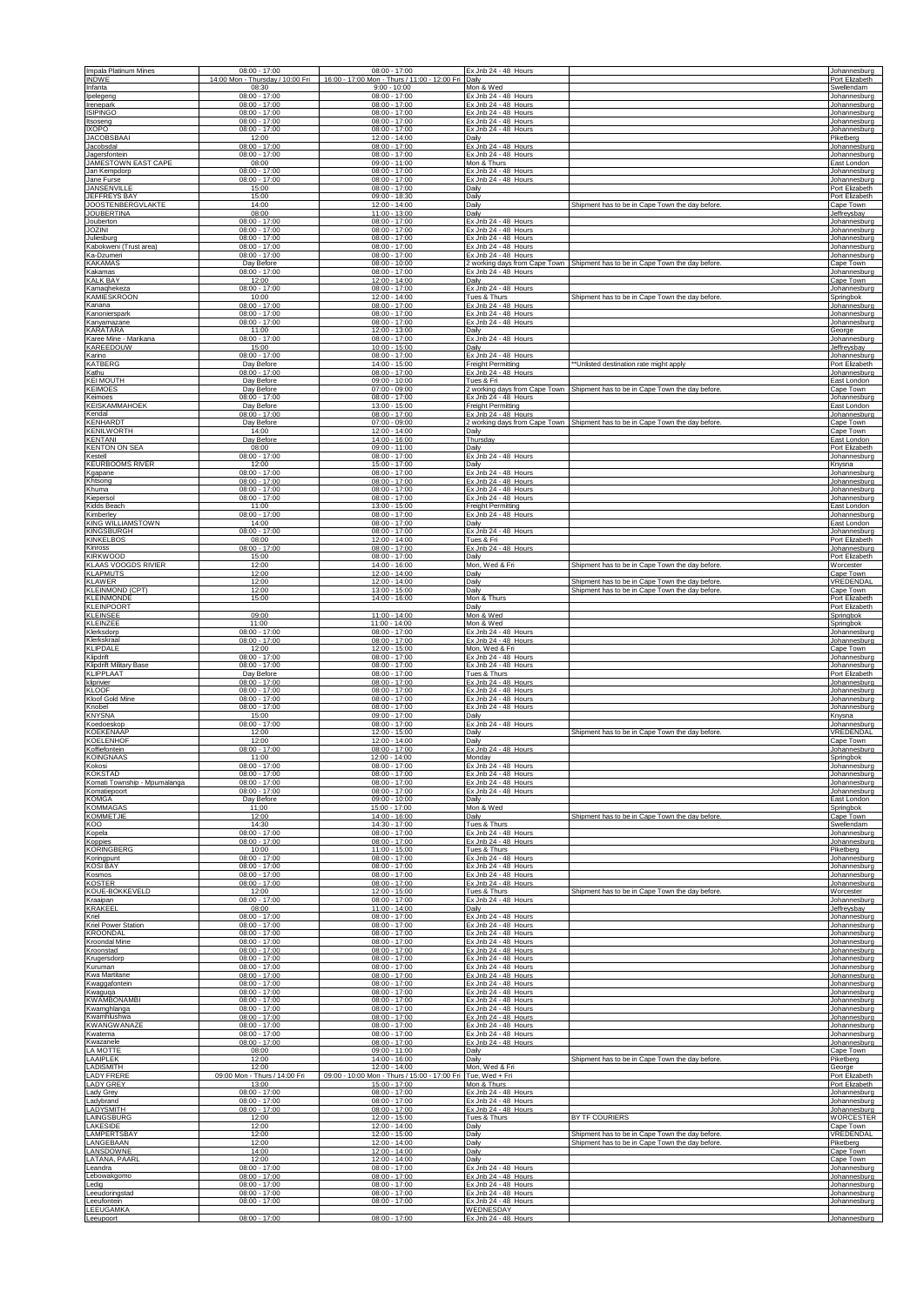| Impala Platinum Mines                                 | $08:00 - 17:00$                                       | $08:00 - 17:00$                                       | Ex Jnb 24 - 48 Hours                                                 |                                                                                                  | Johannesburg                                     |
|-------------------------------------------------------|-------------------------------------------------------|-------------------------------------------------------|----------------------------------------------------------------------|--------------------------------------------------------------------------------------------------|--------------------------------------------------|
| <b>INDWE</b>                                          | 14:00 Mon - Thursday / 10:00 Fri                      | 16:00 - 17:00 Mon - Thurs / 11:00 - 12:00 Fri         | Daily                                                                |                                                                                                  | Port Elizabeth                                   |
| Infanta                                               | 08:30                                                 | $9:00 - 10:00$                                        | Mon & Wed                                                            |                                                                                                  | Swellendam                                       |
| Ipelegeng                                             | $08:00 - 17:00$                                       | $08:00 - 17:00$                                       | Ex Jnb 24 - 48 Hours                                                 |                                                                                                  | Johannesburg                                     |
| Irenepark<br><b>ISIPINGO</b>                          | $08:00 - 17:00$<br>$08:00 - 17:00$                    | $08:00 - 17:00$<br>$08:00 - 17:00$<br>$08:00 - 17:00$ | Ex Jnb 24 - 48 Hours<br>Ex Jnb 24 - 48 Hours                         |                                                                                                  | Johannesburg<br>Johannesburg                     |
| Itsoseng<br><b>IXOPO</b><br><b>JACOBSBAAI</b>         | $08:00 - 17:00$<br>$08:00 - 17:00$<br>12:00           | $08:00 - 17:00$<br>$12:00 - 14:00$                    | Ex Jnb 24 - 48 Hours<br>Ex Jnb 24 - 48 Hours<br>Daily                |                                                                                                  | Johannesburg<br>Piketberg                        |
| Jacobsdal                                             | $08:00 - 17:00$                                       | $08:00 - 17:00$                                       | Ex Jnb 24 - 48 Hours                                                 |                                                                                                  | Johannesburg                                     |
| Jagersfontein                                         | $08:00 - 17:00$                                       | $08:00 - 17:00$                                       | Ex Jnb 24 - 48 Hours                                                 |                                                                                                  | Johannesburg                                     |
| JAMESTOWN EAST CAPE<br>Jan Kempdorp<br>Jane Furse     | 08:00<br>$08:00 - 17:00$<br>$08:00 - 17:00$           | $09:00 - 11:00$<br>$08:00 - 17:00$<br>$08:00 - 17:00$ | Mon & Thurs<br>Ex Jnb 24 - 48 Hours<br>Ex Jnb 24 - 48 Hours          |                                                                                                  | East London<br>Johannesburg                      |
| JANSENVILLE<br>JEFFREYS BAY                           | 15:00<br>15:00                                        | $08:00 - 17:00$<br>$09:00 - 18:30$                    | Daily<br>Daily                                                       |                                                                                                  | Johannesburg<br>Port Elizabeth<br>Port Elizabeth |
| <b>JOOSTENBERGVLAKTE</b>                              | 14:00                                                 | 12:00 - 14:00                                         | Daily                                                                | Shipment has to be in Cape Town the day before                                                   | Cape Town                                        |
| <b>JOUBERTINA</b>                                     | 08:00                                                 | 11:00 - 13:00                                         | Daily                                                                |                                                                                                  | Jeffreysbay                                      |
| Jouberton                                             | $08:00 - 17:00$                                       | $08:00 - 17:00$                                       | Ex Jnb 24 - 48 Hours                                                 |                                                                                                  | Johannesburg                                     |
| <b>JOZINI</b>                                         | $08:00 - 17:00$                                       | $08:00 - 17:00$                                       | Ex Jnb 24 - 48 Hours                                                 |                                                                                                  | Johannesburg                                     |
| Juliesburg                                            | $08:00 - 17:00$                                       | $08:00 - 17:00$                                       | Ex Jnb 24 - 48 Hours                                                 |                                                                                                  | Johannesburg                                     |
| Kabokweni (Trust area)                                | $08:00 - 17:00$                                       | $08:00 - 17:00$                                       | Ex Jnb 24 - 48 Hours                                                 |                                                                                                  | Johannesburg                                     |
| Ka-Dzumeri                                            | $08:00 - 17:00$                                       | $08:00 - 17:00$                                       | Ex Jnb 24 - 48 Hours                                                 |                                                                                                  | Johannesburg                                     |
| <b>KAKAMAS</b><br>Kakamas<br><b>KALK BAY</b>          | Day Before<br>$08:00 - 17:00$                         | $08:00 - 10:00$<br>$08:00 - 17:00$<br>12:00 - 14:00   | Ex Jnb 24 - 48 Hours                                                 | 2 working days from Cape Town Shipment has to be in Cape Town the day before.                    | Cape Town<br>Johannesburg                        |
| Kamaqhekeza<br><b>KAMIESKROON</b>                     | 12:00<br>$08:00 - 17:00$<br>10:00                     | $08:00 - 17:00$<br>$12:00 - 14:00$                    | Daily<br>Ex Jnb 24 - 48 Hours<br>Tues & Thurs                        | Shipment has to be in Cape Town the day before.                                                  | Cape Town<br>Johannesburg<br>Springbok           |
| Kanana                                                | $08:00 - 17:00$                                       | $08:00 - 17:00$                                       | Ex Jnb 24 - 48 Hours                                                 |                                                                                                  | Johannesburg                                     |
| Kanonierspark                                         | $08:00 - 17:00$                                       | $08:00 - 17:00$                                       | Ex Jnb 24 - 48 Hours                                                 |                                                                                                  | Johannesburg                                     |
| Kanyamazane                                           | $08:00 - 17:00$                                       | $08:00 - 17:00$                                       | Ex Jnb 24 - 48 Hours                                                 |                                                                                                  | Johannesburg                                     |
| <b>KARATARA</b>                                       | 11:00                                                 | 12:00 - 13:00                                         | Daily                                                                |                                                                                                  | George                                           |
| Karee Mine - Marikana                                 | $08:00 - 17:00$                                       | $08:00 - 17:00$                                       | Ex Jnb 24 - 48 Hours                                                 |                                                                                                  | Johannesburg                                     |
| KAREEDOUW                                             | 15:00                                                 | $10:00 - 15:00$                                       | Daily                                                                |                                                                                                  | Jeffreysbay                                      |
| Karino                                                | $08:00 - 17:00$                                       | $08:00 - 17:00$                                       | Ex Jnb 24 - 48 Hours                                                 |                                                                                                  | Johannesburg                                     |
| KATBERG                                               | Day Before                                            | 14:00 - 15:00                                         | Freight Permitting                                                   | Unlisted destination rate might apply                                                            | Port Elizabeth                                   |
| Kathu                                                 | $08:00 - 17:00$                                       | 08:00 - 17:00                                         | Ex Jnb 24 - 48 Hours                                                 |                                                                                                  | Johannesburg                                     |
| <b>KEI MOUTH</b>                                      | Day Before                                            | $09:00 - 10:00$                                       | Tues & Fri                                                           |                                                                                                  | East London                                      |
| <b>KEIMOES</b><br>Keimoes                             | Day Before<br>$08:00 - 17:00$                         | $07:00 - 09:00$<br>$08:00 - 17:00$                    | Ex Jnb 24 - 48 Hours                                                 | 2 working days from Cape Town Shipment has to be in Cape Town the day before.                    | Cape Town<br>Johannesburg                        |
| <b>KEISKAMMAHOEK</b>                                  | Day Before                                            | 13:00 - 15:00                                         | Freight Permitting                                                   |                                                                                                  | East London                                      |
| Kendal                                                | $08:00 - 17:00$                                       | $08:00 - 17:00$                                       | Ex Jnb 24 - 48 Hours                                                 |                                                                                                  | Johannesburg                                     |
| <b>KENHARDT</b>                                       | Day Before                                            | $07:00 - 09:00$                                       | 2 working days from Cape Town                                        | Shipment has to be in Cape Town the day before                                                   | Cape Town                                        |
| <b>KENILWORTH</b>                                     | 14:00                                                 | $12:00 - 14:00$                                       | Daily                                                                |                                                                                                  | Cape Town                                        |
| KENTANI                                               | Day Before                                            | 14:00 - 16:00                                         | <b>Thursday</b>                                                      |                                                                                                  | East London                                      |
| <b>KENTON ON SEA</b>                                  | 08:00                                                 | $09:00 - 11:00$                                       | Daily                                                                |                                                                                                  | Port Elizabeth                                   |
| Kestell                                               | $08:00 - 17:00$                                       | $08:00 - 17:00$                                       | Ex Jnb 24 - 48 Hours                                                 |                                                                                                  | Johannesburg                                     |
| <b>KEURBOOMS RIVER</b><br>Kgapane                     | 12:00<br>$08:00 - 17:00$<br>$08:00 - 17:00$           | 15:00 - 17:00<br>$08:00 - 17:00$<br>$08:00 - 17:00$   | Daily<br>Ex Jnb 24 - 48 Hours                                        |                                                                                                  | Knysna<br>Johannesburg                           |
| Khtsong<br>Khuma<br>Kiepersol                         | $08:00 - 17:00$<br>$08:00 - 17:00$                    | $08:00 - 17:00$<br>$08:00 - 17:00$                    | Ex Jnb 24 - 48 Hours<br>Ex Jnb 24 - 48 Hours<br>Ex Jnb 24 - 48 Hours |                                                                                                  | Johannesburg<br>Johannesburg<br>Johannesburg     |
| Kidds Beach                                           | 11:00                                                 | $13:00 - 15:00$                                       | Freight Permitting                                                   |                                                                                                  | East London                                      |
| Kimberley                                             | $08:00 - 17:00$                                       | $08:00 - 17:00$                                       | Ex Jnb 24 - 48 Hours                                                 |                                                                                                  | Johannesburg                                     |
| <b>KING WILLIAMSTOWN</b>                              | 14:00                                                 | $08:00 - 17:00$                                       | Daily                                                                |                                                                                                  | East London                                      |
| <b>KINGSBURGH</b>                                     | $08:00 - 17:00$                                       | $08:00 - 17:00$                                       | Ex Jnb 24 - 48 Hours                                                 |                                                                                                  | Johannesburg                                     |
| <b>KINKELBOS</b>                                      | 08:00                                                 | 12:00 - 14:00                                         | Tues & Fri                                                           |                                                                                                  | Port Elizabeth                                   |
| Kinross                                               | $08:00 - 17:00$                                       | $08:00 - 17:00$                                       | Ex Jnb 24 - 48 Hours                                                 |                                                                                                  | Johannesburg                                     |
| <b>KIRKWOOD</b>                                       | 15:00                                                 | $08:00 - 17:00$                                       | Daily                                                                |                                                                                                  | Port Elizabeth                                   |
| <b>KLAAS VOOGDS RIVIER</b>                            | 12:00                                                 | 14:00 - 16:00                                         | Mon, Wed & Fri                                                       | Shipment has to be in Cape Town the day before.                                                  | <b>Worcester</b>                                 |
| <b>KLAPMUTS</b>                                       | 12:00                                                 | 12:00 - 14:00                                         | Daily                                                                |                                                                                                  | Cape Town                                        |
| KLAWER<br><b>KLEINMOND (CPT)</b><br><b>KLEINMONDE</b> | 12:00<br>12:00<br>15:00                               | 12:00 - 14:00<br>$13:00 - 15:00$<br>$14:00 - 16:00$   | Daily<br>Daily<br>Mon & Thurs                                        | Shipment has to be in Cape Town the day before<br>Shipment has to be in Cape Town the day before | VREDENDAI<br>Cape Town<br>Port Elizabeth         |
| <b>KLEINPOORT</b><br><b>KLEINSEE</b>                  | 09:00                                                 | $11:00 - 14:00$                                       | Daily<br>Mon & Wed                                                   |                                                                                                  | Port Elizabeth<br>Springbok                      |
| <b>KLEINZEE</b>                                       | 11:00                                                 | 11:00 - 14:00                                         | Mon & Wed                                                            |                                                                                                  | Springbok                                        |
| Klerksdorp                                            | $08:00 - 17:00$                                       | $08:00 - 17:00$                                       | Ex Jnb 24 - 48 Hours                                                 |                                                                                                  | Johannesburg                                     |
| Klerkskraal                                           | $08:00 - 17:00$                                       | $08:00 - 17:00$                                       | Ex Jnb 24 - 48 Hours                                                 |                                                                                                  | Johannesburg                                     |
| <b>KLIPDALE</b>                                       | 12:00                                                 | 12:00 - 15:00                                         | Mon, Wed & Fri                                                       |                                                                                                  | Cape Town                                        |
| Klipdrift                                             | $08:00 - 17:00$                                       | $08:00 - 17:00$                                       | Ex Jnb 24 - 48 Hours                                                 |                                                                                                  | Johannesburg                                     |
| Klipdrift Military Base                               | $08:00 - 17:00$                                       | $08:00 - 17:00$                                       | Ex Jnb 24 - 48 Hours                                                 |                                                                                                  | Johannesburg                                     |
| <b>KLIPPLAAT</b>                                      | Day Before                                            | $08:00 - 17:00$                                       | Tues & Thurs                                                         |                                                                                                  | Port Elizabeth                                   |
| kliprivier                                            | $08:00 - 17:00$                                       | $08:00 - 17:00$                                       | Ex Jnb 24 - 48 Hours                                                 |                                                                                                  | Johannesburg                                     |
| <b>KLOOF</b>                                          | $08:00 - 17:00$                                       | $08:00 - 17:00$                                       | Ex Jnb 24 - 48 Hours                                                 |                                                                                                  | Johannesburg                                     |
| Kloof Gold Mine                                       | $08:00 - 17:00$                                       | $08:00 - 17:00$                                       | Ex Jnb 24 - 48 Hours                                                 |                                                                                                  | Johannesburg                                     |
| Knobel                                                | $08:00 - 17:00$                                       | $08:00 - 17:00$                                       | Ex Jnb 24 - 48 Hours                                                 |                                                                                                  | Johannesburg                                     |
| <b>KNYSNA</b>                                         | 15:00                                                 | $09:00 - 17:00$                                       | Daily                                                                |                                                                                                  | Knysna                                           |
| Koedoeskop                                            | $08:00 - 17:00$                                       | $08:00 - 17:00$                                       | Ex Jnb 24 - 48 Hours                                                 | Shipment has to be in Cape Town the day before.                                                  | Johannesburg                                     |
| <b>KOEKENAAP</b>                                      | 12:00                                                 | 12:00 - 15:00                                         | Daily                                                                |                                                                                                  | VREDENDAL                                        |
| <b>KOELENHOF</b>                                      | 12:00                                                 | 12:00 - 14:00                                         | Daily                                                                |                                                                                                  | Cape Town                                        |
| Koffiefontein                                         | $08:00 - 17:00$                                       | $08:00 - 17:00$                                       | Ex Jnb 24 - 48 Hours                                                 |                                                                                                  | Johannesburg                                     |
| KOINGNAAS                                             | 11:00                                                 | 12:00 - 14:00                                         | Mond:                                                                |                                                                                                  | Snringhok                                        |
| Kokosi                                                | $08:00 - 17:00$                                       | $08:00 - 17:00$                                       | Ex Jnb 24 - 48 Hours                                                 |                                                                                                  | Johannesburg                                     |
| <b>KOKSTAD</b>                                        | $08:00 - 17:00$                                       | $08:00 - 17:00$                                       | Ex Jnb 24 - 48 Hours                                                 |                                                                                                  | Johannesburg                                     |
| Komati Township - Mpumalanga                          | $08:00 - 17:00$                                       | $08:00 - 17:00$                                       | Ex Jnb 24 - 48 Hours                                                 |                                                                                                  | Johannesburg                                     |
| Komatiepoort                                          | $08:00 - 17:00$                                       | $08:00 - 17:00$                                       | Ex Jnb 24 - 48 Hours                                                 |                                                                                                  | Johannesburg                                     |
| <b>KOMGA</b>                                          | Day Before                                            | $09:00 - 10:00$                                       | Daily                                                                |                                                                                                  | East London                                      |
| <b>KOMMAGAS</b>                                       | 11:00                                                 | 15:00 - 17:00                                         | Mon & Wed                                                            | Shipment has to be in Cape Town the day before.                                                  | Springbok                                        |
| <b>KOMMETJIE</b>                                      | 12:00                                                 | 14:00 - 16:00                                         | Daily                                                                |                                                                                                  | Cape Town                                        |
| KOO                                                   | 14:30                                                 | 14:30 - 17:00                                         | Tues & Thurs                                                         |                                                                                                  | Swellendam                                       |
| Kopela                                                | $08:00 - 17:00$                                       | $08:00 - 17:00$                                       | Ex Jnb 24 - 48 Hours                                                 |                                                                                                  | Johannesburg                                     |
| Koppies                                               | $08:00 - 17:00$                                       | $08:00 - 17:00$                                       | Ex Jnb 24 - 48 Hours                                                 |                                                                                                  | Johannesburg                                     |
| <b>KORINGBERG</b>                                     | 10:00                                                 | 11:00 - 15:00                                         | Tues & Thurs                                                         |                                                                                                  | Piketberg                                        |
| Koringpunt                                            | $08:00 - 17:00$                                       | $08:00 - 17:00$                                       | Ex Jnb 24 - 48 Hours                                                 |                                                                                                  | Johannesburg                                     |
| <b>KOSI BAY</b>                                       | $08:00 - 17:00$                                       | $08:00 - 17:00$                                       | Ex Jnb 24 - 48 Hours                                                 |                                                                                                  | Johannesburg                                     |
| Kosmos                                                | $08:00 - 17:00$                                       | $08:00 - 17:00$                                       | Ex Jnb 24 - 48 Hours                                                 |                                                                                                  | Johannesburg                                     |
| <b>KOSTER</b>                                         | $08:00 - 17:00$                                       | $08:00 - 17:00$                                       | Ex Jnb 24 - 48 Hours                                                 |                                                                                                  | Johannesburg                                     |
| KOUE-BOKKEVELD                                        | 12:00                                                 | $12:00 - 15:00$                                       | Tues & Thurs                                                         | Shipment has to be in Cape Town the day before.                                                  | Worcester                                        |
| Kraaipan                                              | $08:00 - 17:00$                                       | $08:00 - 17:00$                                       | Ex Jnb 24 - 48 Hours                                                 |                                                                                                  | Johannesburg                                     |
| KRAKEEL                                               | 08:00                                                 | 11:00 - 14:00                                         | Daily                                                                |                                                                                                  | Jeffreysbay                                      |
| Kriel                                                 | $08:00 - 17:00$                                       | $08:00 - 17:00$                                       | Ex Jnb 24 - 48 Hours                                                 |                                                                                                  | Johannesburg                                     |
| Kriel Power Station                                   | $08:00 - 17:00$                                       | $08:00 - 17:00$                                       | Ex Jnb 24 - 48 Hours                                                 |                                                                                                  | Johannesburg                                     |
| <b>KROONDAL</b>                                       | $08:00 - 17:00$                                       | $08:00 - 17:00$                                       | Ex Jnb 24 - 48 Hours                                                 |                                                                                                  | Johannesburg                                     |
| <b>Kroondal Mine</b>                                  | $08:00 - 17:00$                                       | $08:00 - 17:00$                                       | Ex Jnb 24 - 48 Hours                                                 |                                                                                                  | Johannesburg                                     |
| Kroonstad<br>Krugersdorp                              | $08:00 - 17:00$<br>$08:00 - 17:00$<br>$08:00 - 17:00$ | $08:00 - 17:00$<br>$08:00 - 17:00$<br>$08:00 - 17:00$ | Ex Jnb 24 - 48 Hours<br>Ex Jnb 24 - 48 Hours<br>Ex Jnb 24 - 48 Hours |                                                                                                  | Johannesburg<br>Johannesburg                     |
| Kuruman<br>Kwa Martitane<br>Kwaggafontein             | $08:00 - 17:00$<br>$08:00 - 17:00$                    | $08:00 - 17:00$<br>$08:00 - 17:00$                    | Ex Jnb 24 - 48 Hours<br>Ex Jnb 24 - 48 Hours                         |                                                                                                  | Johannesburg<br>Johannesburg<br>Johannesburg     |
| Kwaguqa                                               | $08:00 - 17:00$                                       | $08:00 - 17:00$                                       | Ex Jnb 24 - 48 Hours                                                 |                                                                                                  | Johannesburg                                     |
| <b>KWAMBONAMBI</b>                                    | $08:00 - 17:00$                                       | $08:00 - 17:00$                                       | Ex Jnb 24 - 48 Hours                                                 |                                                                                                  | Johannesburg                                     |
| Kwamghlanga                                           | $08:00 - 17:00$                                       | $08:00 - 17:00$                                       | Ex Jnb 24 - 48 Hours                                                 |                                                                                                  | Johannesburg                                     |
| Kwamhlushwa                                           | $08:00 - 17:00$                                       | $08:00 - 17:00$                                       | Ex Jnb 24 - 48 Hours                                                 |                                                                                                  | Johannesburg                                     |
| <b>KWANGWANAZE</b>                                    | $08:00 - 17:00$                                       | $08:00 - 17:00$                                       | Ex Jnb 24 - 48 Hours                                                 |                                                                                                  | Johannesburg                                     |
| Kwatema                                               | $08:00 - 17:00$                                       | $08:00 - 17:00$                                       | Ex Jnb 24 - 48 Hours                                                 |                                                                                                  | Johannesburg                                     |
| Kwazanele                                             | $08:00 - 17:00$                                       | $08:00 - 17:00$                                       | Ex Jnb 24 - 48 Hours                                                 |                                                                                                  | Johannesburg                                     |
| LA MOTTE                                              | 08:00                                                 | $09:00 - 11:00$                                       | Daily                                                                | Shipment has to be in Cape Town the day before.                                                  | Cape Town                                        |
| LAAIPLEK                                              | 12:00                                                 | 14:00 - 16:00                                         | Daily                                                                |                                                                                                  | Piketberg                                        |
| <b>LADISMITH</b>                                      | 12:00                                                 | $12:00 - 14:00$                                       | Mon, Wed & Fri                                                       |                                                                                                  | George                                           |
| <b>LADY FRERE</b>                                     | 09:00 Mon - Thurs / 14:00 Fri                         | 09:00 - 10:00 Mon - Thurs / 15:00 - 17:00 Fri         | Tue. Wed + Fri                                                       |                                                                                                  | Port Elizabeth                                   |
| <b>LADY GREY</b>                                      | 13:00                                                 | 15:00 - 17:00                                         | Mon & Thurs                                                          |                                                                                                  | Port Elizabeth                                   |
| Lady Grey                                             | $08:00 - 17:00$                                       | $08:00 - 17:00$                                       | Ex Jnb 24 - 48 Hours                                                 |                                                                                                  | Johannesburg                                     |
| Ladybrand                                             | $08:00 - 17:00$                                       | $08:00 - 17:00$                                       | Ex Jnb 24 - 48 Hours                                                 |                                                                                                  | Johannesburg                                     |
| LADYSMITH                                             | $08:00 - 17:00$                                       | $08:00 - 17:00$                                       | Ex Jnb 24 - 48 Hours                                                 | BY TF COURIERS                                                                                   | Johannesburg                                     |
| LAINGSBURG                                            | 12:00                                                 | 12:00 - 15:00                                         | Tues & Thurs                                                         |                                                                                                  | WORCESTER                                        |
| <b>LAKESIDE</b>                                       | 12:00                                                 | 12:00 - 14:00                                         | Daily                                                                |                                                                                                  | Cape Town                                        |
| <b>I AMPERTSBAY</b>                                   | 12:00                                                 | $12:00 - 15:00$                                       | Daily                                                                | Shipment has to be in Cape Town the day before.                                                  | VREDENDAL                                        |
| LANGEBAAN                                             | 12:00                                                 | 12:00 - 14:00                                         | Daily                                                                | Shipment has to be in Cape Town the day before.                                                  | Piketberg                                        |
| LANSDOWNE                                             | 14:00                                                 | $12:00 - 14:00$                                       | Daily                                                                |                                                                                                  | Cape Town                                        |
| <b>LATANA, PAARL</b>                                  | 12:00                                                 | 12:00 - 14:00                                         | Daily                                                                |                                                                                                  | Cape Town                                        |
| Leandra                                               | $08:00 - 17:00$                                       | $08:00 - 17:00$                                       | Ex Jnb 24 - 48 Hours                                                 |                                                                                                  | Johannesburg                                     |
| Lebowakgomo                                           | $08:00 - 17:00$                                       | $08:00 - 17:00$                                       | Ex Jnb 24 - 48 Hours                                                 |                                                                                                  | Johannesburg                                     |
| Ledig                                                 | $08:00 - 17:00$                                       | $08:00 - 17:00$                                       | Ex Jnb 24 - 48 Hours                                                 |                                                                                                  | Johannesburg                                     |
| Leeudoringstad                                        | $08:00 - 17:00$                                       | $08:00 - 17:00$                                       | Ex Jnb 24 - 48 Hours                                                 |                                                                                                  | Johannesburg                                     |
| Leeufontein                                           | $08:00 - 17:00$                                       | $08:00 - 17:00$                                       | Ex Jnb 24 - 48 Hours                                                 |                                                                                                  | Johannesburg                                     |
| <b>LEEUGAMKA</b><br>Leeupoort                         | $08:00 - 17:00$                                       | $08:00 - 17:00$                                       | WEDNESDAY<br>Ex Jnb 24 - 48 Hours                                    |                                                                                                  | Johannesburg                                     |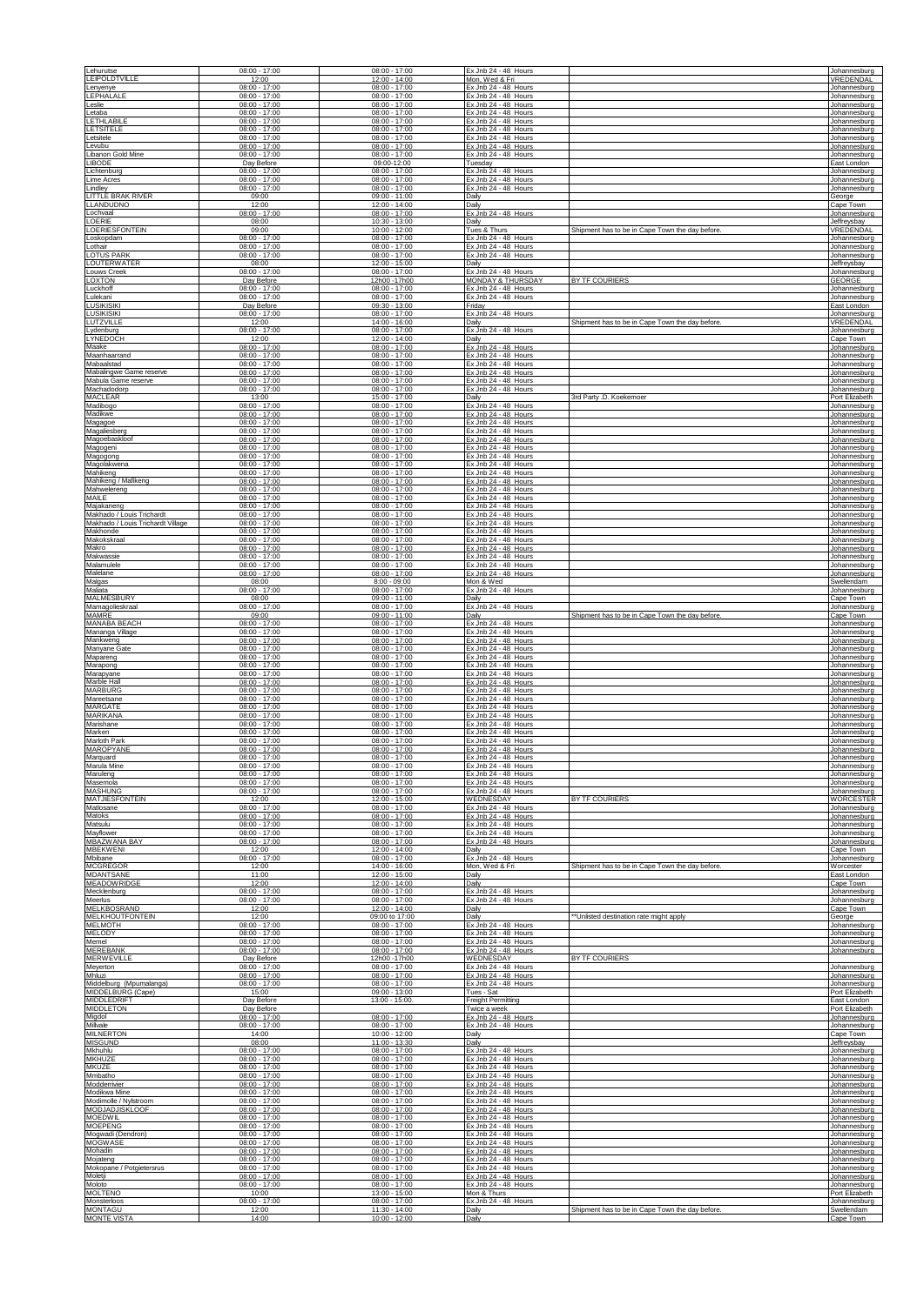| Lehurutse                                               | $08:00 - 17:00$                                       | $08:00 - 17:00$                                       | Ex Jnb 24 - 48 Hours                                                 |                                                 | Johannesburg                                 |
|---------------------------------------------------------|-------------------------------------------------------|-------------------------------------------------------|----------------------------------------------------------------------|-------------------------------------------------|----------------------------------------------|
| <b>LEIPOLDTVILLE</b>                                    | 12:00                                                 | 12:00 - 14:00                                         | Mon, Wed & Fri                                                       |                                                 | VREDENDAL                                    |
| Lenyenye                                                | $08:00 - 17:00$                                       | $08:00 - 17:00$                                       | Ex Jnb 24 - 48 Hours                                                 |                                                 | Johannesburg                                 |
| <b>LEPHALALE</b>                                        | $08:00 - 17:00$                                       | $08:00 - 17:00$                                       | Ex Jnb 24 - 48 Hours                                                 |                                                 | Johannesburg                                 |
| Leslie                                                  | $08:00 - 17:00$                                       | $08:00 - 17:00$                                       | Ex Jnb 24 - 48 Hours                                                 |                                                 | Johannesburg                                 |
| Letaba                                                  | $08:00 - 17:00$                                       | $08:00 - 17:00$                                       | Ex Jnb 24 - 48 Hours                                                 |                                                 | Johannesburg                                 |
| <b>LETHLABILE</b>                                       | $08:00 - 17:00$                                       | $08:00 - 17:00$                                       | Ex Jnb 24 - 48 Hours                                                 |                                                 | Johannesburg                                 |
| LETSITELE                                               | $08:00 - 17:00$                                       | $08:00 - 17:00$                                       | Ex Jnb 24 - 48 Hours                                                 |                                                 | Johannesburg                                 |
| Letsitele                                               | $08:00 - 17:00$                                       | $08:00 - 17:00$                                       | Ex Jnb 24 - 48 Hours                                                 |                                                 | Johannesburg                                 |
| Levubu                                                  | $08:00 - 17:00$                                       | $08:00 - 17:00$                                       | Ex Jnb 24 - 48 Hours                                                 |                                                 | Johannesburg                                 |
| Libanon Gold Mine                                       | $08:00 - 17:00$                                       | $08:00 - 17:00$                                       | Ex Jnb 24 - 48 Hours                                                 |                                                 | Johannesburg                                 |
| <b>LIBODE</b>                                           | Day Before                                            | 09:00-12:00                                           | Tuesday                                                              |                                                 | East London                                  |
| Lichtenburg                                             | $08:00 - 17:00$                                       | $08:00 - 17:00$                                       | Ex Jnb 24 - 48 Hours                                                 |                                                 | Johannesburg                                 |
| Lime Acres                                              | $08:00 - 17:00$                                       | $08:00 - 17:00$                                       | Ex Jnb 24 - 48 Hours                                                 |                                                 | Johannesburg                                 |
| Lindley                                                 | $08:00 - 17:00$                                       | $08:00 - 17:00$                                       | Ex Jnb 24 - 48 Hours                                                 |                                                 | Johannesburg                                 |
| LITTLE BRAK RIVER                                       | 09:00                                                 | $09:00 - 11:00$                                       | Daily                                                                |                                                 | George                                       |
| <b>LLANDUDNO</b>                                        | 12:00                                                 | $12:00 - 14:00$                                       | Daily                                                                |                                                 | Cape Town                                    |
| Lochvaal                                                | $08:00 - 17:00$                                       | $08:00 - 17:00$                                       | Ex Jnb 24 - 48 Hours                                                 |                                                 | Johannesburg                                 |
| LOERIE                                                  | 08:00                                                 | 10:30 - 13:00                                         | Dailv                                                                |                                                 | Jeffreysbay                                  |
| LOERIESFONTEIN                                          | 09:00                                                 | 10:00 - 12:00                                         | Tues & Thurs                                                         | Shipment has to be in Cape Town the day before. | VREDENDAL                                    |
| Loskopdam                                               | $08:00 - 17:00$                                       | $08:00 - 17:00$                                       | Ex Jnb 24 - 48 Hours                                                 |                                                 | Johannesburg                                 |
| Lothair                                                 | $08:00 - 17:00$                                       | $08:00 - 17:00$                                       | Ex Jnb 24 - 48 Hours                                                 |                                                 | Johannesburg                                 |
| <b>LOTUS PARK</b>                                       | $08:00 - 17:00$                                       | $08:00 - 17:00$                                       | Ex Jnb 24 - 48 Hours                                                 |                                                 | Johannesburg                                 |
| LOUTERWATER                                             | 08:00                                                 | 12:00 - 15:00                                         | Daily                                                                | <b>BY TF COURIERS</b>                           | Jeffreysbay                                  |
| Louws Creek                                             | $08:00 - 17:00$                                       | $08:00 - 17:00$                                       | Ex Jnb 24 - 48 Hours                                                 |                                                 | Johannesburg                                 |
| <b>LOXTON</b>                                           | Day Before                                            | 12h00 -17h00                                          | MONDAY & THURSDAY                                                    |                                                 | GEORGE                                       |
| Luckhoff                                                | $08:00 - 17:00$                                       | $08:00 - 17:00$                                       | Ex Jnb 24 - 48 Hours                                                 |                                                 | Johannesburg                                 |
| Lulekani                                                | $08:00 - 17:00$                                       | $08:00 - 17:00$                                       | Ex Jnb 24 - 48 Hours                                                 |                                                 | Johannesburg                                 |
| <b>LUSIKISIKI</b><br><b>LUSIKISIKI</b>                  | Day Before<br>$08:00 - 17:00$<br>12:00                | 09:30 - 13:00<br>$08:00 - 17:00$                      | Fridav<br>Ex Jnb 24 - 48 Hours                                       |                                                 | East London<br>Johannesburg                  |
| LUTZVILLE<br>Lydenburg<br><b>LYNEDOCH</b>               | $08:00 - 17:00$<br>12:00                              | 14:00 - 16:00<br>$08:00 - 17:00$<br>12:00 - 14:00     | Daily<br>Ex Jnb 24 - 48 Hours<br>Daily                               | Shipment has to be in Cape Town the day before  | VREDENDAL<br>Johannesburg<br>Cape Town       |
| Maake                                                   | $08:00 - 17:00$                                       | $08:00 - 17:00$                                       | Ex Jnb 24 - 48 Hours                                                 |                                                 | Johannesburg                                 |
| Maanhaarrand                                            | $08:00 - 17:00$                                       | $08:00 - 17:00$                                       | Ex Jnb 24 - 48 Hours                                                 |                                                 | Johannesburg                                 |
| Mabaalstad                                              | $08:00 - 17:00$                                       | $08:00 - 17:00$                                       | Ex Jnb 24 - 48 Hours                                                 |                                                 | Johannesburg                                 |
| Mabalingwe Game reserve                                 | $08:00 - 17:00$                                       | $08:00 - 17:00$                                       | Ex Jnb 24 - 48 Hours                                                 |                                                 | Johannesburg                                 |
| Mabula Game reserve                                     | $08:00 - 17:00$                                       | $08:00 - 17:00$                                       | Ex Jnb 24 - 48 Hours                                                 |                                                 | Johannesburg                                 |
| Machadodorp                                             | $08:00 - 17:00$                                       | $08:00 - 17:00$                                       | Ex Jnb 24 - 48 Hours                                                 | 3rd Party .D. Koekemoer                         | Johannesburg                                 |
| MACLEAR                                                 | 13:00                                                 | 15:00 - 17:00                                         | Daily                                                                |                                                 | Port Elizabeth                               |
| Madibogo                                                | $08:00 - 17:00$                                       | $08:00 - 17:00$                                       | Ex Jnb 24 - 48 Hours                                                 |                                                 | Johannesburg                                 |
| Madikwe                                                 | $08:00 - 17:00$                                       | $08:00 - 17:00$                                       | Ex Jnb 24 - 48 Hours                                                 |                                                 | Johannesburg                                 |
| Magagoe                                                 | $08:00 - 17:00$                                       | $08:00 - 17:00$                                       | Ex Jnb 24 - 48 Hours                                                 |                                                 | Johannesburg                                 |
| Magaliesberg                                            | $08:00 - 17:00$                                       | $08:00 - 17:00$                                       | Ex Jnb 24 - 48 Hours                                                 |                                                 | Johannesburg                                 |
| Magoebaskloof                                           | $08:00 - 17:00$                                       | $08:00 - 17:00$                                       | Ex Jnb 24 - 48 Hours                                                 |                                                 | Johannesburg                                 |
| Magogeni                                                | $08:00 - 17:00$                                       | $08:00 - 17:00$                                       | Ex Jnb 24 - 48 Hours                                                 |                                                 | Johannesburg                                 |
| Magogong                                                | $08:00 - 17:00$                                       | $08:00 - 17:00$                                       | Ex Jnb 24 - 48 Hours                                                 |                                                 | Johannesburg                                 |
| Magolakwena                                             | $08:00 - 17:00$                                       | $08:00 - 17:00$                                       | Ex Jnb 24 - 48 Hours                                                 |                                                 | Johannesburg                                 |
| Mahikeng                                                | $08:00 - 17:00$                                       | $08:00 - 17:00$                                       | Ex Jnb 24 - 48 Hours                                                 |                                                 | Johannesburg                                 |
| Mahikeng / Mafikeng                                     | $08:00 - 17:00$                                       | $08:00 - 17:00$                                       | Ex Jnb 24 - 48 Hours                                                 |                                                 | Johannesburg                                 |
| Mahwelereng                                             | $08:00 - 17:00$                                       | $08:00 - 17:00$                                       | Ex Jnb 24 - 48 Hours                                                 |                                                 | Johannesburg                                 |
| MAILE                                                   | $08:00 - 17:00$                                       | $08:00 - 17:00$                                       | Ex Jnb 24 - 48 Hours                                                 |                                                 | Johannesburg                                 |
| Majakaneng                                              | $08:00 - 17:00$                                       | $08:00 - 17:00$                                       | Ex Jnb 24 - 48 Hours                                                 |                                                 | Johannesburg                                 |
| Makhado / Louis Trichardt                               | $08:00 - 17:00$                                       | $08:00 - 17:00$                                       | Ex Jnb 24 - 48 Hours                                                 |                                                 | Johannesburg                                 |
| Makhado / Louis Trichardt Village                       | $08:00 - 17:00$                                       | $08:00 - 17:00$                                       | Ex Jnb 24 - 48 Hours                                                 |                                                 | Johannesburg                                 |
| Makhonde                                                | $08:00 - 17:00$                                       | $08:00 - 17:00$                                       | Ex Jnb 24 - 48 Hours                                                 |                                                 | Johannesburg                                 |
| Makokskraal                                             | $08:00 - 17:00$                                       | $08:00 - 17:00$                                       | Ex Jnb 24 - 48 Hours                                                 |                                                 | Johannesburg                                 |
| Makro                                                   | $08:00 - 17:00$                                       | $08:00 - 17:00$                                       | Ex Jnb 24 - 48 Hours                                                 |                                                 | Johannesburg                                 |
| Makwassie                                               | $08:00 - 17:00$                                       | $08:00 - 17:00$                                       | Ex Jnb 24 - 48 Hours                                                 |                                                 | Johannesburg                                 |
| Malamulele                                              | $08:00 - 17:00$                                       | 08:00 - 17:00                                         | Ex Jnb 24 - 48 Hours                                                 |                                                 | Johannesburg                                 |
| Malelane                                                | $08:00 - 17:00$                                       | $08:00 - 17:00$                                       | Ex Jnb 24 - 48 Hours                                                 |                                                 | Johannesburg                                 |
| Malgas                                                  | 08:00                                                 | $8:00 - 09:00$                                        | Mon & Wed                                                            |                                                 | Swellendam                                   |
| Maliata                                                 | $08:00 - 17:00$                                       | $08:00 - 17:00$                                       | Ex Jnb 24 - 48 Hours                                                 |                                                 | Johannesburg                                 |
| MALMESBURY                                              | 08:00                                                 | $09:00 - 11:00$                                       | Daily                                                                | Shipment has to be in Cape Town the day before  | Cape Town                                    |
| Mamagolieskraal                                         | $08:00 - 17:00$                                       | 08:00 - 17:00                                         | Ex Jnb 24 - 48 Hours                                                 |                                                 | Johannesburg                                 |
| MAMRF                                                   | 09:00                                                 | $09:00 - 11:00$                                       | Daily                                                                |                                                 | Cape Town                                    |
| <b>MANABA BEACH</b>                                     | $08:00 - 17:00$                                       | $08:00 - 17:00$                                       | Ex Jnb 24 - 48 Hours                                                 |                                                 | Johannesburg                                 |
| Mananga Village                                         | $08:00 - 17:00$                                       | $08:00 - 17:00$                                       | Ex Jnb 24 - 48 Hours                                                 |                                                 | Johannesburg                                 |
| Mankweng<br>Manyane Gate                                | $08:00 - 17:00$<br>$08:00 - 17:00$<br>$08:00 - 17:00$ | $08:00 - 17:00$<br>08:00 - 17:00<br>$08:00 - 17:00$   | Ex Jnb 24 - 48 Hours<br>Ex Jnb 24 - 48 Hours<br>Ex Jnb 24 - 48 Hours |                                                 | Johannesburg<br>Johannesburg<br>Johannesburg |
| Mapareng<br>Marapong<br>Marapyane                       | $08:00 - 17:00$<br>$08:00 - 17:00$                    | $08:00 - 17:00$<br>$08:00 - 17:00$                    | Ex Jnb 24 - 48 Hours<br>Ex Jnb 24 - 48 Hours                         |                                                 | Johannesburg<br>Johannesburg                 |
| Marble Hall                                             | $08:00 - 17:00$                                       | $08:00 - 17:00$                                       | Ex Jnb 24 - 48 Hours                                                 |                                                 | Johannesburg                                 |
| MARBURG                                                 | $08:00 - 17:00$                                       | $08:00 - 17:00$                                       | Ex Jnb 24 - 48 Hours                                                 |                                                 | Johannesburg                                 |
| Mareetsane                                              | $08:00 - 17:00$                                       | $08:00 - 17:00$                                       | Ex Jnb 24 - 48 Hours                                                 |                                                 | Johannesburg                                 |
| MARGATE                                                 | $08:00 - 17:00$                                       | $08:00 - 17:00$                                       | Ex Jnb 24 - 48 Hours                                                 |                                                 | Johannesburg                                 |
| MARIKANA                                                | $08:00 - 17:00$                                       | $08:00 - 17:00$                                       | Ex Jnb 24 - 48 Hours                                                 |                                                 | Johannesburg                                 |
| Marishane                                               | $08:00 - 17:00$                                       | $08:00 - 17:00$                                       | Ex Jnb 24 - 48 Hours                                                 |                                                 | Johannesburg                                 |
| Marken                                                  | $08:00 - 17:00$                                       | $08:00 - 17:00$                                       | Ex Jnb 24 - 48 Hours                                                 |                                                 | Johannesburg                                 |
| <b>Marloth Park</b>                                     | $08:00 - 17:00$                                       | $08:00 - 17:00$                                       | Ex Jnb 24 - 48 Hours                                                 |                                                 | Johannesburg                                 |
| <b>MAROPYANE</b>                                        | $08:00 - 17:00$                                       | $08:00 - 17:00$                                       | Ex Jnb 24 - 48 Hours                                                 |                                                 | Johannesburg                                 |
| Marquard                                                | $08:00 - 17:00$                                       | $08:00 - 17:00$                                       | Ex Jnb 24 - 48 Hours                                                 |                                                 | Johannesburg                                 |
| Marula Mine                                             | $08:00 - 17:00$                                       | $08:00 - 17:00$                                       | Ex Jnb 24 - 48 Hours                                                 |                                                 | Johannesburg                                 |
| Maruleng                                                | $08:00 - 17:00$                                       | $08:00 - 17:00$                                       | Ex Jnb 24 - 48 Hours                                                 |                                                 | Johannesburg                                 |
| Masemola                                                | $08:00 - 17:00$                                       | $08:00 - 17:00$                                       | Ex Jnb 24 - 48 Hours                                                 |                                                 | Johannesburg                                 |
| MASHUNG                                                 | $08:00 - 17:00$                                       | $08:00 - 17:00$                                       | Ex Jnb 24 - 48 Hours                                                 |                                                 | Johannesburg                                 |
| <b>MATJIESFONTEIN</b>                                   | 12:00                                                 | 12:00 - 15:00                                         | WEDNESDAY                                                            | BY TF COURIERS                                  | <b>WORCESTER</b>                             |
| Matlosane                                               | $08:00 - 17:00$                                       | $08:00 - 17:00$                                       | Ex Jnb 24 - 48 Hours                                                 |                                                 | Johannesburg                                 |
| Matoks                                                  | $08:00 - 17:00$                                       | $08:00 - 17:00$                                       | Ex Jnb 24 - 48 Hours                                                 |                                                 | Johannesburg                                 |
| Matsulu                                                 | $08:00 - 17:00$                                       | $08:00 - 17:00$                                       | Ex Jnb 24 - 48 Hours                                                 |                                                 | Johannesburg                                 |
| Mayflower                                               | $08:00 - 17:00$                                       | $08:00 - 17:00$                                       | Ex Jnb 24 - 48 Hours                                                 |                                                 | Johannesburg                                 |
| MBAZWANA BAY                                            | $08:00 - 17:00$                                       | $08:00 - 17:00$                                       | Ex Jnb 24 - 48 Hours                                                 |                                                 | Johannesburg                                 |
| MBEKWENI                                                | 12:00                                                 | 12:00 - 14:00                                         | Daily                                                                |                                                 | Cape Town                                    |
| Mbibane                                                 | $08:00 - 17:00$                                       | $08:00 - 17:00$                                       | Ex Jnb 24 - 48 Hours                                                 | Shipment has to be in Cape Town the day before  | Johannesburg                                 |
| <b>MCGREGOR</b>                                         | 12:00                                                 | $14:00 - 16:00$                                       | Mon, Wed & Fri                                                       |                                                 | Worcester                                    |
| <b>MDANTSANE</b>                                        | 11:00                                                 | 12:00 - 15:00                                         | Daily                                                                |                                                 | East London                                  |
| <b>MEADOWRIDGE</b>                                      | 12:00                                                 | $12:00 - 14:00$                                       | Daily                                                                |                                                 | Cape Town                                    |
| Mecklenburg                                             | $08:00 - 17:00$                                       | $08:00 - 17:00$                                       | Ex Jnb 24 - 48 Hours                                                 |                                                 | Johannesburg                                 |
| Meerlus<br><b>MELKBOSRAND</b><br><b>MELKHOUTFONTEIN</b> | $08:00 - 17:00$<br>12:00<br>12:00                     | $08:00 - 17:00$<br>$12:00 - 14:00$<br>09:00 to 17:00  | <b>Fx.Inh 24 - 48 Hours</b><br>Daily                                 |                                                 | Johannesburg<br>Cape Town                    |
| <b>MELMOTH</b><br>MELODY                                | $08:00 - 17:00$<br>$08:00 - 17:00$                    | $08:00 - 17:00$<br>$08:00 - 17:00$                    | Daily<br>Ex Jnb 24 - 48 Hours<br>Ex Jnb 24 - 48 Hours                | ** Unlisted destination rate might apply        | George<br>Johannesburg<br>Johannesburg       |
| Memel                                                   | $08:00 - 17:00$                                       | $08:00 - 17:00$                                       | Ex Jnb 24 - 48 Hours                                                 |                                                 | Johannesburg                                 |
| <b>MERERANK</b>                                         | $08:00 - 17:00$                                       | $08:00 - 17:00$                                       | Ex Jnb 24 - 48 Hours                                                 |                                                 | Johannesburg                                 |
| MERWEVILLE<br>Meyerton<br>Mhluzi                        | Day Before<br>$08:00 - 17:00$<br>$08:00 - 17:00$      | 12h00 -17h00<br>$08:00 - 17:00$<br>$08:00 - 17:00$    | WEDNESDAY<br>Ex Jnb 24 - 48 Hours<br>Ex Jnb 24 - 48 Hours            | <b>BY TF COURIERS</b>                           | Johannesburg<br>Johannesburg                 |
| Middelburg (Mpumalanga)                                 | $08:00 - 17:00$                                       | $08:00 - 17:00$                                       | Ex Jnb 24 - 48 Hours                                                 |                                                 | Johannesburg                                 |
| MIDDELBURG (Cape)                                       | 15:00                                                 | $09:00 - 13:00$                                       | Tues - Sat                                                           |                                                 | Port Elizabeth                               |
| MIDDLEDRIFT<br><b>MIDDLETON</b>                         | Day Before<br>Day Before                              | 13:00 - 15:00.                                        | <b>Freight Permitting</b><br>Twice a week                            |                                                 | East London<br>Port Elizabeth                |
| Migdol                                                  | $08:00 - 17:00$                                       | $08:00 - 17:00$                                       | Ex Jnb 24 - 48 Hours                                                 |                                                 | Johannesburg                                 |
| Millvale                                                | $08:00 - 17:00$                                       | $08:00 - 17:00$                                       | Ex Jnb 24 - 48 Hours                                                 |                                                 | Johannesburg                                 |
| <b>MILNERTON</b>                                        | 14:00                                                 | $10:00 - 12:00$                                       | Daily                                                                |                                                 | Cape Town                                    |
| <b>MISGUND</b>                                          | 08:00                                                 | 11:00 - 13:30                                         | Daily                                                                |                                                 | Jeffreysbay                                  |
| Mkhuhlu                                                 | $08:00 - 17:00$                                       | $08:00 - 17:00$                                       | Ex Jnb 24 - 48 Hours                                                 |                                                 | Johannesburg                                 |
| <b>MKHUZE</b><br>MKUZE<br>Mmbatho                       | $08:00 - 17:00$<br>$08:00 - 17:00$<br>$08:00 - 17:00$ | $08:00 - 17:00$<br>$08:00 - 17:00$<br>$08:00 - 17:00$ | Ex Jnb 24 - 48 Hours<br>Ex Jnb 24 - 48 Hours                         |                                                 | Johannesburg<br>Johannesburg                 |
| Modderrivier<br>Modikwa Mine                            | $08:00 - 17:00$<br>$08:00 - 17:00$                    | $08:00 - 17:00$<br>$08:00 - 17:00$                    | Ex Jnb 24 - 48 Hours<br>Ex Jnb 24 - 48 Hours<br>Ex Jnb 24 - 48 Hours |                                                 | Johannesburg<br>Johannesburg<br>Johannesburg |
| Modimolle / Nylstroom                                   | $08:00 - 17:00$                                       | $08:00 - 17:00$                                       | Ex Jnb 24 - 48 Hours                                                 |                                                 | Johannesburg                                 |
| MODJADJISKLOOF                                          | $08:00 - 17:00$                                       | $08:00 - 17:00$                                       | Ex Jnb 24 - 48 Hours                                                 |                                                 | Johannesburg                                 |
| <b>MOEDWIL</b>                                          | $08:00 - 17:00$                                       | $08:00 - 17:00$                                       | Ex Jnb 24 - 48 Hours                                                 |                                                 | Johannesburg                                 |
| <b>MOEPENG</b>                                          | $08:00 - 17:00$                                       | $08:00 - 17:00$                                       | Ex Jnb 24 - 48 Hours                                                 |                                                 | Johannesburg                                 |
| Mogwadi (Dendron)                                       | $08:00 - 17:00$                                       | $08:00 - 17:00$                                       | Ex Jnb 24 - 48 Hours                                                 |                                                 | Johannesburg                                 |
| <b>MOGWASE</b>                                          | $08:00 - 17:00$                                       | $08:00 - 17:00$                                       | Ex Jnb 24 - 48 Hours                                                 |                                                 | Johannesburg                                 |
| Mohadin                                                 | $08:00 - 17:00$                                       | $08:00 - 17:00$                                       | Ex Jnb 24 - 48 Hours                                                 |                                                 | Johannesburg                                 |
| Mojateng                                                | $08:00 - 17:00$                                       | $08:00 - 17:00$                                       | Ex Jnb 24 - 48 Hours                                                 |                                                 | Johannesburg                                 |
| Mokopane / Potgietersrus                                | $08:00 - 17:00$                                       | $08:00 - 17:00$                                       | Ex Jnb 24 - 48 Hours                                                 |                                                 | Johannesburg                                 |
| Moletji                                                 | $08:00 - 17:00$                                       | $08:00 - 17:00$                                       | Ex Jnb 24 - 48 Hours                                                 |                                                 | Johannesburg                                 |
| Moloto                                                  | $08:00 - 17:00$                                       | $08:00 - 17:00$                                       | Ex Jnb 24 - 48 Hours                                                 |                                                 | Johannesburg                                 |
| <b>MOLTENO</b>                                          | 10:00                                                 | 13:00 - 15:00                                         | Mon & Thurs                                                          |                                                 | Port Elizabeth                               |
| Monsterloos                                             | $08:00 - 17:00$                                       | $08:00 - 17:00$                                       | Ex Jnb 24 - 48 Hours                                                 | Shipment has to be in Cape Town the day before  | Johannesburg                                 |
| <b>MONTAGU</b>                                          | 12:00                                                 | 11:30 - 14:00                                         | Daily                                                                |                                                 | Swellendam                                   |
| <b>MONTE VISTA</b>                                      | 14:00                                                 | $10:00 - 12:00$                                       | Daily                                                                |                                                 | Cape Town                                    |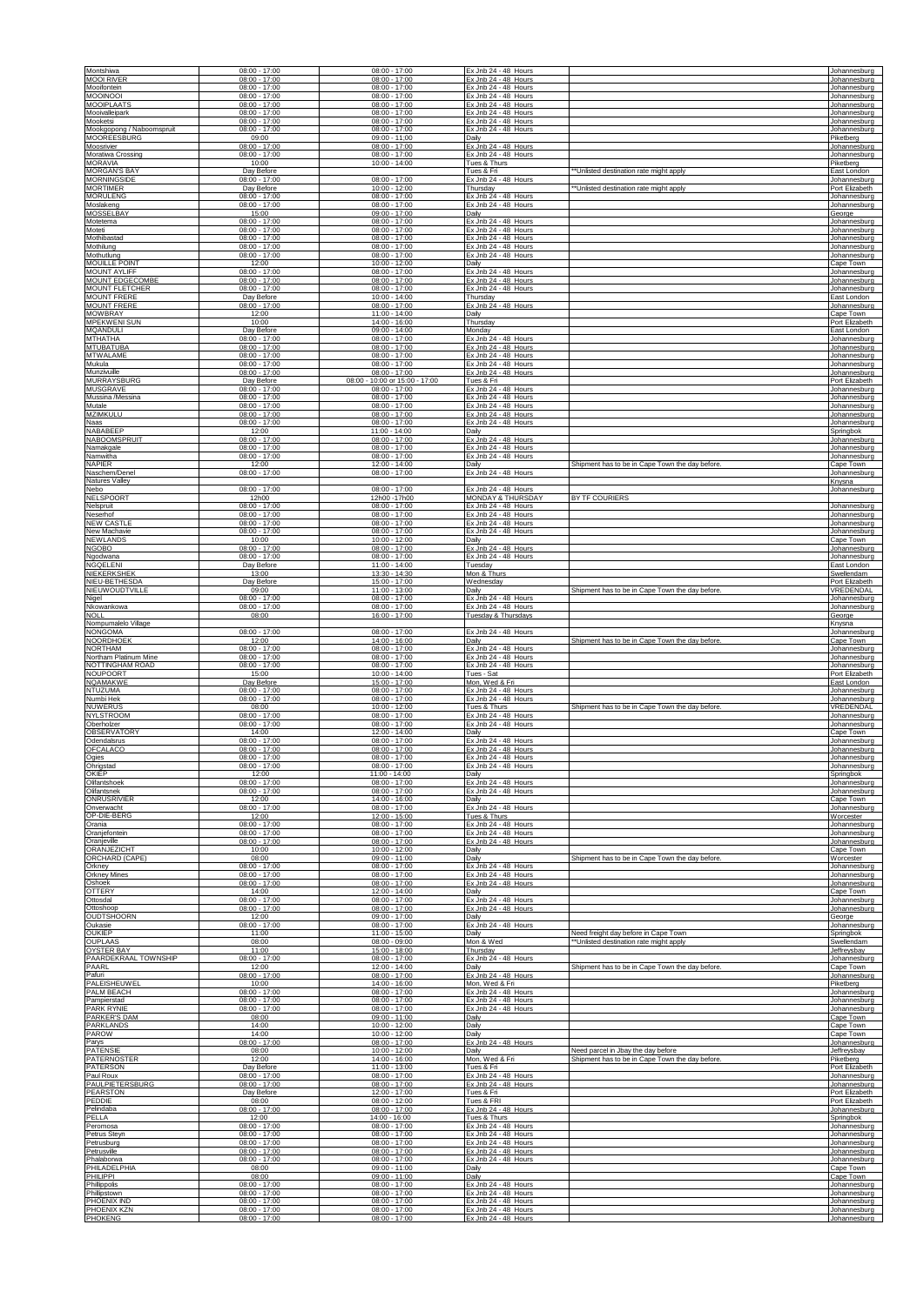| Montshiwa                                                    | $08:00 - 17:00$                             | $08:00 - 17:00$                                       | Ex Jnb 24 - 48 Hours                           |                                                                                       | Johannesburg                                  |
|--------------------------------------------------------------|---------------------------------------------|-------------------------------------------------------|------------------------------------------------|---------------------------------------------------------------------------------------|-----------------------------------------------|
| <b>MOOI RIVER</b>                                            | $08:00 - 17:00$                             | $08:00 - 17:00$                                       | Ex Jnb 24 - 48 Hours                           |                                                                                       | Johannesburg                                  |
| Mooifontein                                                  | $08:00 - 17:00$                             | $08:00 - 17:00$                                       | Ex Jnb 24 - 48 Hours                           |                                                                                       | Johannesburg                                  |
| MOOINOOI                                                     | $08:00 - 17:00$                             | $08:00 - 17:00$                                       | Ex Jnb 24 - 48 Hours                           |                                                                                       | Johannesburg                                  |
| <b>MOOIPLAATS</b>                                            | $08:00 - 17:00$                             | $08:00 - 17:00$                                       | Ex Jnb 24 - 48 Hours                           |                                                                                       | Johannesburg                                  |
| Mooivalleipark                                               | $08:00 - 17:00$                             | $08:00 - 17:00$                                       | Ex Jnb 24 - 48 Hours                           |                                                                                       | Johannesburg                                  |
| Mooketsi                                                     | $08:00 - 17:00$                             | $08:00 - 17:00$                                       | Ex Jnb 24 - 48 Hours                           |                                                                                       | Johannesburg                                  |
| Mookgopong / Naboomspruit                                    | $08:00 - 17:00$                             | $08:00 - 17:00$                                       | Ex Jnb 24 - 48 Hours                           |                                                                                       | Johannesburg                                  |
| <b>MOOREESBURG</b>                                           | 09:00                                       | 09:00 - 11:00                                         | Dailv                                          |                                                                                       | Piketberg                                     |
| Moosrivier                                                   | 08:00 - 17:00                               | $08:00 - 17:00$                                       | Ex Jnb 24 - 48 Hours                           |                                                                                       | Johannesburg                                  |
| Moratiwa Crossing                                            | 08:00 - 17:00                               | $08:00 - 17:00$                                       | Ex Jnb 24 - 48 Hours                           |                                                                                       | Johannesburg                                  |
| <b>MORAVIA</b>                                               | 10:00                                       | $10:00 - 14:00$                                       | Tues & Thurs                                   |                                                                                       | Piketberg                                     |
| <b>MORGAN'S BAY</b><br><b>MORNINGSIDE</b><br><b>MORTIMER</b> | Day Before<br>$08:00 - 17:00$<br>Day Before | $08:00 - 17:00$<br>10:00 - 12:00                      | Tues & Fri<br>Ex Jnb 24 - 48 Hours<br>Thursday | "Unlisted destination rate might apply<br>*Unlisted destination rate might apply      | East London<br>Johannesburg<br>Port Elizabeth |
| <b>MORULENO</b>                                              | $08:00 - 17:00$                             | $08:00 - 17:00$                                       | Ex Jnb 24 - 48 Hours                           |                                                                                       | Johannesburg                                  |
| Moslakeng                                                    | $08:00 - 17:00$                             | $08:00 - 17:00$                                       | Ex Jnb 24 - 48 Hours                           |                                                                                       | Johannesburg                                  |
| MOSSELBAY                                                    | 15:00                                       | $09:00 - 17:00$                                       | Daily                                          |                                                                                       | George                                        |
| Motetema                                                     | $08:00 - 17:00$                             | $08:00 - 17:00$                                       | Ex Jnb 24 - 48 Hours                           |                                                                                       | Johannesburg                                  |
| Moteti                                                       | $08:00 - 17:00$                             | $08:00 - 17:00$                                       | Ex Jnb 24 - 48 Hours                           |                                                                                       | Johannesburg                                  |
| Mothibastad                                                  | $08:00 - 17:00$                             | $08:00 - 17:00$                                       | Ex Jnb 24 - 48 Hours                           |                                                                                       | Johannesburg                                  |
| Mothilung                                                    | $08:00 - 17:00$                             | $08:00 - 17:00$                                       | Ex Jnb 24 - 48 Hours                           |                                                                                       | Johannesburg                                  |
| Mothutlung                                                   | $08:00 - 17:00$                             | $08:00 - 17:00$                                       | Ex Jnb 24 - 48 Hours                           |                                                                                       | Johannesburg                                  |
| <b>MOUILLE POINT</b>                                         | 12:00                                       | 10:00 - 12:00                                         | Daily                                          |                                                                                       | Cape Town                                     |
| <b>MOUNT AYLIFF</b>                                          | $08:00 - 17:00$                             | $08:00 - 17:00$                                       | Ex Jnb 24 - 48 Hours                           |                                                                                       | Johannesburg                                  |
| MOUNT EDGECOMBE                                              | $08:00 - 17:00$                             | $08:00 - 17:00$                                       | Ex Jnb 24 - 48 Hours                           |                                                                                       | Johannesburg                                  |
| MOUNT FLETCHER                                               | $08:00 - 17:00$                             | $08:00 - 17:00$                                       | Ex Jnb 24 - 48 Hours                           |                                                                                       | Johannesburg                                  |
| <b>MOUNT FRERE</b>                                           | Day Before                                  | 10:00 - 14:00                                         | Thursday                                       |                                                                                       | East London                                   |
| <b>MOUNT FRERE</b>                                           | $08:00 - 17:00$                             | $08:00 - 17:00$                                       | Ex Jnb 24 - 48 Hours                           |                                                                                       | Johannesburg                                  |
| <b>MOWBRAY</b>                                               | 12:00                                       | $11:00 - 14:00$                                       | Daily                                          |                                                                                       | Cape Town                                     |
| <b>MPEKWENI SUN</b>                                          | 10:00                                       | 14:00 - 16:00                                         | Thursday                                       |                                                                                       | Port Elizabeth                                |
| <b>MQANDULI</b>                                              | Day Before                                  | $09:00 - 14:00$                                       | Monday                                         |                                                                                       | East London                                   |
| MTHATHA                                                      | $08:00 - 17:00$                             | $08:00 - 17:00$                                       | Ex Jnb 24 - 48 Hours                           |                                                                                       | Johannesburg                                  |
| <b>MTUBATUBA</b>                                             | $08:00 - 17:00$                             | $08:00 - 17:00$                                       | <u>Ex Jnb 24 - 48 Hours</u>                    |                                                                                       | Johannesburg                                  |
| <b>MTWALAME</b>                                              | 08:00 - 17:00                               | $08:00 - 17:00$                                       | Ex Jnb 24 - 48 Hours                           |                                                                                       | Johannesburg                                  |
| Mukula                                                       | 08:00 - 17:00                               | $08:00 - 17:00$                                       | Ex Jnb 24 - 48 Hours                           |                                                                                       | Johannesburg                                  |
| Munzivuille                                                  | $08:00 - 17:00$                             | $08:00 - 17:00$                                       | Ex Jnb 24 - 48 Hours                           |                                                                                       | Johannesburg                                  |
| <b>MURRAYSBURG</b>                                           | Day Before                                  | 08:00 - 10:00 or 15:00 - 17:00                        | Tues & Fri                                     |                                                                                       | Port Elizabeth                                |
| <b>MUSGRAVE</b>                                              | $08:00 - 17:00$                             | $08:00 - 17:00$                                       | Ex Jnb 24 - 48 Hours                           |                                                                                       | Johannesburg                                  |
| Mussina /Messina                                             | $08:00 - 17:00$                             | $08:00 - 17:00$                                       | Ex Jnb 24 - 48 Hours                           |                                                                                       | Johannesburg                                  |
| Mutale                                                       | 08:00 - 17:00                               | $08:00 - 17:00$                                       | Ex Jnb 24 - 48 Hours                           |                                                                                       | Johannesburg                                  |
| MZIMKULU                                                     | $08:00 - 17:00$                             | $08:00 - 17:00$                                       | Ex Jnb 24 - 48 Hours                           |                                                                                       | Johannesburg                                  |
| Naas                                                         | $08:00 - 17:00$                             | $08:00 - 17:00$                                       | Ex Jnb 24 - 48 Hours                           |                                                                                       | Johannesburg                                  |
| NABABEEP                                                     | 12:00                                       | $11:00 - 14:00$                                       | Dailv                                          |                                                                                       | Springbok                                     |
| NABOOMSPRUIT                                                 | $08:00 - 17:00$                             | $08:00 - 17:00$                                       | Ex Jnb 24 - 48 Hours                           |                                                                                       | Johannesburg                                  |
| Namakgale                                                    | $08:00 - 17:00$                             | $08:00 - 17:00$                                       | Ex Jnb 24 - 48 Hours                           |                                                                                       | Johannesburg                                  |
| Namwitha                                                     | $08:00 - 17:00$                             | $08:00 - 17:00$                                       | Ex Jnb 24 - 48 Hours                           |                                                                                       | Johannesburg                                  |
| <b>NAPIER</b><br>Naschem/Denel<br>Natures Valley             | 12:00<br>$08:00 - 17:00$                    | 12:00 - 14:00<br>$08:00 - 17:00$                      | Daily<br>Ex Jnb 24 - 48 Hours                  | Shipment has to be in Cape Town the day before.                                       | Cape Town<br>Johannesburg<br>Knysna           |
| Nebo<br>NELSPOORT                                            | 08:00 - 17:00<br>12h00                      | $08:00 - 17:00$<br>12h00 -17h00                       | Ex Jnb 24 - 48 Hours<br>MONDAY & THURSDAY      | BY TF COURIERS                                                                        | Johannesburg                                  |
| Nelspruit                                                    | $08:00 - 17:00$                             | $08:00 - 17:00$                                       | Ex Jnb 24 - 48 Hours                           |                                                                                       | Johannesburg                                  |
| Neserhof                                                     | $08:00 - 17:00$                             | $08:00 - 17:00$                                       | Ex Jnb 24 - 48 Hours                           |                                                                                       | Johannesburg                                  |
| <b>NEW CASTLE</b>                                            | $08:00 - 17:00$                             | $08:00 - 17:00$                                       | Ex Jnb 24 - 48 Hours                           |                                                                                       | Johannesburg                                  |
| New Machavie                                                 | $08:00 - 17:00$                             | $08:00 - 17:00$                                       | Ex Jnb 24 - 48 Hours                           |                                                                                       | Johannesburg                                  |
| NEWLANDS                                                     | 10:00                                       | $10:00 - 12:00$                                       | Daily                                          |                                                                                       | Cape Town                                     |
| <b>NGOBO</b>                                                 | 08:00 - 17:00                               | $08:00 - 17:00$                                       | Ex Jnb 24 - 48 Hours                           |                                                                                       | Johannesburg                                  |
| Ngodwana                                                     | $08:00 - 17:00$                             | $08:00 - 17:00$                                       | Ex Jnb 24 - 48 Hours                           |                                                                                       | Johannesburg                                  |
| <b>NGQELENI</b>                                              | Day Before                                  | 11:00 - 14:00                                         | Tuesday                                        |                                                                                       | East London                                   |
| NIEKERKSHEK                                                  | 13:00                                       | 13:30 - 14:30                                         | Mon & Thurs                                    |                                                                                       | Swellendam                                    |
| NIEU-BETHESD/                                                | Day Before                                  | 15:00 - 17:00                                         | Wednesday                                      |                                                                                       | Port Elizabeth                                |
| NIEUWOUDTVILLE                                               | 09:00                                       | 11:00 - 13:00                                         | Daily                                          | Shipment has to be in Cape Town the day before.                                       | VREDENDAL                                     |
| Nigel                                                        | $08:00 - 17:00$                             | $08:00 - 17:00$                                       | Ex Jnb 24 - 48 Hours                           |                                                                                       | Johannesburg                                  |
| Nkowankowa                                                   | $08:00 - 17:00$                             | $08:00 - 17:00$                                       | Ex Jnb 24 - 48 Hours                           |                                                                                       | Johannesburg                                  |
| <b>NOLL</b><br>Nompumalelo Village                           | 08:00                                       | 16:00 - 17:00                                         | Tuesday & Thursdays                            |                                                                                       | George<br>Knysna                              |
| <b>NONGOMA</b>                                               | $08:00 - 17:00$                             | $08:00 - 17:00$                                       | Ex Jnb 24 - 48 Hours                           | Shipment has to be in Cape Town the day before.                                       | Johannesburg                                  |
| <b>NOORDHOEK</b>                                             | 12:00                                       | 14:00 - 16:00                                         | Dailv                                          |                                                                                       | Cape Town                                     |
| <b>NORTHAM</b>                                               | 08:00 - 17:00                               | $08:00 - 17:00$                                       | Ex Jnb 24 - 48 Hours                           |                                                                                       | Johannesburg                                  |
| Northam Platinum Mine                                        | 08:00 - 17:00                               | $08:00 - 17:00$                                       | Ex Jnb 24 - 48 Hour                            |                                                                                       | Johannesburg                                  |
| NOTTINGHAM ROAD                                              | $08:00 - 17:00$                             | $08:00 - 17:00$                                       | Ex Jnb 24 - 48 Hours                           |                                                                                       | Johannesburg                                  |
| NOUPOORT                                                     | 15:00                                       | $10:00 - 14:00$                                       | Tues - Sat                                     |                                                                                       | Port Elizabeth                                |
| NQAMAKWE                                                     | Day Before                                  | 15:00 - 17:00                                         | Mon, Wed & Fri                                 |                                                                                       | East London                                   |
| NTUZUMA                                                      | $08:00 - 17:00$                             | $08:00 - 17:00$                                       | Ex Jnb 24 - 48 Hours                           |                                                                                       | Johannesburg                                  |
| Numbi Hek                                                    | $08:00 - 17:00$                             | $08:00 - 17:00$                                       | Ex Jnb 24 - 48 Hours                           | Shipment has to be in Cape Town the day before                                        | Johannesburg                                  |
| <b>NUWERUS</b>                                               | 08:00                                       | $10:00 - 12:00$                                       | Tues & Thurs                                   |                                                                                       | VREDENDAL                                     |
| <b>NYLSTROOM</b>                                             | $08:00 - 17:00$                             | $08:00 - 17:00$                                       | Ex Jnb 24 - 48 Hours                           |                                                                                       | Johannesburg                                  |
| Oberholzer                                                   | $08:00 - 17:00$                             | $08:00 - 17:00$                                       | Ex Jnb 24 - 48 Hours                           |                                                                                       | Johannesburg                                  |
| OBSERVATORY                                                  | 14:00                                       | 12:00 - 14:00                                         | Daily                                          |                                                                                       | Cape Town                                     |
| Odendalsrus                                                  | 08:00 - 17:00                               | $08:00 - 17:00$                                       | Ex Jnb 24 - 48 Hours                           |                                                                                       | Johannesburg                                  |
| OFCALACO                                                     | $08:00 - 17:00$                             | $08:00 - 17:00$                                       | Ex Jnb 24 - 48 Hours                           |                                                                                       | Johannesburg                                  |
| Ogies                                                        | $08:00 - 17:00$                             | $08:00 - 17:00$                                       | Ex Jnb 24 - 48 Hours                           |                                                                                       | Johannesburg                                  |
| Ohrigstad                                                    | $08:00 - 17:00$                             | $08:00 - 17:00$                                       | Ex Jnb 24 - 48 Hours                           |                                                                                       | Johannesburg                                  |
| OKIEP                                                        | 12:00                                       | 11:00 - 14:00                                         | Daily                                          |                                                                                       | Springbok                                     |
| Olifantshoek                                                 | 08:00 - 17:00                               | $08:00 - 17:00$                                       | Ex Jnb 24 - 48 Hours                           |                                                                                       | Johannesburg                                  |
| Olifantsnek                                                  | $08:00 - 17:00$                             | $08:00 - 17:00$                                       | Ex Jnb 24 - 48 Hours                           |                                                                                       | Johannesburg                                  |
| <b>ONRUSRIVIER</b>                                           | 12:00                                       | 14:00 - 16:00                                         | Daily                                          |                                                                                       | Cape Town                                     |
| Onverwacht                                                   | $08:00 - 17:00$                             | $08:00 - 17:00$                                       | Ex Jnb 24 - 48 Hours                           |                                                                                       | Johannesburg                                  |
| OP-DIE-BERG                                                  | 12:00                                       | $12:00 - 15:00$                                       | Tues & Thurs                                   |                                                                                       | Worcester                                     |
| Orania                                                       | 08:00 - 17:00                               | $08:00 - 17:00$                                       | Ex Jnb 24 - 48 Hours                           |                                                                                       | Johannesburg                                  |
| Oranjefontein                                                | $08:00 - 17:00$                             | $08:00 - 17:00$                                       | Ex Jnb 24 - 48 Hours                           |                                                                                       | Johannesburg                                  |
| Oranjeville                                                  | $08:00 - 17:00$                             | $08:00 - 17:00$                                       | Ex Jnb 24 - 48 Hours                           | Shipment has to be in Cape Town the day before.                                       | Johannesburg                                  |
| ORANJEZICHT                                                  | 10:00                                       | 10:00 - 12:00                                         | Daily                                          |                                                                                       | Cape Town                                     |
| ORCHARD (CAPE)                                               | 08:00                                       | $09:00 - 11:00$                                       | Dailv                                          |                                                                                       | Worcester                                     |
| Orkney                                                       | $08:00 - 17:00$                             | $08:00 - 17:00$                                       | Ex Jnb 24 - 48 Hours                           |                                                                                       | Johannesburg                                  |
| <b>Orkney Mines</b>                                          | $08:00 - 17:00$                             | $08:00 - 17:00$                                       | Ex Jnb 24 - 48 Hours                           |                                                                                       | Johannesburg                                  |
| Oshoek                                                       | $08:00 - 17:00$                             | $08:00 - 17:00$                                       | Ex Jnb 24 - 48 Hours                           |                                                                                       | Johannesburg                                  |
| <b>OTTERY</b>                                                | 14:00                                       | 12:00 - 14:00                                         | Daily                                          |                                                                                       | Cape Town                                     |
| Ottosdal                                                     | 08:00 - 17:00                               | $08:00 - 17:00$                                       | Ex Jnb 24 - 48 Hours                           |                                                                                       | Johannesburg                                  |
| Ottoshoop<br><b>OUDTSHOORN</b>                               | 08:00 - 17:00<br>12:00                      | $08:00 - 17:00$<br>$09:00 - 17:00$<br>$08:00 - 17:00$ | Ex Jnb 24 - 48 Hours<br>Daily                  |                                                                                       | Johannesburg<br>George                        |
| Oukasie<br><b>OUKIEP</b><br>OUPLAAS                          | $08:00 - 17:00$<br>11:00<br>08:00           | $11:00 - 15:00$<br>$08:00 - 09:00$                    | Ex Jnb 24 - 48 Hours<br>Daily<br>Mon & Wed     | Need freight day before in Cape Town<br>Unlisted destination rate might apply         | Johannesburg<br>Springbok<br>Swellendam       |
| <b>OYSTER BAY</b>                                            | 11:00                                       | 15:00 - 18:00                                         | Thursday                                       |                                                                                       | Jeffreysbay                                   |
| PAARDEKRAAL TOWNSHIP                                         | 08:00 - 17:00                               | $08:00 - 17:00$                                       | Ex Jnb 24 - 48 Hours                           |                                                                                       | Johannesburg                                  |
| PAARL                                                        | 12:00                                       | 12:00 - 14:00                                         | Daily                                          | Shipment has to be in Cape Town the day before.                                       | Cape Town                                     |
| Pafuri                                                       | $08:00 - 17:00$                             | $08:00 - 17:00$                                       | Ex Jnb 24 - 48 Hours                           |                                                                                       | Johannesburg                                  |
| PALEISHEUWEL                                                 | 10:00                                       | $14:00 - 16:00$                                       | Mon, Wed & Fri                                 |                                                                                       | Piketberg                                     |
| PALM BEACH                                                   | 08:00 - 17:00                               | $08:00 - 17:00$                                       | Ex Jnb 24 - 48 Hours                           |                                                                                       | Johannesburg                                  |
| Pampierstad                                                  | 08:00 - 17:00                               | $08:00 - 17:00$                                       | Ex Jnb 24 - 48 Hours                           |                                                                                       | Johannesburg                                  |
| <b>PARK RYNIE</b>                                            | $08:00 - 17:00$                             | $08:00 - 17:00$                                       | Ex Jnb 24 - 48 Hours                           |                                                                                       | Johannesburg                                  |
| PARKER'S DAM                                                 | 08:00                                       | $09:00 - 11:00$                                       | Daily                                          |                                                                                       | Cape Town                                     |
| PARKLANDS                                                    | 14:00                                       | $10:00 - 12:00$                                       | Daily                                          |                                                                                       | Cape Town                                     |
| PAROW                                                        | 14:00                                       | 10:00 - 12:00                                         | Daily                                          |                                                                                       | Cape Town                                     |
| Parys                                                        | $08:00 - 17:00$                             | $08:00 - 17:00$                                       | Ex Jnb 24 - 48 Hours                           |                                                                                       | Johannesburg                                  |
| <b>PATENSIE</b><br>PATERNOSTER<br><b>PATERSON</b>            | 08:00<br>12:00<br>Day Before                | $10:00 - 12:00$<br>14:00 - 16:00<br>$11:00 - 13:00$   | Daily<br>Mon, Wed & Fri<br>Tues & Fri          | Need parcel in Jbay the day before<br>Shipment has to be in Cape Town the day before. | Jeffreysbay<br>Piketberg<br>Port Elizabeth    |
| Paul Roux                                                    | 08:00 - 17:00                               | $08:00 - 17:00$                                       | Ex Jnb 24 - 48 Hours                           |                                                                                       | Johannesburg                                  |
| PAULPIETERSBURG                                              | $08:00 - 17:00$                             | $08:00 - 17:00$                                       | Ex Jnb 24 - 48 Hours                           |                                                                                       | Johannesburg                                  |
| <b>PEARSTON</b>                                              | Day Before                                  | 12:00 - 17:00                                         | Tues & Fri                                     |                                                                                       | Port Elizabeth                                |
| PEDDIE                                                       | 08:00                                       | $08:00 - 12:00$                                       | Tues & FRI                                     |                                                                                       | Port Elizabeth                                |
| Pelindaba                                                    | $08:00 - 17:00$                             | $08:00 - 17:00$                                       | Ex Jnb 24 - 48 Hours                           |                                                                                       | Johannesburg                                  |
| PELLA                                                        | 12:00                                       | 14:00 - 16:00                                         | Tues & Thurs                                   |                                                                                       | Springbok                                     |
| Peromosa                                                     | $08:00 - 17:00$                             | $08:00 - 17:00$                                       | Ex Jnb 24 - 48 Hours                           |                                                                                       | Johannesburg                                  |
| Petrus Steyn                                                 | $08:00 - 17:00$                             | $08:00 - 17:00$                                       | Ex Jnb 24 - 48 Hours                           |                                                                                       | Johannesburg                                  |
| Petrusburg                                                   | $08:00 - 17:00$                             | $08:00 - 17:00$                                       | Ex Jnb 24 - 48 Hours                           |                                                                                       | Johannesburg                                  |
| Petrusville                                                  | 08:00 - 17:00                               | $08:00 - 17:00$                                       | Ex Jnb 24 - 48 Hours                           |                                                                                       | Johannesburg                                  |
| Phalaborwa                                                   | 08:00 - 17:00                               | $08:00 - 17:00$                                       | Ex Jnb 24 - 48 Hours                           |                                                                                       | Johannesburg                                  |
| PHII ADFI PHIA                                               | 08:00                                       | $09:00 - 11:00$                                       | Daily                                          |                                                                                       | Cape Town                                     |
| PHILIPPI                                                     | 08:00                                       | $09:00 - 11:00$                                       | Daily                                          |                                                                                       | Cape Town                                     |
| Phillippolis                                                 | $08:00 - 17:00$                             | $08:00 - 17:00$                                       | Ex Jnb 24 - 48 Hours                           |                                                                                       | Johannesburg                                  |
| Phillipstown                                                 | 08:00 - 17:00                               | $08:00 - 17:00$                                       | Ex Jnb 24 - 48 Hours                           |                                                                                       | Johannesburg                                  |
| PHOENIX IND                                                  | $08:00 - 17:00$                             | $08:00 - 17:00$                                       | Ex Jnb 24 - 48 Hours                           |                                                                                       | Johannesburg                                  |
| PHOENIX KZN                                                  | $08:00 - 17:00$                             | $08:00 - 17:00$                                       | Ex Jnb 24 - 48 Hours                           |                                                                                       | Johannesburg                                  |
| PHOKENG                                                      | $08:00 - 17:00$                             | $08:00 - 17:00$                                       | Ex Jnb 24 - 48 Hours                           |                                                                                       | Johannesburg                                  |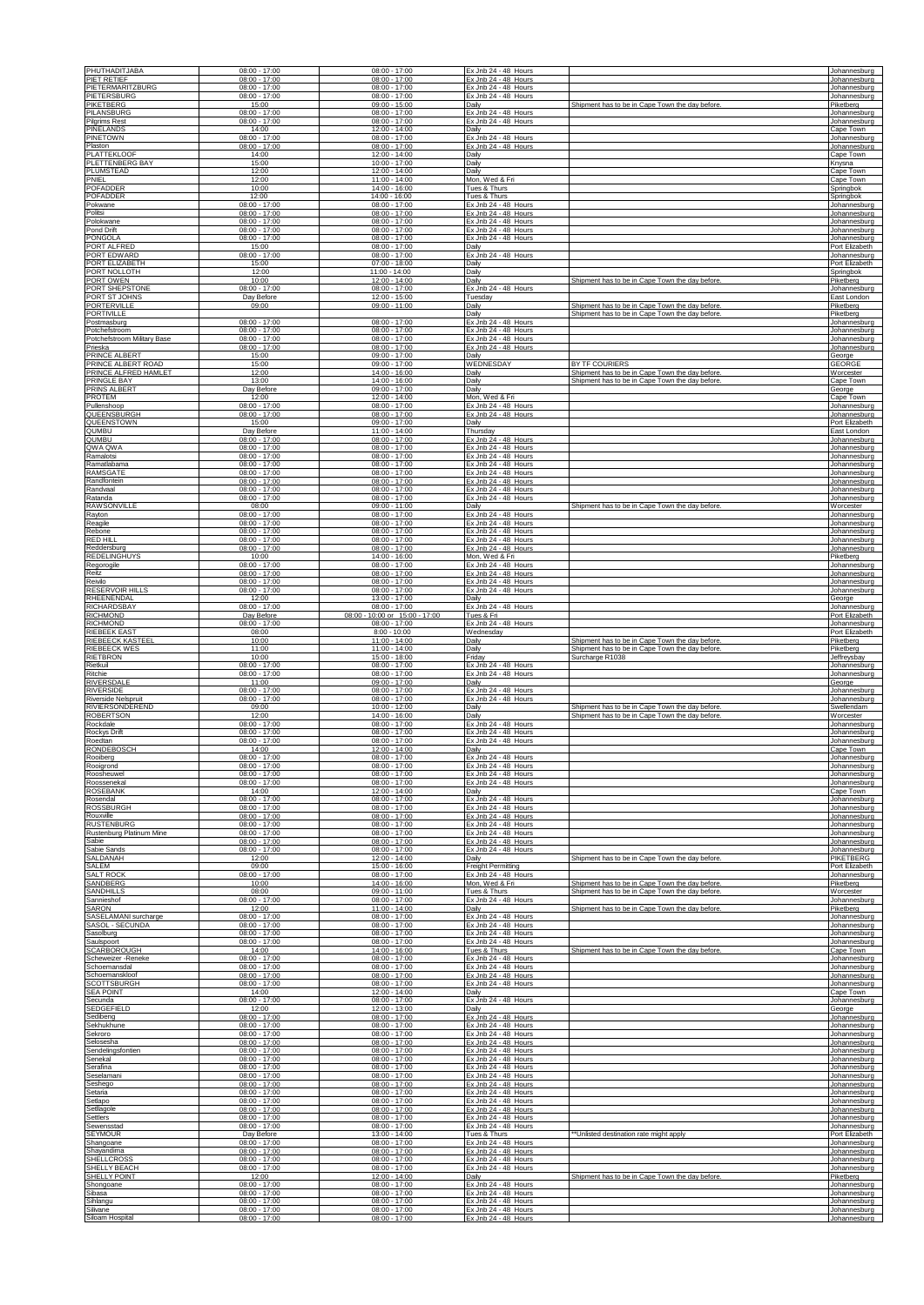| PHUTHADITJABA                                                   | $08:00 - 17:00$                                       | $08:00 - 17:00$                                       | Ex Jnb 24 - 48 Hours                                                 |                                                 | Johannesburg                                      |
|-----------------------------------------------------------------|-------------------------------------------------------|-------------------------------------------------------|----------------------------------------------------------------------|-------------------------------------------------|---------------------------------------------------|
| PIET RETIEF                                                     | $08:00 - 17:00$                                       | $08:00 - 17:00$                                       | Ex Jnb 24 - 48 Hours                                                 |                                                 | Johannesburg                                      |
| PIETERMARITZBURG                                                | $08:00 - 17:00$                                       | $08:00 - 17:00$                                       | Ex Jnb 24 - 48 Hours                                                 |                                                 | Johannesburg                                      |
| PIETERSBURG                                                     | $08:00 - 17:00$                                       | $08:00 - 17:00$                                       | Ex Jnb 24 - 48 Hours                                                 |                                                 | Johannesburg                                      |
| PIKETBERG                                                       | 15:00                                                 | $09:00 - 15:00$                                       | Dailv                                                                | Shipment has to be in Cape Town the day before. | Piketberg                                         |
| PILANSBURO                                                      | $08:00 - 17:00$                                       | $08:00 - 17:00$                                       | Ex Jnb 24 - 48 Hours                                                 |                                                 | Johannesburg                                      |
| <b>Pilgrims Rest</b>                                            | $08:00 - 17:00$                                       | $08:00 - 17:00$                                       | Ex Jnb 24 - 48 Hours                                                 |                                                 | Johannesburg                                      |
| PINELANDS                                                       | 14:00                                                 | 12:00 - 14:00                                         | Daily                                                                |                                                 | Cape Town                                         |
| <b>PINETOWN</b>                                                 | $08:00 - 17:00$                                       | $08:00 - 17:00$                                       | Ex Jnb 24 - 48 Hours                                                 |                                                 | Johannesburg                                      |
| Plaston                                                         | $08:00 - 17:00$                                       | $08:00 - 17:00$                                       | Ex Jnb 24 - 48 Hours                                                 |                                                 | Johannesburg                                      |
| <b>PLATTEKLOOF</b>                                              | 14:00                                                 | 12:00 - 14:00                                         | Daily                                                                |                                                 | Cape Town                                         |
| PLETTENBERG BAY                                                 | 15:00                                                 | $10:00 - 17:00$                                       | Daily                                                                |                                                 | Knysna                                            |
| PLUMSTEAD                                                       | 12:00                                                 | 12:00 - 14:00                                         | Daily                                                                |                                                 | Cape Town                                         |
| PNIEL                                                           | 12:00                                                 | 11:00 - 14:00                                         | Mon, Wed & Fri                                                       |                                                 | Cape Town                                         |
| POFADDER                                                        | 10:00                                                 | 14:00 - 16:00                                         | Tues & Thurs                                                         |                                                 | Springbok                                         |
| POFADDER                                                        | 12:00                                                 | 14:00 - 16:00                                         | Tues & Thurs                                                         |                                                 | Springbol                                         |
| Pokwane                                                         | $08:00 - 17:00$                                       | $08:00 - 17:00$                                       | Ex Jnb 24 - 48 Hours                                                 |                                                 | Johannesburc                                      |
| Politsi                                                         | $08:00 - 17:00$                                       | $08:00 - 17:00$                                       | Ex Jnb 24 - 48 Hours                                                 |                                                 | Johannesburg                                      |
| Polokwane                                                       | $08:00 - 17:00$                                       | $08:00 - 17:00$                                       | Ex Jnb 24 - 48 Hours                                                 |                                                 | Johannesburg                                      |
| Pond Drift                                                      | $08:00 - 17:00$                                       | $08:00 - 17:00$                                       | Ex Jnb 24 - 48 Hours                                                 |                                                 | Johannesburg                                      |
| PONGOLA                                                         | $08:00 - 17:00$                                       | $08:00 - 17:00$                                       | Ex Jnb 24 - 48 Hours                                                 |                                                 | Johannesburg                                      |
| PORT ALFRED                                                     | 15:00                                                 | $08:00 - 17:00$                                       | Daily                                                                |                                                 | Port Elizabeth                                    |
| PORT EDWARD                                                     | $08:00 - 17:00$                                       | $08:00 - 17:00$                                       | Ex Jnb 24 - 48 Hours                                                 |                                                 | Johannesburg                                      |
| PORT ELIZABETH                                                  | 15:00                                                 | $07:00 - 18:00$                                       | Daily                                                                |                                                 | Port Elizabeth                                    |
| PORT NOLLOTH<br>PORT OWEN<br>PORT SHEPSTONE                     | 12:00<br>10:00<br>$08:00 - 17:00$                     | $11:00 - 14:00$<br>12:00 - 14:00<br>$08:00 - 17:00$   | Daily<br>Daily<br>Ex Jnb 24 - 48 Hours                               | Shipment has to be in Cape Town the day before  | Springbok<br>Piketberg                            |
| PORT ST JOHNS<br>PORTERVILLE                                    | Day Before<br>09:00                                   | 12:00 - 15:00<br>$09:00 - 11:00$                      | Tuesday<br>Daily                                                     | Shipment has to be in Cape Town the day before. | Johannesburg<br>East London<br>Piketberg          |
| <b>PORTIVILLE</b><br>Postmasburg                                | 08:00 - 17:00                                         | $08:00 - 17:00$                                       | Dailv<br>Ex Jnb 24 - 48 Hours                                        | Shipment has to be in Cape Town the day before. | Piketberg<br>Johannesburg                         |
| Potchefstroom                                                   | $08:00 - 17:00$                                       | $08:00 - 17:00$                                       | Ex Jnb 24 - 48 Hours                                                 |                                                 | Johannesburg                                      |
| Potchefstroom Military Base                                     | $08:00 - 17:00$                                       | $08:00 - 17:00$                                       | Ex Jnb 24 - 48 Hours                                                 |                                                 | Johannesburg                                      |
| Prieska                                                         | $08:00 - 17:00$                                       | $08:00 - 17:00$                                       | Ex Jnb 24 - 48 Hours                                                 | <u>BY TF COURIER:</u>                           | Johannesburg                                      |
| PRINCE ALBERT                                                   | 15:00                                                 | $09:00 - 17:00$                                       | Daily                                                                |                                                 | George                                            |
| <b>PRINCE ALBERT ROAD</b>                                       | 15:00                                                 | $09:00 - 17:00$                                       | WEDNESDAY                                                            |                                                 | GEORGI                                            |
| PRINCE ALFRED HAMLET                                            | 12:00                                                 | $14:00 - 16:00$                                       | Daily                                                                | Shipment has to be in Cape Town the day before  | Worcester                                         |
| <b>PRINGLE BAY</b>                                              | 13:00                                                 | 14:00 - 16:00                                         | Daily                                                                | Shipment has to be in Cape Town the day before  | Cape Town                                         |
| <b>PRINS ALBERT</b>                                             | Day Before                                            | $09:00 - 17:00$                                       | Daily                                                                |                                                 | George                                            |
| PROTEM                                                          | 12:00                                                 | 12:00 - 14:00                                         | Mon, Wed & Fri                                                       |                                                 | Cape Town                                         |
| Pullenshoop                                                     | $08:00 - 17:00$                                       | $08:00 - 17:00$                                       | Ex Jnb 24 - 48 Hours                                                 |                                                 | Johannesburg                                      |
| QUEENSBURGH                                                     | $08:00 - 17:00$                                       | $08:00 - 17:00$                                       | Ex Jnb 24 - 48 Hours                                                 |                                                 | Johannesburg                                      |
| QUEENSTOWN                                                      | 15:00                                                 | 09:00 - 17:00                                         | Daily                                                                |                                                 | Port Elizabeth                                    |
| QUMBU                                                           | Day Before                                            | 11:00 - 14:00                                         | Thursday                                                             |                                                 | East London                                       |
| QUMBU                                                           | $08:00 - 17:00$                                       | $08:00 - 17:00$                                       | Ex Jnb 24 - 48 Hours                                                 |                                                 | Johannesburg                                      |
| QWA QWA                                                         | $08:00 - 17:00$                                       | $08:00 - 17:00$                                       | Ex Jnb 24 - 48 Hours                                                 |                                                 | Johannesburg                                      |
| Ramalotsi                                                       | $08:00 - 17:00$                                       | $08:00 - 17:00$                                       | Ex Jnb 24 - 48 Hours                                                 |                                                 | Johannesburg                                      |
| Ramatlabama                                                     | 08:00 - 17:00                                         | $08:00 - 17:00$                                       | Ex Jnb 24 - 48 Hours                                                 |                                                 | Johannesburg                                      |
| RAMSGATE                                                        | $08:00 - 17:00$                                       | $08:00 - 17:00$                                       | Ex Jnb 24 - 48 Hours                                                 |                                                 | Johannesburg                                      |
| Randfontein                                                     | $08:00 - 17:00$                                       | $08:00 - 17:00$                                       | Ex Jnb 24 - 48 Hours                                                 |                                                 | Johannesburg                                      |
| Randvaal                                                        | $08:00 - 17:00$                                       | $08:00 - 17:00$                                       | Ex Jnb 24 - 48 Hours                                                 |                                                 | Johannesburg                                      |
| Ratanda                                                         | $08:00 - 17:00$                                       | $08:00 - 17:00$                                       | Ex Jnb 24 - 48 Hours                                                 |                                                 | Johannesburg                                      |
| <b>RAWSONVILLE</b>                                              | 08:00                                                 | 09:00 - 11:00                                         | Daily                                                                | Shipment has to be in Cape Town the day before  | Worcester                                         |
| Rayton                                                          | $08:00 - 17:00$                                       | $08:00 - 17:00$                                       | Ex Jnb 24 - 48 Hours                                                 |                                                 | Johannesburg                                      |
| Reagile                                                         | $08:00 - 17:00$                                       | $08:00 - 17:00$                                       | Ex Jnb 24 - 48 Hours                                                 |                                                 | Johannesburg                                      |
| Rebone                                                          | $08:00 - 17:00$                                       | $08:00 - 17:00$                                       | Ex Jnb 24 - 48 Hours                                                 |                                                 | Johannesburg                                      |
| <b>RED HILL</b>                                                 | $08:00 - 17:00$                                       | $08:00 - 17:00$                                       | Ex Jnb 24 - 48 Hours                                                 |                                                 | Johannesburg                                      |
| Reddersburg                                                     | $08:00 - 17:00$                                       | $08:00 - 17:00$                                       | Ex Jnb 24 - 48 Hours                                                 |                                                 | Johannesburg                                      |
| REDELINGHUYS                                                    | 10:00                                                 | 14:00 - 16:00                                         | Mon, Wed & Fri                                                       |                                                 | Piketberg                                         |
| Regorogile                                                      | $08:00 - 17:00$                                       | $08:00 - 17:00$                                       | Ex Jnb 24 - 48 Hours                                                 |                                                 | Johannesburg                                      |
| Reitz                                                           | $08:00 - 17:00$                                       | $08:00 - 17:00$                                       | x Jnb 24 - 48 Hours                                                  |                                                 | Johannesburg                                      |
| Reivilo                                                         | $08:00 - 17:00$                                       | $08:00 - 17:00$                                       | Ex Jnb 24 - 48 Hours                                                 |                                                 | Johannesburg                                      |
| RESERVOIR HILLS                                                 | $08:00 - 17:00$                                       | $08:00 - 17:00$                                       | Ex Jnb 24 - 48 Hours                                                 |                                                 | Johannesburg                                      |
| RHEENENDAL                                                      | 12:00                                                 | 13:00 - 17:00                                         | Daily                                                                |                                                 | George                                            |
| <b>RICHARDSBAY</b>                                              | $08:00 - 17:00$                                       | $08:00 - 17:00$                                       | Ex Jnb 24 - 48 Hours                                                 |                                                 | Johannesburg                                      |
| <b>RICHMOND</b>                                                 | Day Before                                            | 08:00 - 10:00 or 15:00 - 17:00                        | Tues & Fri                                                           |                                                 | Port Elizabeth                                    |
| <b>RICHMOND</b>                                                 | $08:00 - 17:00$                                       | $08:00 - 17:00$                                       | Ex Jnb 24 - 48 Hours                                                 |                                                 | Johannesburg                                      |
| RIEBEEK EAST                                                    | 08:00                                                 | $8:00 - 10:00$                                        | Wednesday                                                            |                                                 | Port Elizabeth                                    |
| RIEBEECK KASTEEL                                                | 10:00                                                 | 11:00 - 14:00                                         | Daily                                                                | Shipment has to be in Cape Town the day before. | Piketberg                                         |
| RIEBEECK WES                                                    | 11:00                                                 | $11:00 - 14:00$                                       | Dailv                                                                | Shipment has to be in Cape Town the day before. | Piketberg                                         |
| <b>RIETBRON</b>                                                 | 10:00                                                 | 15:00 - 18:00                                         | Friday                                                               | Surcharge R1038                                 | Jeffreysbay                                       |
| Rietkuil                                                        | $08:00 - 17:00$                                       | $08:00 - 17:00$                                       | Ex Jnb 24 - 48 Hours                                                 |                                                 | Johannesburg                                      |
| Ritchie<br>RIVERSDALE<br><b>RIVERSIDE</b>                       | $08:00 - 17:00$<br>11:00<br>$08:00 - 17:00$           | $08:00 - 17:00$<br>$09:00 - 17:00$<br>$08:00 - 17:00$ | Ex Jnb 24 - 48 Hours<br>Daily<br>Ex Jnb 24 - 48 Hours                |                                                 | Johannesburg<br>George                            |
| <b>Riverside Nelspruit</b><br>RIVIERSONDEREND                   | $08:00 - 17:00$<br>09:00                              | $08:00 - 17:00$<br>10:00 - 12:00                      | Ex Jnb 24 - 48 Hours<br>Daily                                        | Shipment has to be in Cape Town the day before  | Johannesburg<br>Johannesburg<br><b>Swellendam</b> |
| <b>ROBERTSON</b>                                                | 12:00                                                 | 14:00 - 16:00                                         | Daily                                                                | Shipment has to be in Cape Town the day before  | Worcester                                         |
| Rockdale                                                        | $08:00 - 17:00$                                       | $08:00 - 17:00$                                       | Ex Jnb 24 - 48 Hours                                                 |                                                 | Johannesburg                                      |
| Rockys Drift                                                    | $08:00 - 17:00$                                       | $08:00 - 17:00$                                       | Ex Jnb 24 - 48 Hours                                                 |                                                 | Johannesburg                                      |
| Roedtan                                                         | $08:00 - 17:00$                                       | $08:00 - 17:00$                                       | Ex Jnb 24 - 48 Hours                                                 |                                                 | Johannesburg                                      |
| RONDEBOSCH                                                      | 14:00                                                 | 12:00 - 14:00                                         | Daily                                                                |                                                 | Cape Town                                         |
| Rooibera                                                        | $08:00 - 17:00$                                       | $08:00 - 17:00$                                       | Fx Jnb 24 - 48 Hours                                                 |                                                 | Iohannesburg                                      |
| Rooigrond                                                       | $08:00 - 17:00$                                       | $08:00 - 17:00$                                       | Ex Jnb 24 - 48 Hours                                                 |                                                 | Johannesburg                                      |
| Roosheuwel                                                      | $08:00 - 17:00$                                       | $08:00 - 17:00$                                       | Ex Jnb 24 - 48 Hours                                                 |                                                 | Johannesburg                                      |
| Roossenekal                                                     | $08:00 - 17:00$                                       | $08:00 - 17:00$                                       | Ex Jnb 24 - 48 Hours                                                 |                                                 | Johannesburg                                      |
| <b>ROSEBANK</b>                                                 | 14:00                                                 | 12:00 - 14:00                                         | Daily                                                                |                                                 | Cape Town                                         |
| Rosendal                                                        | $08:00 - 17:00$                                       | $08:00 - 17:00$                                       | Ex Jnb 24 - 48 Hours                                                 |                                                 | Johannesburg                                      |
| ROSSBURGH                                                       | $08:00 - 17:00$                                       | $08:00 - 17:00$                                       | Ex Jnb 24 - 48 Hours                                                 |                                                 | Johannesburg                                      |
| Rouxville                                                       | $08:00 - 17:00$                                       | $08:00 - 17:00$                                       | Ex Jnb 24 - 48 Hours                                                 |                                                 | Johannesburg                                      |
| RUSTENBURG                                                      | $08:00 - 17:00$                                       | $08:00 - 17:00$                                       | Ex Jnb 24 - 48 Hours                                                 |                                                 | Johannesburg                                      |
| Rustenburg Platinum Mine<br>Sabie                               | $08:00 - 17:00$<br>$08:00 - 17:00$<br>$08:00 - 17:00$ | $08:00 - 17:00$<br>$08:00 - 17:00$<br>$08:00 - 17:00$ | Ex Jnb 24 - 48 Hours<br>Ex Jnb 24 - 48 Hours<br>Ex Jnb 24 - 48 Hours |                                                 | Johannesburg<br>Johannesburg                      |
| Sabie Sands<br><b>SALDANAH</b>                                  | 12:00<br>09:00                                        | $12:00 - 14:00$<br>15:00 - 16:00                      | Daily<br>Freight Permitting                                          | Shipment has to be in Cape Town the day before. | Johannesburg<br>PIKFTBFRG<br>Port Elizabeth       |
| <u>SALEM</u><br>SALT ROCK                                       | $08:00 - 17:00$                                       | 08:00 - 17:00                                         | Ex Jnb 24 - 48 Hours                                                 | Shipment has to be in Cape Town the day before  | Johannesburg                                      |
| SANDBERG                                                        | 10:00                                                 | 14:00 - 16:00                                         | Mon, Wed & Fri                                                       |                                                 | Piketberg                                         |
| SANDHILLS<br>Sannieshof                                         | 08:00<br>$08:00 - 17:00$<br>12:00                     | $09:00 - 11:00$<br>$08:00 - 17:00$<br>$11:00 - 14:00$ | Tues & Thurs<br>Ex Jnb 24 - 48 Hours                                 | Shipment has to be in Cape Town the day before. | Worcester<br>Johannesburg                         |
| SARON<br>SASELAMANI surcharge<br>SASOL - SECUNDA                | $08:00 - 17:00$<br>$08:00 - 17:00$                    | $08:00 - 17:00$<br>$08:00 - 17:00$                    | Daily<br>Ex Jnb 24 - 48 Hours<br>Ex Jnb 24 - 48 Hours                | Shipment has to be in Cape Town the day before. | Piketberg<br>Johannesburg<br>Johannesburg         |
| Sasolburg                                                       | $08:00 - 17:00$                                       | $08:00 - 17:00$                                       | Ex Jnb 24 - 48 Hours                                                 |                                                 | Johannesburg                                      |
| Saulspoort                                                      | $08:00 - 17:00$                                       | $08:00 - 17:00$                                       | Ex Jnb 24 - 48 Hours                                                 |                                                 | Johannesburg                                      |
| SCARBOROUGH<br>Scheweizer - Reneke                              | 14:00<br>$08:00 - 17:00$<br>$08:00 - 17:00$           | 14:00 - 16:00<br>$08:00 - 17:00$<br>$08:00 - 17:00$   | Tues & Thurs<br>Ex Jnb 24 - 48 Hours<br>Ex Jnb 24 - 48 Hours         | Shipment has to be in Cape Town the day before. | Cape Town<br>Johannesburg<br>Johannesburg         |
| Schoemansdal<br>Schoemanskloof<br><b>SCOTTSBURGH</b>            | $08:00 - 17:00$<br>$08:00 - 17:00$                    | $08:00 - 17:00$<br>$08:00 - 17:00$                    | Ex Jnb 24 - 48 Hours<br>Ex Jnb 24 - 48 Hours                         |                                                 | Johannesburg<br>Johannesburg                      |
| <b>SEA POINT</b>                                                | 14:00                                                 | 12:00 - 14:00                                         | Daily                                                                |                                                 | Cape Town                                         |
| Secunda                                                         | $08:00 - 17:00$                                       | $08:00 - 17:00$                                       | Ex Jnb 24 - 48 Hours                                                 |                                                 | Johannesburg                                      |
| SEDGEFIELD                                                      | 12:00                                                 | 12:00 - 13:00                                         | Daily                                                                |                                                 | George                                            |
| Sedibeng                                                        | $08:00 - 17:00$                                       | $08:00 - 17:00$                                       | Ex Jnb 24 - 48 Hours                                                 |                                                 | Johannesburg                                      |
| Sekhukhune                                                      | $08:00 - 17:00$                                       | $08:00 - 17:00$                                       | Ex Jnb 24 - 48 Hours                                                 |                                                 | Johannesburg                                      |
| Sekroro                                                         | $08:00 - 17:00$                                       | $08:00 - 17:00$                                       | Ex Jnb 24 - 48 Hours                                                 |                                                 | Johannesburg                                      |
| Selosesha                                                       | $08:00 - 17:00$                                       | $08:00 - 17:00$                                       | Ex Jnb 24 - 48 Hours                                                 |                                                 | Johannesburg                                      |
| Sendelingsfontien                                               | $08:00 - 17:00$                                       | $08:00 - 17:00$                                       | Ex Jnb 24 - 48 Hours                                                 |                                                 | Johannesburg                                      |
| Senekal                                                         | $08:00 - 17:00$                                       | $08:00 - 17:00$                                       | Ex Jnb 24 - 48 Hours                                                 |                                                 | Johannesburg                                      |
| Serafina                                                        | $08:00 - 17:00$                                       | $08:00 - 17:00$                                       | Ex Jnb 24 - 48 Hours                                                 |                                                 | Johannesburg                                      |
| Seselamani                                                      | $08:00 - 17:00$                                       | $08:00 - 17:00$                                       | Ex Jnb 24 - 48 Hours                                                 |                                                 | Johannesburg                                      |
| Seshego                                                         | $08:00 - 17:00$                                       | $08:00 - 17:00$                                       | Ex Jnb 24 - 48 Hours                                                 |                                                 | Johannesburg                                      |
| Setaria                                                         | $08:00 - 17:00$                                       | $08:00 - 17:00$                                       | Ex Jnb 24 - 48 Hours                                                 |                                                 | Johannesburg                                      |
| Setlapo                                                         | $08:00 - 17:00$                                       | $08:00 - 17:00$                                       | Ex Jnb 24 - 48 Hours                                                 |                                                 | Johannesburg                                      |
| Setllagole                                                      | $08:00 - 17:00$                                       | $08:00 - 17:00$                                       | Ex Jnb 24 - 48 Hours                                                 |                                                 | Johannesburg                                      |
| Settlers                                                        | $08:00 - 17:00$                                       | $08:00 - 17:00$                                       | Ex Jnb 24 - 48 Hours                                                 |                                                 | Johannesburg                                      |
| Sewensstad                                                      | $08:00 - 17:00$                                       | $08:00 - 17:00$                                       | Ex Jnb 24 - 48 Hours                                                 | "Unlisted destination rate might apply          | Johannesburg                                      |
| <b>SEYMOUR</b>                                                  | Day Before                                            | 13:00 - 14:00                                         | Tues & Thurs                                                         |                                                 | Port Elizabeth                                    |
| Shangoane<br>Shayandima                                         | $08:00 - 17:00$<br>$08:00 - 17:00$<br>$08:00 - 17:00$ | $08:00 - 17:00$<br>$08:00 - 17:00$<br>$08:00 - 17:00$ | Ex Jnb 24 - 48 Hours<br>Ex Jnb 24 - 48 Hours                         |                                                 | Johannesburg<br>Johannesburg                      |
| <b>SHELLCROSS</b><br><b>SHELLY BEACH</b><br><b>SHELLY POINT</b> | $08:00 - 17:00$<br>12:00                              | $08:00 - 17:00$<br>$12:00 - 14:00$                    | Ex Jnb 24 - 48 Hours<br>Ex Jnb 24 - 48 Hours<br>Daily                | Shipment has to be in Cape Town the day before  | Johannesburg<br>Johannesburg<br>Piketbera         |
| Shongoane                                                       | $08:00 - 17:00$                                       | $08:00 - 17:00$                                       | Ex Jnb 24 - 48 Hours                                                 |                                                 | Johannesburg                                      |
| Sibasa                                                          | $08:00 - 17:00$                                       | $08:00 - 17:00$                                       | Ex Jnb 24 - 48 Hours                                                 |                                                 | Johannesburg                                      |
| Sihlangu                                                        | $08:00 - 17:00$                                       | 08:00 - 17:00                                         | Ex Jnb 24 - 48 Hours                                                 |                                                 | Johannesburg                                      |
| Silivane                                                        | $08:00 - 17:00$                                       | $08:00 - 17:00$                                       | Ex Jnb 24 - 48 Hours                                                 |                                                 | Johannesburg                                      |
| Siloam Hospital                                                 | $08:00 - 17:00$                                       | $08:00 - 17:00$                                       | Ex Jnb 24 - 48 Hours                                                 |                                                 | Johannesburg                                      |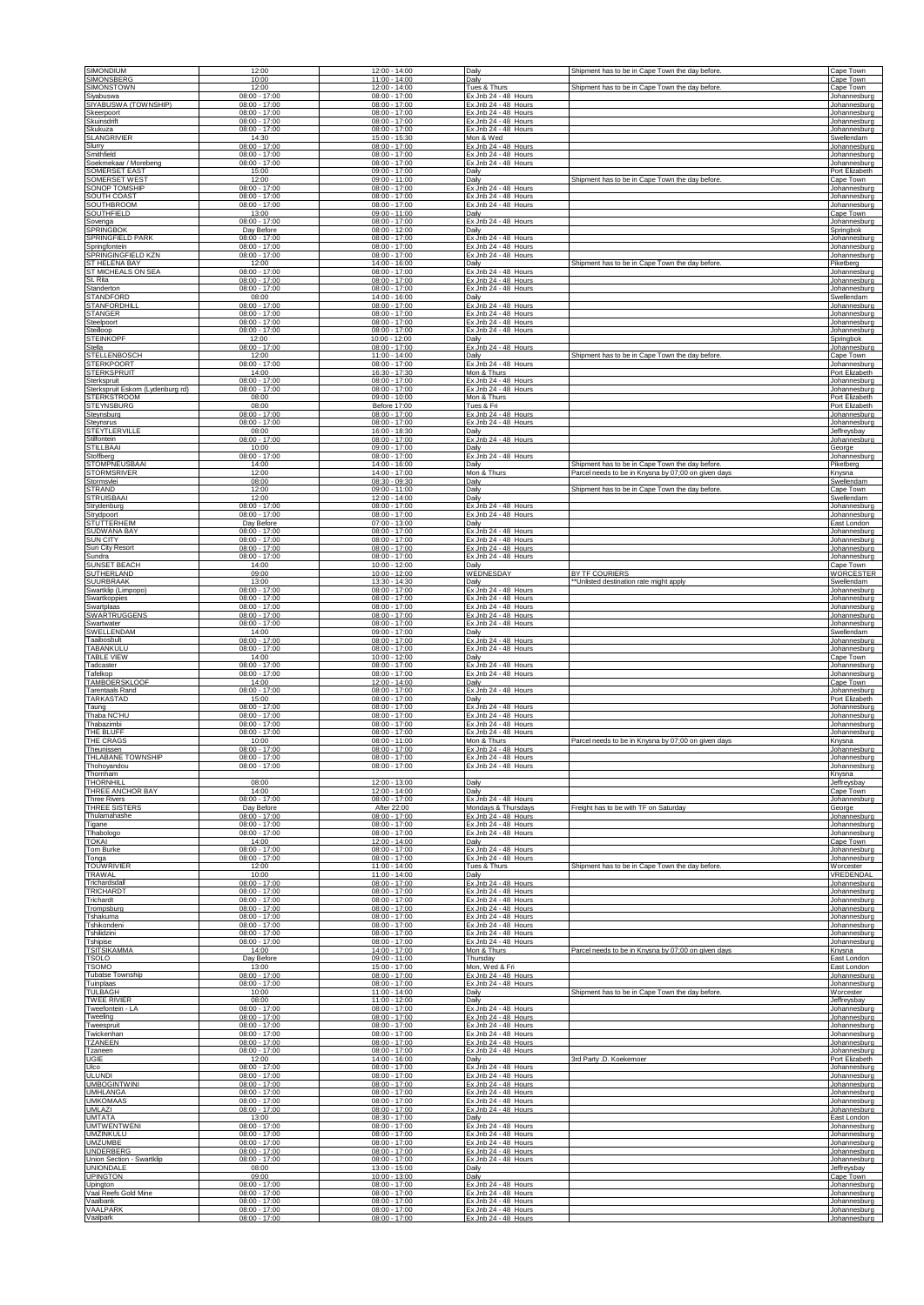| <b>SIMONDIUM</b>                                | 12:00                              | 12:00 - 14:00                      | Daily                                        | Shipment has to be in Cape Town the day before      | Cape Town                      |
|-------------------------------------------------|------------------------------------|------------------------------------|----------------------------------------------|-----------------------------------------------------|--------------------------------|
| SIMONSBERG                                      | 10:00                              | 11:00 - 14:00                      | Daily                                        | Shipment has to be in Cape Town the day before.     | Cape Town                      |
| <b>SIMONSTOWN</b>                               | 12:00                              | $12:00 - 14:00$                    | Tues & Thurs                                 |                                                     | Cape Town                      |
| Siyabuswa                                       | $08:00 - 17:00$                    | $08:00 - 17:00$                    | Ex Jnb 24 - 48 Hours                         |                                                     | Johannesburg                   |
| SIYABUSWA (TOWNSHIP)                            | $08:00 - 17:00$                    | $08:00 - 17:00$                    | Ex Jnb 24 - 48 Hours                         |                                                     | Johannesburg                   |
| Skeerpoort                                      | $08:00 - 17:00$                    | $08:00 - 17:00$                    | Ex Jnb 24 - 48 Hours                         |                                                     | Johannesburg                   |
| <b>Skuinsdrift</b>                              | $08:00 - 17:00$                    | $08:00 - 17:00$                    | Ex Jnb 24 - 48 Hours                         |                                                     | Johannesburg                   |
| Skukuza                                         | $08:00 - 17:00$                    | $08:00 - 17:00$                    | Ex Jnb 24 - 48 Hours                         |                                                     | Johannesburg                   |
| <b>SLANGRIVIER</b>                              | 14:30                              | 15:00 - 15:30                      | Mon & Wed                                    |                                                     | Swellendam                     |
| Slurry                                          | $08:00 - 17:00$                    | $08:00 - 17:00$                    | Ex Jnb 24 - 48 Hours                         |                                                     | Johannesburg                   |
| Smithfield                                      | $08:00 - 17:00$                    | $08:00 - 17:00$                    | Ex Jnb 24 - 48 Hours                         |                                                     | Johannesburg                   |
| Soekmekaar / Morebeng                           | $08:00 - 17:00$                    | $08:00 - 17:00$                    | Ex Jnb 24 - 48 Hours                         |                                                     | Johannesburg                   |
| SOMERSET EAST                                   | 15:00                              | $09:00 - 17:00$                    | Daily                                        | Shipment has to be in Cape Town the day before      | Port Elizabeth                 |
| SOMERSET WEST                                   | 12:00                              | 09:00 - 11:00                      | Daily                                        |                                                     | Cape Town                      |
| SONOP TOMSHIP                                   | $08:00 - 17:00$                    | 08:00 - 17:00                      | Ex Jnb 24 - 48 Hours                         |                                                     | Johannesburg                   |
| SOUTH COAST                                     | $08:00 - 17:00$                    | $08:00 - 17:00$                    | Ex Jnb 24 - 48 Hours                         |                                                     | Johannesburg                   |
| <b>SOUTHBROOM</b>                               | $08:00 - 17:00$                    | $08:00 - 17:00$                    | Ex Jnb 24 - 48 Hours                         |                                                     | Johannesburg                   |
| SOUTHFIELD                                      | 13:00                              | $09:00 - 11:00$                    | Daily                                        |                                                     | Cape Town                      |
| Sovenga                                         | $08:00 - 17:00$                    | $08:00 - 17:00$                    | Ex Jnb 24 - 48 Hours                         |                                                     | Johannesburg                   |
| SPRINGBOK                                       | Day Before                         | 08:00 - 12:00                      | Daily                                        |                                                     | Sprinabok                      |
| <b>SPRINGFIELD PARK</b>                         | $08:00 - 17:00$                    | $08:00 - 17:00$                    | Ex Jnb 24 - 48 Hours                         |                                                     | Johannesburg                   |
| Springfontein                                   | $08:00 - 17:00$                    | $08:00 - 17:00$                    | Ex Jnb 24 - 48 Hours                         |                                                     | Johannesburg                   |
| SPRINGINGFIELD KZN                              | $08:00 - 17:00$                    | $08:00 - 17:00$                    | Ex Jnb 24 - 48 Hours                         |                                                     | Johannesburg                   |
| ST HELENA BAY                                   | 12:00                              | 14:00 - 16:00                      | Daily                                        | Shipment has to be in Cape Town the day before      | Piketberg                      |
| ST MICHEALS ON SEA                              | $08:00 - 17:00$                    | 08:00 - 17:00                      | Ex Jnb 24 - 48 Hours                         |                                                     | Johannesburg                   |
| St. Rita                                        | $08:00 - 17:00$<br>$08:00 - 17:00$ | $08:00 - 17:00$<br>$08:00 - 17:00$ | Ex Jnb 24 - 48 Hours<br>Ex Jnb 24 - 48 Hours |                                                     | Johannesburg                   |
| Standerton<br>STANDFORD                         | 08:00                              | 14:00 - 16:00                      | Daily                                        |                                                     | Johannesburg<br>Swellendam     |
| <b>STANFORDHILL</b>                             | $08:00 - 17:00$                    | $08:00 - 17:00$                    | Ex Jnb 24 - 48 Hours                         |                                                     | Johannesburg                   |
| STANGER                                         | $08:00 - 17:00$                    | 08:00 - 17:00                      | Ex Jnb 24 - 48 Hours                         |                                                     | Johannesburg                   |
| Steelpoort                                      | $08:00 - 17:00$                    | $08:00 - 17:00$                    | Fx Jnb 24 - 48 Hours                         |                                                     | Johannesburg                   |
| Steilloop                                       | $08:00 - 17:00$                    | $08:00 - 17:00$                    | Ex Jnb 24 - 48 Hours                         |                                                     | Johannesburg                   |
| <b>STEINKOPF</b>                                | 12:00                              | 10:00 - 12:00                      | Daily                                        |                                                     | <b>Springbok</b>               |
| Stella                                          | $08:00 - 17:00$                    | $08:00 - 17:00$                    | Ex Jnb 24 - 48 Hours                         |                                                     | Johannesburg                   |
| STELLENBOSCH                                    | 12:00                              | 11:00 - 14:00                      | Daily                                        | Shipment has to be in Cape Town the day before      | Cape Town                      |
| <b>STERKPOORT</b>                               | $08:00 - 17:00$                    | $08:00 - 17:00$                    | Ex Jnb 24 - 48 Hours                         |                                                     | Johannesburg                   |
| STERKSPRUIT                                     | 14:00                              | 16:30 - 17:30                      | Mon & Thurs                                  |                                                     | Port Elizabeth<br>Johannesburg |
| Sterkspruit<br>Sterkspruit Eskom (Lydenburg rd) | $08:00 - 17:00$<br>$08:00 - 17:00$ | $08:00 - 17:00$<br>$08:00 - 17:00$ | Ex Jnb 24 - 48 Hours<br>Ex Jnb 24 - 48 Hours |                                                     | lohannesburg                   |
| STERKSTROOM                                     | 08:00                              | 09:00 - 10:00                      | Mon & Thurs                                  |                                                     | Port Elizabeth                 |
| <b>STEYNSBURG</b>                               | 08:00                              | Before 17:00                       | Tues & Fri                                   |                                                     | Port Elizabeth                 |
| Steynsburg                                      | $08:00 - 17:00$                    | $08:00 - 17:00$                    | Ex Jnb 24 - 48 Hours                         |                                                     | Johannesburg                   |
| Steynsrus                                       | $08:00 - 17:00$                    | $08:00 - 17:00$                    | Ex Jnb 24 - 48 Hours                         |                                                     | Johannesburg                   |
| STEYTLERVILLE                                   | 08:00                              | 16:00 - 18:30                      | Daily                                        |                                                     | Jeffreysbay                    |
| Stilfontein                                     | $08:00 - 17:00$                    | 08:00 - 17:00                      | Ex Jnb 24 - 48 Hours                         |                                                     | Johannesburg                   |
| <b>STILLBAAI</b>                                | 10:00                              | $09:00 - 17:00$                    | Daily                                        |                                                     | George                         |
| Stoffberg                                       | $08:00 - 17:00$                    | $08:00 - 17:00$                    | Ex Jnb 24 - 48 Hours                         |                                                     | Johannesburg                   |
| STOMPNEUSBAAI                                   | 14:00                              | 14:00 - 16:00<br>14:00 - 17:00     | Daily                                        | Shipment has to be in Cape Town the day before.     | Piketberg                      |
| <b>STORMSRIVER</b><br>Stormsvlei                | 12:00<br>08:00                     | 08:30 - 09:30                      | Mon & Thurs<br>Daily                         | Parcel needs to be in Knysna by 07:00 on given days | Knysna<br>Swellendam           |
| <b>STRAND</b>                                   | 12:00                              | $09:00 - 11:00$                    | Daily                                        | Shipment has to be in Cape Town the day before      | Cape Town                      |
| <b>STRUISBAAI</b>                               | 12:00                              | 12:00 - 14:00                      | Daily                                        |                                                     | Swellendam                     |
| Strydenburg                                     | $08:00 - 17:00$                    | $08:00 - 17:00$                    | Ex Jnb 24 - 48 Hours                         |                                                     | Johannesburg                   |
| Strydpoort                                      | $08:00 - 17:00$                    | $08:00 - 17:00$                    | Ex Jnb 24 - 48 Hours                         |                                                     | Johannesburg                   |
| STUTTERHEIM                                     | Day Before                         | 07:00 - 13:00                      | Daily                                        |                                                     | East London                    |
| <b>SUDWANA BAY</b>                              | $08:00 - 17:00$                    | $08:00 - 17:00$                    | Ex Jnb 24 - 48 Hours                         |                                                     | Johannesburg                   |
| <b>SUN CITY</b>                                 | $08:00 - 17:00$                    | $08:00 - 17:00$                    | Ex Jnb 24 - 48 Hours                         |                                                     | Johannesburg                   |
| Sun City Resort                                 | $08:00 - 17:00$                    | $08:00 - 17:00$                    | Ex Jnb 24 - 48 Hours                         |                                                     | Johannesburg                   |
| Sundra                                          | $08:00 - 17:00$                    | $08:00 - 17:00$                    | Ex Jnb 24 - 48 Hours                         |                                                     | Johannesburg                   |
| SUNSET BEACH                                    | 14:00                              | 10:00 - 12:00                      | Daily                                        | BY TF COURIFRS                                      | Cape Town                      |
| SUTHERLAND                                      | 09:00                              | $10:00 - 12:00$                    | WEDNESDAY                                    |                                                     | <b>WORCESTER</b>               |
| SUURBRAAK                                       | 13:00                              | 13:30 - 14:30                      | Daily                                        | **Unlisted destination rate might apply             | Swellendam                     |
| Swartklip (Limpopo)                             | $08:00 - 17:00$                    | $08:00 - 17:00$                    | Ex Jnb 24 - 48 Hours                         |                                                     | Johannesburg                   |
| Swartkoppies                                    | $08:00 - 17:00$                    | $08:00 - 17:00$                    | Ex Jnb 24 - 48 Hours                         |                                                     | Johannesburg                   |
| Swartplaas                                      | $08:00 - 17:00$                    | 08:00 - 17:00                      | Ex Jnb 24 - 48 Hours                         |                                                     | Johannesburg                   |
| <b>SWARTRUGGENS</b>                             | $08:00 - 17:00$                    | $08:00 - 17:00$                    | Ex Jnb 24 - 48 Hours                         |                                                     | Johannesburg                   |
| Swartwater                                      | $08:00 - 17:00$                    | $08:00 - 17:00$                    | Ex Jnb 24 - 48 Hours                         |                                                     | Johannesburg                   |
| SWELLENDAM<br>Taaibosbult                       | 14:00<br>$08:00 - 17:00$           | $09:00 - 17:00$<br>$08:00 - 17:00$ | Daily                                        |                                                     | Swellendam                     |
| TABANKULU                                       | $08:00 - 17:00$                    | 08:00 - 17:00                      | Ex Jnb 24 - 48 Hours<br>Ex Jnb 24 - 48 Hours |                                                     | Johannesburg<br>Johannesburg   |
| <b>TABLE VIEW</b>                               | 14:00                              | $10:00 - 12:00$                    | Daily                                        |                                                     | Cape Town                      |
| Tadcaster                                       | $08:00 - 17:00$                    | $08:00 - 17:00$                    | Ex Jnb 24 - 48 Hours                         |                                                     | Johannesburg                   |
| Tafelkop                                        | $08:00 - 17:00$                    | $08:00 - 17:00$                    | Ex Jnb 24 - 48 Hours                         |                                                     | Johannesburg                   |
| <b>TAMBOERSKLOOF</b>                            | 14:00                              | 12:00 - 14:00                      | Daily                                        |                                                     | Cape Town                      |
| Tarentaals Rand                                 | $08:00 - 17:00$                    | 08:00 - 17:00                      | Ex Jnb 24 - 48 Hours                         |                                                     | Johannesburg                   |
| TARKASTAD                                       | 15:00                              | $08:00 - 17:00$                    | Daily                                        |                                                     | Port Elizabeth                 |
| Taung                                           | $08:00 - 17:00$                    | $08:00 - 17:00$                    | Ex Jnb 24 - 48 Hours                         |                                                     | Johannesburg                   |
| Thaba NC'HU                                     | $08:00 - 17:00$                    | $08:00 - 17:00$                    | Ex Jnb 24 - 48 Hours                         |                                                     | Johannesburg                   |
| Thabazimbi                                      | $08:00 - 17:00$<br>$08:00 - 17:00$ | $08:00 - 17:00$                    | Ex Jnb 24 - 48 Hours                         |                                                     | Johannesburg                   |
| THE BLUFF<br>THE CRAGS                          | 10:00                              | 08:00 - 17:00<br>$08:00 - 11:00$   | Ex Jnb 24 - 48 Hours<br>Mon & Thurs          | Parcel needs to be in Knysna by 07:00 on given days | Johannesburg<br>Knysna         |
| Theunissen                                      | $08:00 - 17:00$                    | $08:00 - 17:00$                    | Ex Jnb 24 - 48 Hours                         |                                                     | Johannesburg                   |
| THLABANE TOWNSHIP                               | $08:00 - 17:00$                    | $08:00 - 17:00$                    | Ex Jnb 24 - 48 Hours                         |                                                     | Johannesburg                   |
| Thohoyandou<br>Thornham                         | $08:00 - 17:00$                    | $08:00 - 17:00$                    | Ex Jnb 24 - 48 Hours                         |                                                     | Johannesburg<br>Knysna         |
| THORNHILL                                       | 08:00                              | $12:00 - 13:00$                    | Daily                                        |                                                     | Jeffreysbay                    |
| THREE ANCHOR BAY                                | 14:00                              | 12:00 - 14:00                      | Daily                                        |                                                     | Cape Town                      |
| <b>Three Rivers</b>                             | $08:00 - 17:00$                    | $08:00 - 17:00$                    | Ex Jnb 24 - 48 Hours                         | Freight has to be with TF on Saturday               | Johannesburg                   |
| THREE SISTERS                                   | Day Before                         | After 22:00                        | Mondays & Thursdays                          |                                                     | George                         |
| Thulamahashe                                    | $08:00 - 17:00$<br>$08:00 - 17:00$ | $08:00 - 17:00$<br>$08:00 - 17:00$ | Ex Jnb 24 - 48 Hours<br>Ex Jnb 24 - 48 Hours |                                                     | Johannesburg                   |
| Tigane<br>Tihabologo                            | $08:00 - 17:00$                    | $08:00 - 17:00$                    | Ex Jnb 24 - 48 Hours                         |                                                     | Johannesburg<br>Johannesburg   |
| <b>TOKAI</b>                                    | 14:00                              | 12:00 - 14:00                      | Daily                                        |                                                     | Cape Town                      |
| <b>Tom Burke</b>                                | $08:00 - 17:00$                    | $08:00 - 17:00$                    | Ex Jnb 24 - 48 Hours                         |                                                     | Johannesburg                   |
| Tonga                                           | $08:00 - 17:00$                    | $08:00 - 17:00$                    | Ex Jnb 24 - 48 Hours                         | Shipment has to be in Cape Town the day before      | Johannesburg                   |
| <b>TOUWRIVIER</b>                               | 12:00                              | 11:00 - 14:00                      | Tues & Thurs                                 |                                                     | Worcester                      |
| TRAWAL                                          | 10:00                              | 11:00 - 14:00                      | Daily                                        |                                                     | VREDENDAL                      |
| Trichardsdall                                   | $08:00 - 17:00$                    | $08:00 - 17:00$                    | Ex Jnb 24 - 48 Hours                         |                                                     | Johannesburg                   |
| TRICHARDT                                       | $08:00 - 17:00$                    | $08:00 - 17:00$                    | Ex Jnb 24 - 48 Hours                         |                                                     | Johannesburg                   |
| Trichardt                                       | $08:00 - 17:00$                    | $08:00 - 17:00$                    | Ex Jnb 24 - 48 Hours                         |                                                     | Johannesburg                   |
| Trompsburg                                      | $08:00 - 17:00$                    | $08:00 - 17:00$                    | Ex Jnb 24 - 48 Hours                         |                                                     | Johannesburg                   |
| Tshakuma                                        | $08:00 - 17:00$                    | $08:00 - 17:00$                    | Ex Jnb 24 - 48 Hours                         |                                                     | Johannesburg                   |
| Tshikondeni                                     | $08:00 - 17:00$                    | $08:00 - 17:00$<br>$08:00 - 17:00$ | Ex Jnb 24 - 48 Hours                         |                                                     | Johannesburg                   |
| Tshilidzini<br>Tshipise                         | $08:00 - 17:00$<br>$08:00 - 17:00$ | $08:00 - 17:00$                    | Ex Jnb 24 - 48 Hours<br>Ex Jnb 24 - 48 Hours |                                                     | Johannesburg<br>Johannesburg   |
| <b>TSITSIKAMMA</b>                              | 14:00                              | 14:00 - 17:00                      | Mon & Thurs                                  | Parcel needs to be in Knysna by 07;00 on given days | Knysna                         |
| TSOLO                                           | Day Before                         | $09:00 - 11:00$                    | Thursday                                     |                                                     | East London                    |
| <b>TSOMO</b>                                    | 13:00                              | 15:00 - 17:00                      | Mon, Wed & Fri                               |                                                     | East London                    |
| <b>Tubatse Township</b>                         | $08:00 - 17:00$                    | $08:00 - 17:00$                    | Ex Jnb 24 - 48 Hours                         |                                                     | Johannesburg                   |
| Tuinplaas                                       | $08:00 - 17:00$                    | $08:00 - 17:00$                    | Ex Jnb 24 - 48 Hours                         | Shipment has to be in Cape Town the day before.     | Johannesburg                   |
| <b>TUI BAGH</b>                                 | 10:00                              | 11:00 - 14:00                      | Daily                                        |                                                     | Worcester                      |
| <b>TWEE RIVIER</b>                              | 08:00                              | 11:00 - 12:00                      | Daily                                        |                                                     | Jeffreysbay                    |
| Tweefontein - LA                                | $08:00 - 17:00$                    | $08:00 - 17:00$                    | Ex Jnb 24 - 48 Hours                         |                                                     | Johannesburg                   |
| Tweeling                                        | $08:00 - 17:00$                    | $08:00 - 17:00$                    | Ex Jnb 24 - 48 Hours                         |                                                     | Johannesburg                   |
| Tweespruit                                      | $08:00 - 17:00$                    | $08:00 - 17:00$                    | Ex Jnb 24 - 48 Hours                         |                                                     | Johannesburg                   |
| Twickenhan                                      | $08:00 - 17:00$                    | $08:00 - 17:00$                    | Ex Jnb 24 - 48 Hours                         |                                                     | Johannesburg                   |
| <b>TZANEEN</b>                                  | $08:00 - 17:00$                    | $08:00 - 17:00$                    | Ex Jnb 24 - 48 Hours                         |                                                     | Johannesburg                   |
| Tzaneen                                         | $08:00 - 17:00$                    | $08:00 - 17:00$                    | Ex Jnb 24 - 48 Hours                         |                                                     | Johannesburg                   |
| UGIE                                            | 12:00                              | 14:00 - 16:00                      | Daily                                        | 3rd Party .D. Koekemoer                             | Port Elizabeth                 |
| Ulco                                            | $08:00 - 17:00$                    | $08:00 - 17:00$                    | Ex Jnb 24 - 48 Hours                         |                                                     | Johannesburg                   |
| <b>ULUNDI</b>                                   | $08:00 - 17:00$                    | $08:00 - 17:00$                    | Ex Jnb 24 - 48 Hours                         |                                                     | Johannesburg                   |
| <b>UMBOGINTWINI</b>                             | $08:00 - 17:00$                    | $08:00 - 17:00$                    | Ex Jnb 24 - 48 Hours                         |                                                     | Johannesburg                   |
| UMHLANGA<br><b>UMKOMAAS</b>                     | $08:00 - 17:00$<br>$08:00 - 17:00$ | $08:00 - 17:00$<br>$08:00 - 17:00$ | Ex Jnb 24 - 48 Hours<br>Ex Jnb 24 - 48 Hours |                                                     | Johannesburg                   |
| UMLAZI                                          | $08:00 - 17:00$                    | $08:00 - 17:00$                    | Ex Jnb 24 - 48 Hours                         |                                                     | Johannesburg<br>Johannesburg   |
| <b>UMTATA</b>                                   | 13:00                              | $08:30 - 17:00$                    | Daily                                        |                                                     | East London                    |
| <b>UMTWENTWENI</b>                              | $08:00 - 17:00$                    | $08:00 - 17:00$                    | Ex Jnb 24 - 48 Hours                         |                                                     | Johannesburg                   |
| <b>UMZINKULU</b>                                | $08:00 - 17:00$                    | $08:00 - 17:00$                    | Ex Jnb 24 - 48 Hours                         |                                                     | Johannesburg                   |
| <b>UMZUMBE</b>                                  | $08:00 - 17:00$                    | $08:00 - 17:00$                    | Ex Jnb 24 - 48 Hours                         |                                                     | Johannesburg                   |
| UNDERBERG                                       | $08:00 - 17:00$                    | $08:00 - 17:00$                    | Ex Jnb 24 - 48 Hours                         |                                                     | Johannesburg                   |
| Union Section - Swartklip                       | $08:00 - 17:00$                    | $08:00 - 17:00$                    | Ex Jnb 24 - 48 Hours                         |                                                     | Johannesburg                   |
| <b>UNIONDALE</b>                                | 08:00                              | 13:00 - 15:00                      | Daily                                        |                                                     | Jeffreysbay                    |
| <b>UPINGTON</b>                                 | 09:00                              | 10:00 - 13:00                      | Daily                                        |                                                     | Cape Town                      |
| Upington<br>Vaal Reefs Gold Mine                | $08:00 - 17:00$                    | $08:00 - 17:00$<br>$08:00 - 17:00$ | Ex Jnb 24 - 48 Hours                         |                                                     | Johannesburg                   |
| Vaalbank                                        | $08:00 - 17:00$<br>$08:00 - 17:00$ | $08:00 - 17:00$                    | Ex Jnb 24 - 48 Hours<br>Ex Jnb 24 - 48 Hours |                                                     | Johannesburg<br>Johannesburg   |
| VAALPARK                                        | $08:00 - 17:00$                    | $08:00 - 17:00$                    | Ex Jnb 24 - 48 Hours                         |                                                     | Johannesburg                   |
| Vaalpark                                        | $08:00 - 17:00$                    | $08:00 - 17:00$                    | Ex Jnb 24 - 48 Hours                         |                                                     | Johannesburg                   |